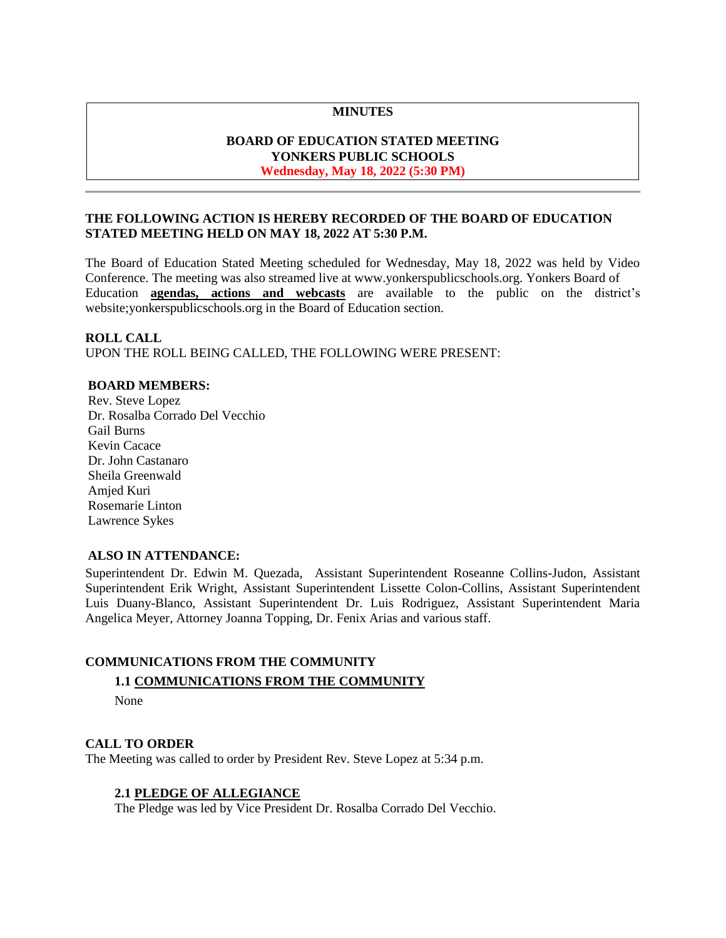## **MINUTES**

## **BOARD OF EDUCATION STATED MEETING YONKERS PUBLIC SCHOOLS Wednesday, May 18, 2022 (5:30 PM)**

## **THE FOLLOWING ACTION IS HEREBY RECORDED OF THE BOARD OF EDUCATION STATED MEETING HELD ON MAY 18, 2022 AT 5:30 P.M.**

The Board of Education Stated Meeting scheduled for Wednesday, May 18, 2022 was held by Video Conference. The meeting was also streamed live at [www.yonkerspublicschools.org.](http://www.yonkerspublicschools.org/) Yonkers Board of Education **agendas, actions and webcasts** are available to the public on the district's website;yonkerspublicschools.org in the Board of Education section.

### **ROLL CALL**

UPON THE ROLL BEING CALLED, THE FOLLOWING WERE PRESENT:

## **BOARD MEMBERS:**

Rev. Steve Lopez Dr. Rosalba Corrado Del Vecchio Gail Burns Kevin Cacace Dr. John Castanaro Sheila Greenwald Amjed Kuri Rosemarie Linton Lawrence Sykes

# **ALSO IN ATTENDANCE:**

Superintendent Dr. Edwin M. Quezada, Assistant Superintendent Roseanne Collins-Judon, Assistant Superintendent Erik Wright, Assistant Superintendent Lissette Colon-Collins, Assistant Superintendent Luis Duany-Blanco, Assistant Superintendent Dr. Luis Rodriguez, Assistant Superintendent Maria Angelica Meyer, Attorney Joanna Topping, Dr. Fenix Arias and various staff.

### **COMMUNICATIONS FROM THE COMMUNITY**

### **1.1 COMMUNICATIONS FROM THE COMMUNITY**

None

### **CALL TO ORDER**

The Meeting was called to order by President Rev. Steve Lopez at 5:34 p.m.

### **2.1 PLEDGE OF ALLEGIANCE**

The Pledge was led by Vice President Dr. Rosalba Corrado Del Vecchio.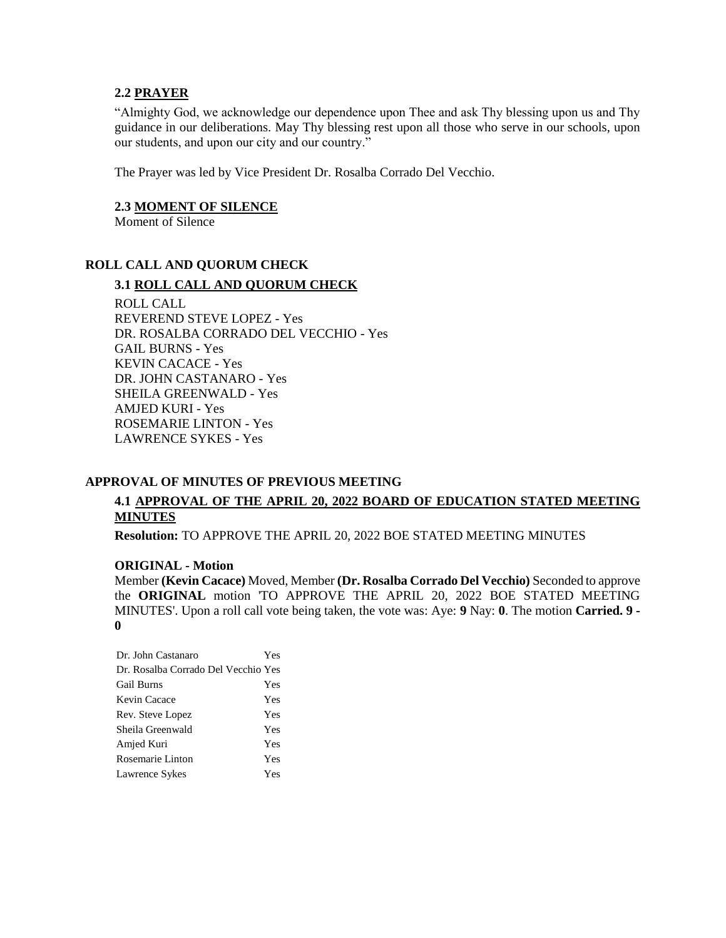### **2.2 PRAYER**

"Almighty God, we acknowledge our dependence upon Thee and ask Thy blessing upon us and Thy guidance in our deliberations. May Thy blessing rest upon all those who serve in our schools, upon our students, and upon our city and our country."

The Prayer was led by Vice President Dr. Rosalba Corrado Del Vecchio.

### **2.3 MOMENT OF SILENCE**

Moment of Silence

## **ROLL CALL AND QUORUM CHECK**

## **3.1 ROLL CALL AND QUORUM CHECK**

ROLL CALL REVEREND STEVE LOPEZ - Yes DR. ROSALBA CORRADO DEL VECCHIO - Yes GAIL BURNS - Yes KEVIN CACACE - Yes DR. JOHN CASTANARO - Yes SHEILA GREENWALD - Yes AMJED KURI - Yes ROSEMARIE LINTON - Yes LAWRENCE SYKES - Yes

# **APPROVAL OF MINUTES OF PREVIOUS MEETING**

# **4.1 APPROVAL OF THE APRIL 20, 2022 BOARD OF EDUCATION STATED MEETING MINUTES**

**Resolution:** TO APPROVE THE APRIL 20, 2022 BOE STATED MEETING MINUTES

### **ORIGINAL - Motion**

Member **(Kevin Cacace)** Moved, Member **(Dr. Rosalba Corrado Del Vecchio)** Seconded to approve the **ORIGINAL** motion 'TO APPROVE THE APRIL 20, 2022 BOE STATED MEETING MINUTES'. Upon a roll call vote being taken, the vote was: Aye: **9** Nay: **0**. The motion **Carried. 9 - 0** 

| Dr. John Castanaro                  | Yes |
|-------------------------------------|-----|
| Dr. Rosalba Corrado Del Vecchio Yes |     |
| Gail Burns                          | Yes |
| Kevin Cacace                        | Yes |
| Rev. Steve Lopez                    | Yes |
| Sheila Greenwald                    | Yes |
| Amjed Kuri                          | Yes |
| Rosemarie Linton                    | Yes |
| Lawrence Sykes                      | Yes |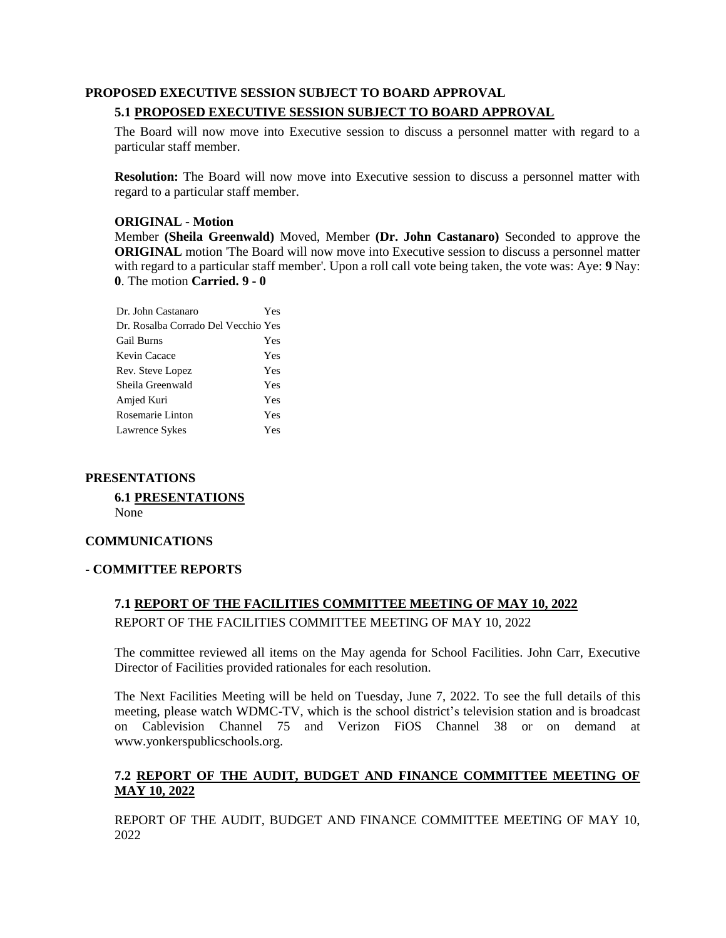# **PROPOSED EXECUTIVE SESSION SUBJECT TO BOARD APPROVAL 5.1 PROPOSED EXECUTIVE SESSION SUBJECT TO BOARD APPROVAL**

The Board will now move into Executive session to discuss a personnel matter with regard to a particular staff member.

**Resolution:** The Board will now move into Executive session to discuss a personnel matter with regard to a particular staff member.

# **ORIGINAL - Motion**

Member **(Sheila Greenwald)** Moved, Member **(Dr. John Castanaro)** Seconded to approve the **ORIGINAL** motion 'The Board will now move into Executive session to discuss a personnel matter with regard to a particular staff member'. Upon a roll call vote being taken, the vote was: Aye: **9** Nay: **0**. The motion **Carried. 9 - 0** 

| Dr. John Castanaro                  | Yes |
|-------------------------------------|-----|
| Dr. Rosalba Corrado Del Vecchio Yes |     |
| <b>Gail Burns</b>                   | Yes |
| Kevin Cacace                        | Yes |
| Rev. Steve Lopez                    | Yes |
| Sheila Greenwald                    | Yes |
| Amjed Kuri                          | Yes |
| Rosemarie Linton                    | Yes |
| Lawrence Sykes                      | Yes |

## **PRESENTATIONS**

**6.1 PRESENTATIONS** None

## **COMMUNICATIONS**

## **- COMMITTEE REPORTS**

## **7.1 REPORT OF THE FACILITIES COMMITTEE MEETING OF MAY 10, 2022**

REPORT OF THE FACILITIES COMMITTEE MEETING OF MAY 10, 2022

The committee reviewed all items on the May agenda for School Facilities. John Carr, Executive Director of Facilities provided rationales for each resolution.

The Next Facilities Meeting will be held on Tuesday, June 7, 2022. To see the full details of this meeting, please watch WDMC-TV, which is the school district's television station and is broadcast on Cablevision Channel 75 and Verizon FiOS Channel 38 or on demand at [www.yonkerspublicschools.org.](http://www.yonkerspublicschools.org/)

# **7.2 REPORT OF THE AUDIT, BUDGET AND FINANCE COMMITTEE MEETING OF MAY 10, 2022**

REPORT OF THE AUDIT, BUDGET AND FINANCE COMMITTEE MEETING OF MAY 10, 2022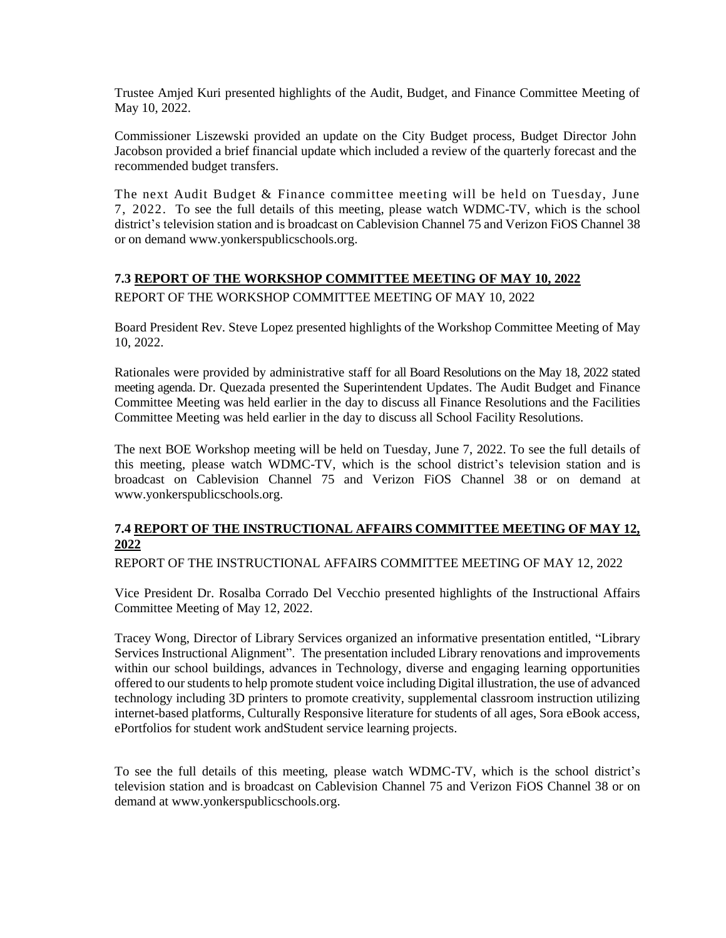Trustee Amjed Kuri presented highlights of the Audit, Budget, and Finance Committee Meeting of May 10, 2022.

Commissioner Liszewski provided an update on the City Budget process, Budget Director John Jacobson provided a brief financial update which included a review of the quarterly forecast and the recommended budget transfers.

The next Audit Budget & Finance committee meeting will be held on Tuesday, June 7, 2022. To see the full details of this meeting, please watch WDMC-TV, which is the school district's television station and is broadcast on Cablevision Channel 75 and Verizon FiOS Channel 38 or on demand [www.yonkerspublicschools.org.](http://www.yonkerspublicschools.org/)

## **7.3 REPORT OF THE WORKSHOP COMMITTEE MEETING OF MAY 10, 2022**

REPORT OF THE WORKSHOP COMMITTEE MEETING OF MAY 10, 2022

Board President Rev. Steve Lopez presented highlights of the Workshop Committee Meeting of May 10, 2022.

Rationales were provided by administrative staff for all Board Resolutions on the May 18, 2022 stated meeting agenda. Dr. Quezada presented the Superintendent Updates. The Audit Budget and Finance Committee Meeting was held earlier in the day to discuss all Finance Resolutions and the Facilities Committee Meeting was held earlier in the day to discuss all School Facility Resolutions.

The next BOE Workshop meeting will be held on Tuesday, June 7, 2022. To see the full details of this meeting, please watch WDMC-TV, which is the school district's television station and is broadcast on Cablevision Channel 75 and Verizon FiOS Channel 38 or on demand at [www.yonkerspublicschools.org.](http://www.yonkerspublicschools.org/)

# **7.4 REPORT OF THE INSTRUCTIONAL AFFAIRS COMMITTEE MEETING OF MAY 12, 2022**

REPORT OF THE INSTRUCTIONAL AFFAIRS COMMITTEE MEETING OF MAY 12, 2022

Vice President Dr. Rosalba Corrado Del Vecchio presented highlights of the Instructional Affairs Committee Meeting of May 12, 2022.

Tracey Wong, Director of Library Services organized an informative presentation entitled, "Library Services Instructional Alignment". The presentation included Library renovations and improvements within our school buildings, advances in Technology, diverse and engaging learning opportunities offered to our students to help promote student voice including Digital illustration, the use of advanced technology including 3D printers to promote creativity, supplemental classroom instruction utilizing internet-based platforms, Culturally Responsive literature for students of all ages, Sora eBook access, ePortfolios for student work andStudent service learning projects.

To see the full details of this meeting, please watch WDMC-TV, which is the school district's television station and is broadcast on Cablevision Channel 75 and Verizon FiOS Channel 38 or on demand at [www.yonkerspublicschools.org.](http://www.yonkerspublicschools.org/)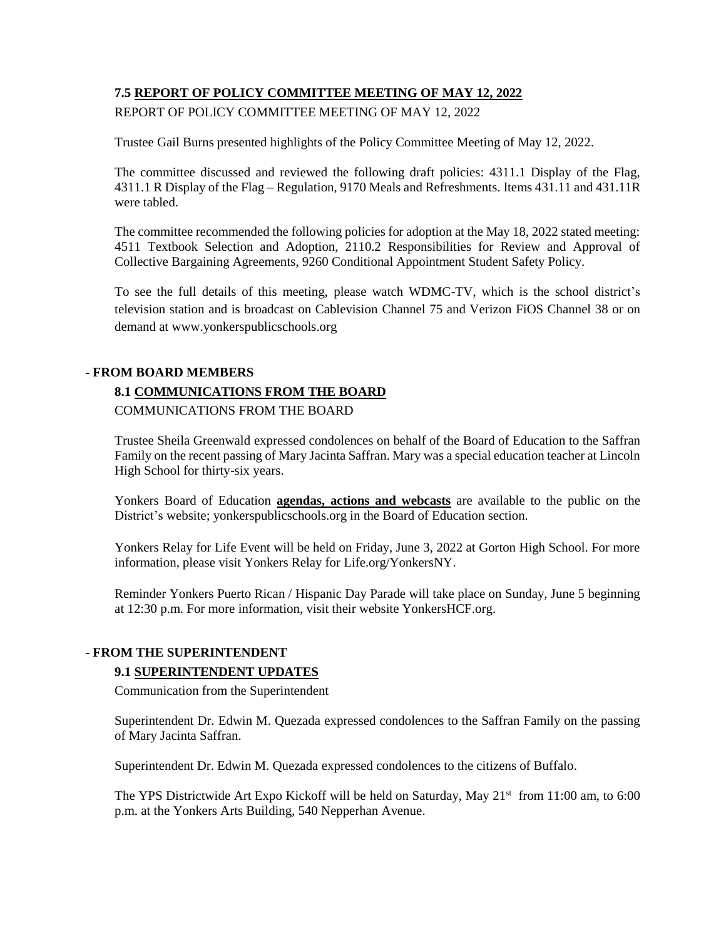# **7.5 REPORT OF POLICY COMMITTEE MEETING OF MAY 12, 2022**

REPORT OF POLICY COMMITTEE MEETING OF MAY 12, 2022

Trustee Gail Burns presented highlights of the Policy Committee Meeting of May 12, 2022.

The committee discussed and reviewed the following draft policies: 4311.1 Display of the Flag, 4311.1 R Display of the Flag – Regulation, 9170 Meals and Refreshments. Items 431.11 and 431.11R were tabled.

The committee recommended the following policies for adoption at the May 18, 2022 stated meeting: 4511 Textbook Selection and Adoption, 2110.2 Responsibilities for Review and Approval of Collective Bargaining Agreements, 9260 Conditional Appointment Student Safety Policy.

To see the full details of this meeting, please watch WDMC-TV, which is the school district's television station and is broadcast on Cablevision Channel 75 and Verizon FiOS Channel 38 or on demand at [www.yonkerspublicschools.org](http://www.yonkerspublicschools.org/)

## **- FROM BOARD MEMBERS**

# **8.1 COMMUNICATIONS FROM THE BOARD**

COMMUNICATIONS FROM THE BOARD

Trustee Sheila Greenwald expressed condolences on behalf of the Board of Education to the Saffran Family on the recent passing of Mary Jacinta Saffran. Mary was a special education teacher at Lincoln High School for thirty-six years.

Yonkers Board of Education **agendas, actions and webcasts** are available to the public on the District's website; yonkerspublicschools.org in the Board of Education section.

Yonkers Relay for Life Event will be held on Friday, June 3, 2022 at Gorton High School. For more information, please visit Yonkers Relay for Life.org/YonkersNY.

Reminder Yonkers Puerto Rican / Hispanic Day Parade will take place on Sunday, June 5 beginning at 12:30 p.m. For more information, visit their website YonkersHCF.org.

## **- FROM THE SUPERINTENDENT**

## **9.1 SUPERINTENDENT UPDATES**

Communication from the Superintendent

Superintendent Dr. Edwin M. Quezada expressed condolences to the Saffran Family on the passing of Mary Jacinta Saffran.

Superintendent Dr. Edwin M. Quezada expressed condolences to the citizens of Buffalo.

The YPS Districtwide Art Expo Kickoff will be held on Saturday, May 21<sup>st</sup> from 11:00 am, to 6:00 p.m. at the Yonkers Arts Building, 540 Nepperhan Avenue.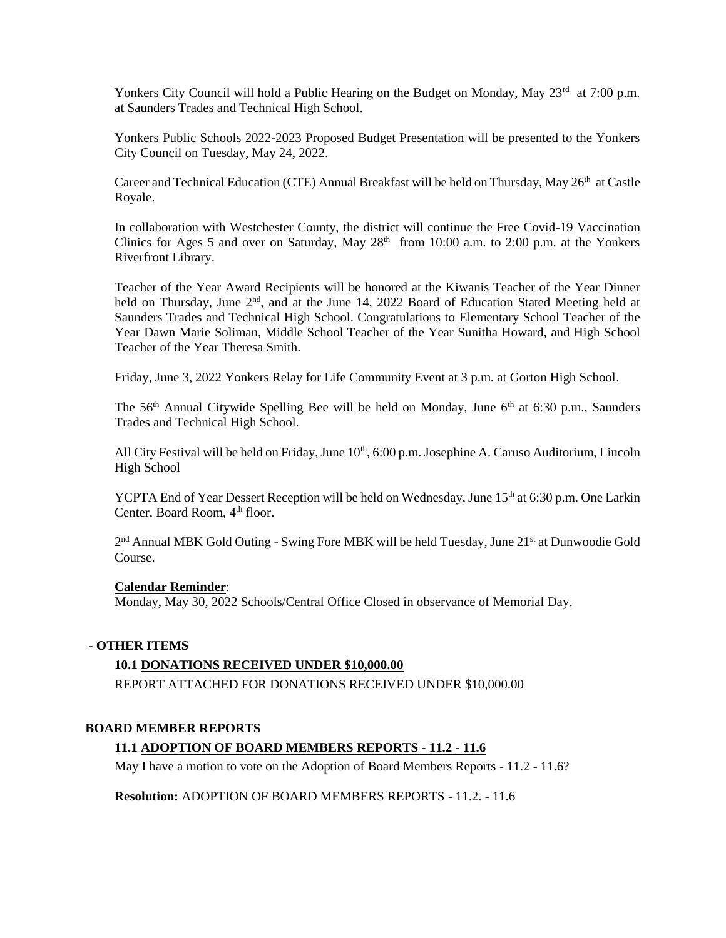Yonkers City Council will hold a Public Hearing on the Budget on Monday, May 23<sup>rd</sup> at 7:00 p.m. at Saunders Trades and Technical High School.

Yonkers Public Schools 2022-2023 Proposed Budget Presentation will be presented to the Yonkers City Council on Tuesday, May 24, 2022.

Career and Technical Education (CTE) Annual Breakfast will be held on Thursday, May 26<sup>th</sup> at Castle Royale.

In collaboration with Westchester County, the district will continue the Free Covid-19 Vaccination Clinics for Ages 5 and over on Saturday, May  $28<sup>th</sup>$  from 10:00 a.m. to 2:00 p.m. at the Yonkers Riverfront Library.

Teacher of the Year Award Recipients will be honored at the Kiwanis Teacher of the Year Dinner held on Thursday, June 2<sup>nd</sup>, and at the June 14, 2022 Board of Education Stated Meeting held at Saunders Trades and Technical High School. Congratulations to Elementary School Teacher of the Year Dawn Marie Soliman, Middle School Teacher of the Year Sunitha Howard, and High School Teacher of the Year Theresa Smith.

Friday, June 3, 2022 Yonkers Relay for Life Community Event at 3 p.m. at Gorton High School.

The  $56<sup>th</sup>$  Annual Citywide Spelling Bee will be held on Monday, June  $6<sup>th</sup>$  at 6:30 p.m., Saunders Trades and Technical High School.

All City Festival will be held on Friday, June 10<sup>th</sup>, 6:00 p.m. Josephine A. Caruso Auditorium, Lincoln High School

YCPTA End of Year Dessert Reception will be held on Wednesday, June 15<sup>th</sup> at 6:30 p.m. One Larkin Center, Board Room, 4<sup>th</sup> floor.

2<sup>nd</sup> Annual MBK Gold Outing - Swing Fore MBK will be held Tuesday, June 21<sup>st</sup> at Dunwoodie Gold Course.

### **Calendar Reminder**:

Monday, May 30, 2022 Schools/Central Office Closed in observance of Memorial Day.

### **- OTHER ITEMS**

### **10.1 DONATIONS RECEIVED UNDER \$10,000.00**

REPORT ATTACHED FOR DONATIONS RECEIVED UNDER \$10,000.00

### **BOARD MEMBER REPORTS**

## **11.1 ADOPTION OF BOARD MEMBERS REPORTS - 11.2 - 11.6**

May I have a motion to vote on the Adoption of Board Members Reports - 11.2 - 11.6?

**Resolution:** ADOPTION OF BOARD MEMBERS REPORTS - 11.2. - 11.6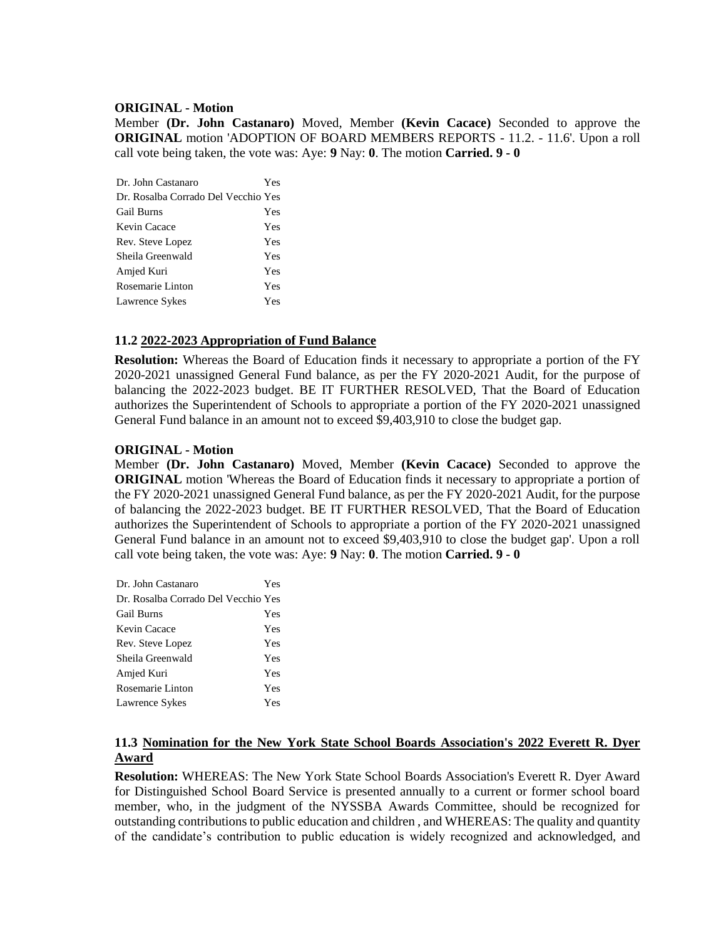## **ORIGINAL - Motion**

Member **(Dr. John Castanaro)** Moved, Member **(Kevin Cacace)** Seconded to approve the **ORIGINAL** motion 'ADOPTION OF BOARD MEMBERS REPORTS - 11.2. - 11.6'. Upon a roll call vote being taken, the vote was: Aye: **9** Nay: **0**. The motion **Carried. 9 - 0** 

| Dr. John Castanaro                  | Yes |
|-------------------------------------|-----|
| Dr. Rosalba Corrado Del Vecchio Yes |     |
| <b>Gail Burns</b>                   | Yes |
| Kevin Cacace                        | Yes |
| Rev. Steve Lopez                    | Yes |
| Sheila Greenwald                    | Yes |
| Amjed Kuri                          | Yes |
| Rosemarie Linton                    | Yes |
| Lawrence Sykes                      | Yes |

## **11.2 2022-2023 Appropriation of Fund Balance**

**Resolution:** Whereas the Board of Education finds it necessary to appropriate a portion of the FY 2020-2021 unassigned General Fund balance, as per the FY 2020-2021 Audit, for the purpose of balancing the 2022-2023 budget. BE IT FURTHER RESOLVED, That the Board of Education authorizes the Superintendent of Schools to appropriate a portion of the FY 2020-2021 unassigned General Fund balance in an amount not to exceed \$9,403,910 to close the budget gap.

## **ORIGINAL - Motion**

Member **(Dr. John Castanaro)** Moved, Member **(Kevin Cacace)** Seconded to approve the **ORIGINAL** motion 'Whereas the Board of Education finds it necessary to appropriate a portion of the FY 2020-2021 unassigned General Fund balance, as per the FY 2020-2021 Audit, for the purpose of balancing the 2022-2023 budget. BE IT FURTHER RESOLVED, That the Board of Education authorizes the Superintendent of Schools to appropriate a portion of the FY 2020-2021 unassigned General Fund balance in an amount not to exceed \$9,403,910 to close the budget gap'. Upon a roll call vote being taken, the vote was: Aye: **9** Nay: **0**. The motion **Carried. 9 - 0** 

| Dr. John Castanaro                  | Yes |
|-------------------------------------|-----|
| Dr. Rosalba Corrado Del Vecchio Yes |     |
| <b>Gail Burns</b>                   | Yes |
| Kevin Cacace                        | Yes |
| Rev. Steve Lopez                    | Yes |
| Sheila Greenwald                    | Yes |
| Amjed Kuri                          | Yes |
| Rosemarie Linton                    | Yes |
| Lawrence Sykes                      | Yes |

# **11.3 Nomination for the New York State School Boards Association's 2022 Everett R. Dyer Award**

**Resolution:** WHEREAS: The New York State School Boards Association's Everett R. Dyer Award for Distinguished School Board Service is presented annually to a current or former school board member, who, in the judgment of the NYSSBA Awards Committee, should be recognized for outstanding contributions to public education and children , and WHEREAS: The quality and quantity of the candidate's contribution to public education is widely recognized and acknowledged, and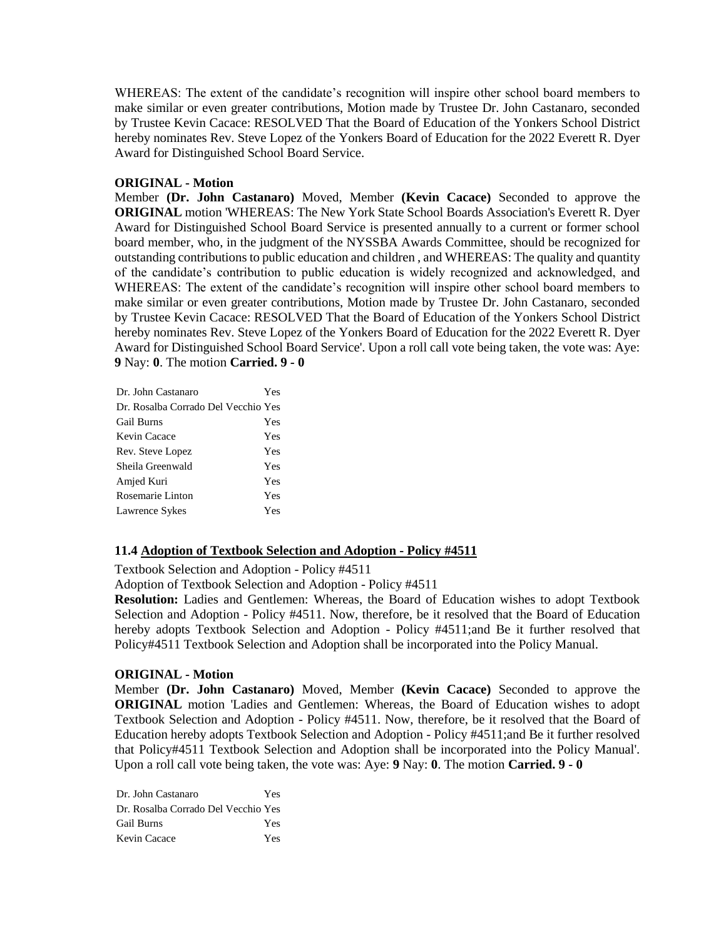WHEREAS: The extent of the candidate's recognition will inspire other school board members to make similar or even greater contributions, Motion made by Trustee Dr. John Castanaro, seconded by Trustee Kevin Cacace: RESOLVED That the Board of Education of the Yonkers School District hereby nominates Rev. Steve Lopez of the Yonkers Board of Education for the 2022 Everett R. Dyer Award for Distinguished School Board Service.

## **ORIGINAL - Motion**

Member **(Dr. John Castanaro)** Moved, Member **(Kevin Cacace)** Seconded to approve the **ORIGINAL** motion 'WHEREAS: The New York State School Boards Association's Everett R. Dyer Award for Distinguished School Board Service is presented annually to a current or former school board member, who, in the judgment of the NYSSBA Awards Committee, should be recognized for outstanding contributions to public education and children , and WHEREAS: The quality and quantity of the candidate's contribution to public education is widely recognized and acknowledged, and WHEREAS: The extent of the candidate's recognition will inspire other school board members to make similar or even greater contributions, Motion made by Trustee Dr. John Castanaro, seconded by Trustee Kevin Cacace: RESOLVED That the Board of Education of the Yonkers School District hereby nominates Rev. Steve Lopez of the Yonkers Board of Education for the 2022 Everett R. Dyer Award for Distinguished School Board Service'. Upon a roll call vote being taken, the vote was: Aye: **9** Nay: **0**. The motion **Carried. 9 - 0** 

| Yes                                 |
|-------------------------------------|
| Dr. Rosalba Corrado Del Vecchio Yes |
| Yes                                 |
| Yes                                 |
| Yes                                 |
| Yes                                 |
| Yes                                 |
| Yes                                 |
| Yes                                 |
|                                     |

## **11.4 Adoption of Textbook Selection and Adoption - Policy #4511**

Textbook Selection and Adoption - Policy #4511

Adoption of Textbook Selection and Adoption - Policy #4511

**Resolution:** Ladies and Gentlemen: Whereas, the Board of Education wishes to adopt Textbook Selection and Adoption - Policy #4511. Now, therefore, be it resolved that the Board of Education hereby adopts Textbook Selection and Adoption - Policy #4511;and Be it further resolved that Policy#4511 Textbook Selection and Adoption shall be incorporated into the Policy Manual.

### **ORIGINAL - Motion**

Member **(Dr. John Castanaro)** Moved, Member **(Kevin Cacace)** Seconded to approve the **ORIGINAL** motion 'Ladies and Gentlemen: Whereas, the Board of Education wishes to adopt Textbook Selection and Adoption - Policy #4511. Now, therefore, be it resolved that the Board of Education hereby adopts Textbook Selection and Adoption - Policy #4511;and Be it further resolved that Policy#4511 Textbook Selection and Adoption shall be incorporated into the Policy Manual'. Upon a roll call vote being taken, the vote was: Aye: **9** Nay: **0**. The motion **Carried. 9 - 0** 

| Dr. John Castanaro                  | Yes |
|-------------------------------------|-----|
| Dr. Rosalba Corrado Del Vecchio Yes |     |
| <b>Gail Burns</b>                   | Yes |
| Kevin Cacace                        | Yes |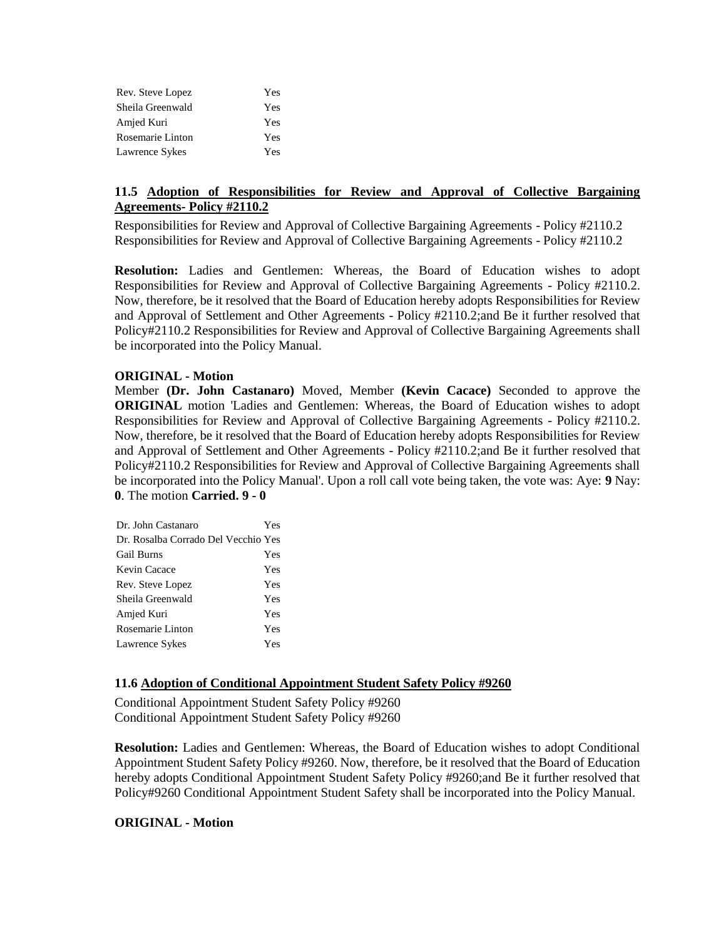| Rev. Steve Lopez | Yes |
|------------------|-----|
| Sheila Greenwald | Yes |
| Amjed Kuri       | Yes |
| Rosemarie Linton | Yes |
| Lawrence Sykes   | Yes |

# **11.5 Adoption of Responsibilities for Review and Approval of Collective Bargaining Agreements- Policy #2110.2**

Responsibilities for Review and Approval of Collective Bargaining Agreements - Policy #2110.2 Responsibilities for Review and Approval of Collective Bargaining Agreements - Policy #2110.2

**Resolution:** Ladies and Gentlemen: Whereas, the Board of Education wishes to adopt Responsibilities for Review and Approval of Collective Bargaining Agreements - Policy #2110.2. Now, therefore, be it resolved that the Board of Education hereby adopts Responsibilities for Review and Approval of Settlement and Other Agreements - Policy #2110.2;and Be it further resolved that Policy#2110.2 Responsibilities for Review and Approval of Collective Bargaining Agreements shall be incorporated into the Policy Manual.

## **ORIGINAL - Motion**

Member **(Dr. John Castanaro)** Moved, Member **(Kevin Cacace)** Seconded to approve the **ORIGINAL** motion 'Ladies and Gentlemen: Whereas, the Board of Education wishes to adopt Responsibilities for Review and Approval of Collective Bargaining Agreements - Policy #2110.2. Now, therefore, be it resolved that the Board of Education hereby adopts Responsibilities for Review and Approval of Settlement and Other Agreements - Policy #2110.2;and Be it further resolved that Policy#2110.2 Responsibilities for Review and Approval of Collective Bargaining Agreements shall be incorporated into the Policy Manual'. Upon a roll call vote being taken, the vote was: Aye: **9** Nay: **0**. The motion **Carried. 9 - 0** 

| Dr. John Castanaro                  | Yes |
|-------------------------------------|-----|
| Dr. Rosalba Corrado Del Vecchio Yes |     |
| <b>Gail Burns</b>                   | Yes |
| Kevin Cacace                        | Yes |
| Rev. Steve Lopez                    | Yes |
| Sheila Greenwald                    | Yes |
| Amjed Kuri                          | Yes |
| Rosemarie Linton                    | Yes |
| Lawrence Sykes                      | Yes |
|                                     |     |

## **11.6 Adoption of Conditional Appointment Student Safety Policy #9260**

Conditional Appointment Student Safety Policy #9260 Conditional Appointment Student Safety Policy #9260

**Resolution:** Ladies and Gentlemen: Whereas, the Board of Education wishes to adopt Conditional Appointment Student Safety Policy #9260. Now, therefore, be it resolved that the Board of Education hereby adopts Conditional Appointment Student Safety Policy #9260;and Be it further resolved that Policy#9260 Conditional Appointment Student Safety shall be incorporated into the Policy Manual.

### **ORIGINAL - Motion**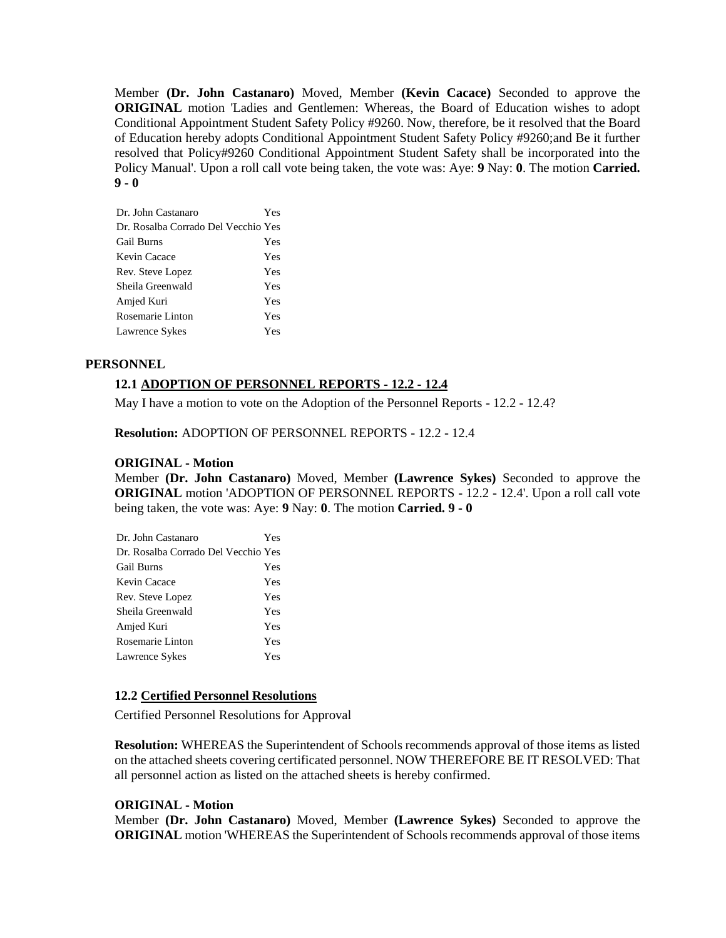Member **(Dr. John Castanaro)** Moved, Member **(Kevin Cacace)** Seconded to approve the **ORIGINAL** motion 'Ladies and Gentlemen: Whereas, the Board of Education wishes to adopt Conditional Appointment Student Safety Policy #9260. Now, therefore, be it resolved that the Board of Education hereby adopts Conditional Appointment Student Safety Policy #9260;and Be it further resolved that Policy#9260 Conditional Appointment Student Safety shall be incorporated into the Policy Manual'. Upon a roll call vote being taken, the vote was: Aye: **9** Nay: **0**. The motion **Carried. 9 - 0** 

| Dr. John Castanaro                  | Yes |
|-------------------------------------|-----|
| Dr. Rosalba Corrado Del Vecchio Yes |     |
| <b>Gail Burns</b>                   | Yes |
| Kevin Cacace                        | Yes |
| Rev. Steve Lopez                    | Yes |
| Sheila Greenwald                    | Yes |
| Amjed Kuri                          | Yes |
| Rosemarie Linton                    | Yes |
| Lawrence Sykes                      | Yes |

## **PERSONNEL**

# **12.1 ADOPTION OF PERSONNEL REPORTS - 12.2 - 12.4**

May I have a motion to vote on the Adoption of the Personnel Reports - 12.2 - 12.4?

**Resolution:** ADOPTION OF PERSONNEL REPORTS - 12.2 - 12.4

## **ORIGINAL - Motion**

Member **(Dr. John Castanaro)** Moved, Member **(Lawrence Sykes)** Seconded to approve the **ORIGINAL** motion 'ADOPTION OF PERSONNEL REPORTS - 12.2 - 12.4'. Upon a roll call vote being taken, the vote was: Aye: **9** Nay: **0**. The motion **Carried. 9 - 0** 

| Dr. John Castanaro                  | Yes |
|-------------------------------------|-----|
| Dr. Rosalba Corrado Del Vecchio Yes |     |
| Gail Burns                          | Yes |
| Kevin Cacace                        | Yes |
| Rev. Steve Lopez                    | Yes |
| Sheila Greenwald                    | Yes |
| Amjed Kuri                          | Yes |
| Rosemarie Linton                    | Yes |
| Lawrence Sykes                      | Yes |
|                                     |     |

### **12.2 Certified Personnel Resolutions**

Certified Personnel Resolutions for Approval

**Resolution:** WHEREAS the Superintendent of Schools recommends approval of those items as listed on the attached sheets covering certificated personnel. NOW THEREFORE BE IT RESOLVED: That all personnel action as listed on the attached sheets is hereby confirmed.

### **ORIGINAL - Motion**

Member **(Dr. John Castanaro)** Moved, Member **(Lawrence Sykes)** Seconded to approve the **ORIGINAL** motion 'WHEREAS the Superintendent of Schools recommends approval of those items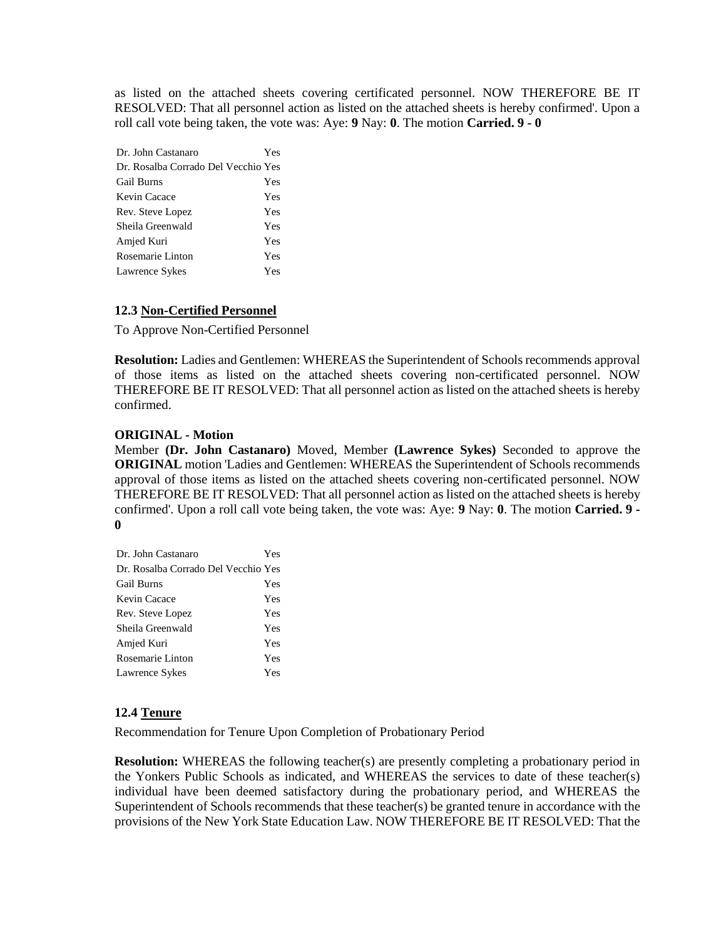as listed on the attached sheets covering certificated personnel. NOW THEREFORE BE IT RESOLVED: That all personnel action as listed on the attached sheets is hereby confirmed'. Upon a roll call vote being taken, the vote was: Aye: **9** Nay: **0**. The motion **Carried. 9 - 0** 

| Dr. John Castanaro                  | Yes |
|-------------------------------------|-----|
| Dr. Rosalba Corrado Del Vecchio Yes |     |
| <b>Gail Burns</b>                   | Yes |
| Kevin Cacace                        | Yes |
| Rev. Steve Lopez                    | Yes |
| Sheila Greenwald                    | Yes |
| Amjed Kuri                          | Yes |
| Rosemarie Linton                    | Yes |
| Lawrence Sykes                      | Yes |

## **12.3 Non-Certified Personnel**

To Approve Non-Certified Personnel

**Resolution:** Ladies and Gentlemen: WHEREAS the Superintendent of Schools recommends approval of those items as listed on the attached sheets covering non-certificated personnel. NOW THEREFORE BE IT RESOLVED: That all personnel action as listed on the attached sheets is hereby confirmed.

## **ORIGINAL - Motion**

Member **(Dr. John Castanaro)** Moved, Member **(Lawrence Sykes)** Seconded to approve the **ORIGINAL** motion 'Ladies and Gentlemen: WHEREAS the Superintendent of Schools recommends approval of those items as listed on the attached sheets covering non-certificated personnel. NOW THEREFORE BE IT RESOLVED: That all personnel action as listed on the attached sheets is hereby confirmed'. Upon a roll call vote being taken, the vote was: Aye: **9** Nay: **0**. The motion **Carried. 9 - 0** 

| Yes                                 |
|-------------------------------------|
| Dr. Rosalba Corrado Del Vecchio Yes |
| Yes                                 |
| Yes                                 |
| Yes                                 |
| Yes                                 |
| Yes                                 |
| Yes                                 |
| Yes                                 |
|                                     |

## **12.4 Tenure**

Recommendation for Tenure Upon Completion of Probationary Period

**Resolution:** WHEREAS the following teacher(s) are presently completing a probationary period in the Yonkers Public Schools as indicated, and WHEREAS the services to date of these teacher(s) individual have been deemed satisfactory during the probationary period, and WHEREAS the Superintendent of Schools recommends that these teacher(s) be granted tenure in accordance with the provisions of the New York State Education Law. NOW THEREFORE BE IT RESOLVED: That the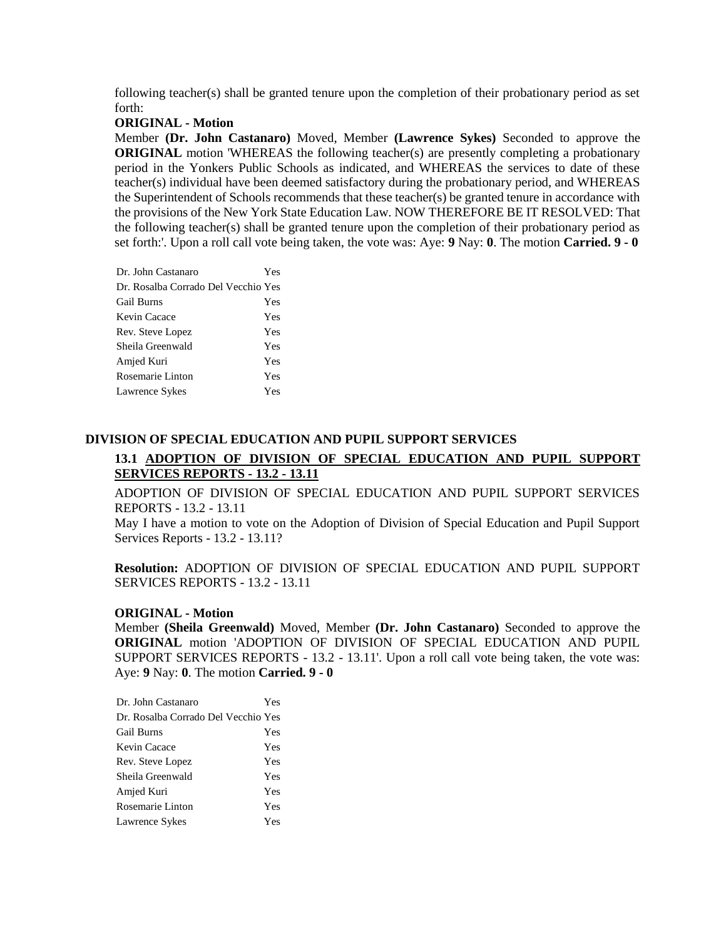following teacher(s) shall be granted tenure upon the completion of their probationary period as set forth:

### **ORIGINAL - Motion**

Member **(Dr. John Castanaro)** Moved, Member **(Lawrence Sykes)** Seconded to approve the **ORIGINAL** motion 'WHEREAS the following teacher(s) are presently completing a probationary period in the Yonkers Public Schools as indicated, and WHEREAS the services to date of these teacher(s) individual have been deemed satisfactory during the probationary period, and WHEREAS the Superintendent of Schools recommends that these teacher(s) be granted tenure in accordance with the provisions of the New York State Education Law. NOW THEREFORE BE IT RESOLVED: That the following teacher(s) shall be granted tenure upon the completion of their probationary period as set forth:'. Upon a roll call vote being taken, the vote was: Aye: **9** Nay: **0**. The motion **Carried. 9 - 0** 

| Dr. John Castanaro                  | Yes |
|-------------------------------------|-----|
| Dr. Rosalba Corrado Del Vecchio Yes |     |
| <b>Gail Burns</b>                   | Yes |
| Kevin Cacace                        | Yes |
| Rev. Steve Lopez                    | Yes |
| Sheila Greenwald                    | Yes |
| Amjed Kuri                          | Yes |
| Rosemarie Linton                    | Yes |
| Lawrence Sykes                      | Yes |
|                                     |     |

# **DIVISION OF SPECIAL EDUCATION AND PUPIL SUPPORT SERVICES**

# **13.1 ADOPTION OF DIVISION OF SPECIAL EDUCATION AND PUPIL SUPPORT SERVICES REPORTS - 13.2 - 13.11**

ADOPTION OF DIVISION OF SPECIAL EDUCATION AND PUPIL SUPPORT SERVICES REPORTS - 13.2 - 13.11

May I have a motion to vote on the Adoption of Division of Special Education and Pupil Support Services Reports - 13.2 - 13.11?

**Resolution:** ADOPTION OF DIVISION OF SPECIAL EDUCATION AND PUPIL SUPPORT SERVICES REPORTS - 13.2 - 13.11

### **ORIGINAL - Motion**

Member **(Sheila Greenwald)** Moved, Member **(Dr. John Castanaro)** Seconded to approve the **ORIGINAL** motion 'ADOPTION OF DIVISION OF SPECIAL EDUCATION AND PUPIL SUPPORT SERVICES REPORTS - 13.2 - 13.11'. Upon a roll call vote being taken, the vote was: Aye: **9** Nay: **0**. The motion **Carried. 9 - 0** 

| Dr. John Castanaro                  | Yes |
|-------------------------------------|-----|
| Dr. Rosalba Corrado Del Vecchio Yes |     |
| <b>Gail Burns</b>                   | Yes |
| Kevin Cacace                        | Yes |
| Rev. Steve Lopez                    | Yes |
| Sheila Greenwald                    | Yes |
| Amjed Kuri                          | Yes |
| Rosemarie Linton                    | Yes |
| Lawrence Sykes                      | Yes |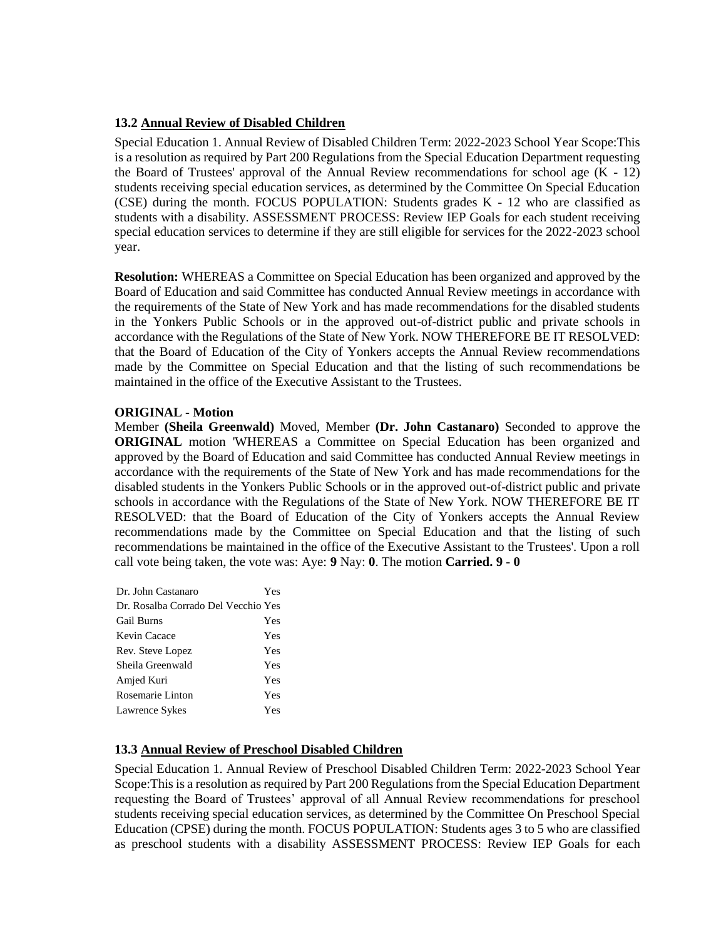# **13.2 Annual Review of Disabled Children**

Special Education 1. Annual Review of Disabled Children Term: 2022-2023 School Year Scope:This is a resolution as required by Part 200 Regulations from the Special Education Department requesting the Board of Trustees' approval of the Annual Review recommendations for school age (K - 12) students receiving special education services, as determined by the Committee On Special Education (CSE) during the month. FOCUS POPULATION: Students grades K - 12 who are classified as students with a disability. ASSESSMENT PROCESS: Review IEP Goals for each student receiving special education services to determine if they are still eligible for services for the 2022-2023 school year.

**Resolution:** WHEREAS a Committee on Special Education has been organized and approved by the Board of Education and said Committee has conducted Annual Review meetings in accordance with the requirements of the State of New York and has made recommendations for the disabled students in the Yonkers Public Schools or in the approved out-of-district public and private schools in accordance with the Regulations of the State of New York. NOW THEREFORE BE IT RESOLVED: that the Board of Education of the City of Yonkers accepts the Annual Review recommendations made by the Committee on Special Education and that the listing of such recommendations be maintained in the office of the Executive Assistant to the Trustees.

## **ORIGINAL - Motion**

Member **(Sheila Greenwald)** Moved, Member **(Dr. John Castanaro)** Seconded to approve the **ORIGINAL** motion 'WHEREAS a Committee on Special Education has been organized and approved by the Board of Education and said Committee has conducted Annual Review meetings in accordance with the requirements of the State of New York and has made recommendations for the disabled students in the Yonkers Public Schools or in the approved out-of-district public and private schools in accordance with the Regulations of the State of New York. NOW THEREFORE BE IT RESOLVED: that the Board of Education of the City of Yonkers accepts the Annual Review recommendations made by the Committee on Special Education and that the listing of such recommendations be maintained in the office of the Executive Assistant to the Trustees'. Upon a roll call vote being taken, the vote was: Aye: **9** Nay: **0**. The motion **Carried. 9 - 0** 

| Dr. John Castanaro                  | Yes |
|-------------------------------------|-----|
| Dr. Rosalba Corrado Del Vecchio Yes |     |
| <b>Gail Burns</b>                   | Yes |
| Kevin Cacace                        | Yes |
| Rev. Steve Lopez                    | Yes |
| Sheila Greenwald                    | Yes |
| Amjed Kuri                          | Yes |
| Rosemarie Linton                    | Yes |
| Lawrence Sykes                      | Yes |

## **13.3 Annual Review of Preschool Disabled Children**

Special Education 1. Annual Review of Preschool Disabled Children Term: 2022-2023 School Year Scope:This is a resolution as required by Part 200 Regulations from the Special Education Department requesting the Board of Trustees' approval of all Annual Review recommendations for preschool students receiving special education services, as determined by the Committee On Preschool Special Education (CPSE) during the month. FOCUS POPULATION: Students ages 3 to 5 who are classified as preschool students with a disability ASSESSMENT PROCESS: Review IEP Goals for each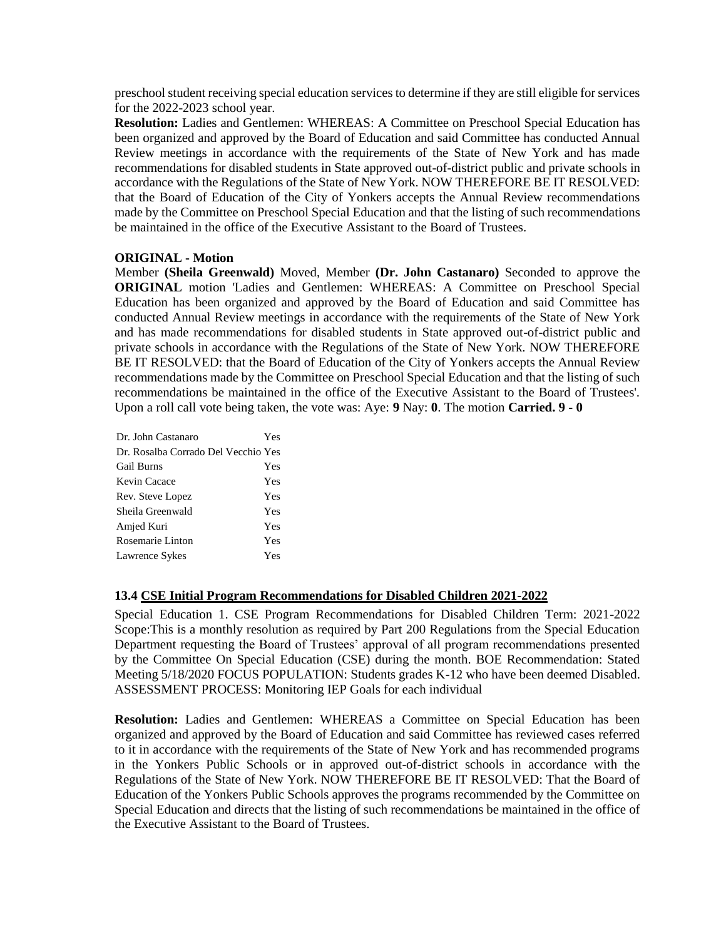preschool student receiving special education services to determine if they are still eligible for services for the 2022-2023 school year.

**Resolution:** Ladies and Gentlemen: WHEREAS: A Committee on Preschool Special Education has been organized and approved by the Board of Education and said Committee has conducted Annual Review meetings in accordance with the requirements of the State of New York and has made recommendations for disabled students in State approved out-of-district public and private schools in accordance with the Regulations of the State of New York. NOW THEREFORE BE IT RESOLVED: that the Board of Education of the City of Yonkers accepts the Annual Review recommendations made by the Committee on Preschool Special Education and that the listing of such recommendations be maintained in the office of the Executive Assistant to the Board of Trustees.

## **ORIGINAL - Motion**

Member **(Sheila Greenwald)** Moved, Member **(Dr. John Castanaro)** Seconded to approve the **ORIGINAL** motion 'Ladies and Gentlemen: WHEREAS: A Committee on Preschool Special Education has been organized and approved by the Board of Education and said Committee has conducted Annual Review meetings in accordance with the requirements of the State of New York and has made recommendations for disabled students in State approved out-of-district public and private schools in accordance with the Regulations of the State of New York. NOW THEREFORE BE IT RESOLVED: that the Board of Education of the City of Yonkers accepts the Annual Review recommendations made by the Committee on Preschool Special Education and that the listing of such recommendations be maintained in the office of the Executive Assistant to the Board of Trustees'. Upon a roll call vote being taken, the vote was: Aye: **9** Nay: **0**. The motion **Carried. 9 - 0** 

| Dr. John Castanaro                  | Yes        |
|-------------------------------------|------------|
| Dr. Rosalba Corrado Del Vecchio Yes |            |
| <b>Gail Burns</b>                   | Yes        |
| Kevin Cacace                        | Yes        |
| Rev. Steve Lopez                    | <b>Yes</b> |
| Sheila Greenwald                    | <b>Yes</b> |
| Amjed Kuri                          | <b>Yes</b> |
| Rosemarie Linton                    | <b>Yes</b> |
| Lawrence Sykes                      | Yes        |

### **13.4 CSE Initial Program Recommendations for Disabled Children 2021-2022**

Special Education 1. CSE Program Recommendations for Disabled Children Term: 2021-2022 Scope:This is a monthly resolution as required by Part 200 Regulations from the Special Education Department requesting the Board of Trustees' approval of all program recommendations presented by the Committee On Special Education (CSE) during the month. BOE Recommendation: Stated Meeting 5/18/2020 FOCUS POPULATION: Students grades K-12 who have been deemed Disabled. ASSESSMENT PROCESS: Monitoring IEP Goals for each individual

**Resolution:** Ladies and Gentlemen: WHEREAS a Committee on Special Education has been organized and approved by the Board of Education and said Committee has reviewed cases referred to it in accordance with the requirements of the State of New York and has recommended programs in the Yonkers Public Schools or in approved out-of-district schools in accordance with the Regulations of the State of New York. NOW THEREFORE BE IT RESOLVED: That the Board of Education of the Yonkers Public Schools approves the programs recommended by the Committee on Special Education and directs that the listing of such recommendations be maintained in the office of the Executive Assistant to the Board of Trustees.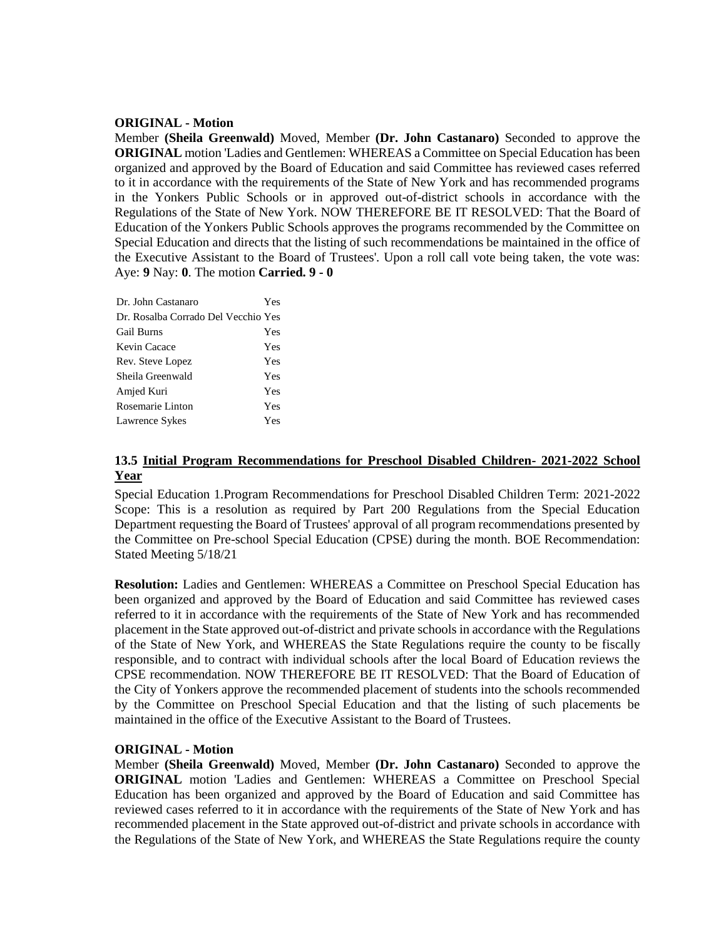## **ORIGINAL - Motion**

Member **(Sheila Greenwald)** Moved, Member **(Dr. John Castanaro)** Seconded to approve the **ORIGINAL** motion 'Ladies and Gentlemen: WHEREAS a Committee on Special Education has been organized and approved by the Board of Education and said Committee has reviewed cases referred to it in accordance with the requirements of the State of New York and has recommended programs in the Yonkers Public Schools or in approved out-of-district schools in accordance with the Regulations of the State of New York. NOW THEREFORE BE IT RESOLVED: That the Board of Education of the Yonkers Public Schools approves the programs recommended by the Committee on Special Education and directs that the listing of such recommendations be maintained in the office of the Executive Assistant to the Board of Trustees'. Upon a roll call vote being taken, the vote was: Aye: **9** Nay: **0**. The motion **Carried. 9 - 0** 

| Dr. John Castanaro                  | Yes |
|-------------------------------------|-----|
| Dr. Rosalba Corrado Del Vecchio Yes |     |
| <b>Gail Burns</b>                   | Yes |
| Kevin Cacace                        | Yes |
| Rev. Steve Lopez                    | Yes |
| Sheila Greenwald                    | Yes |
| Amjed Kuri                          | Yes |
| Rosemarie Linton                    | Yes |
| Lawrence Sykes                      | Yes |

# **13.5 Initial Program Recommendations for Preschool Disabled Children- 2021-2022 School Year**

Special Education 1.Program Recommendations for Preschool Disabled Children Term: 2021-2022 Scope: This is a resolution as required by Part 200 Regulations from the Special Education Department requesting the Board of Trustees' approval of all program recommendations presented by the Committee on Pre-school Special Education (CPSE) during the month. BOE Recommendation: Stated Meeting 5/18/21

**Resolution:** Ladies and Gentlemen: WHEREAS a Committee on Preschool Special Education has been organized and approved by the Board of Education and said Committee has reviewed cases referred to it in accordance with the requirements of the State of New York and has recommended placement in the State approved out-of-district and private schools in accordance with the Regulations of the State of New York, and WHEREAS the State Regulations require the county to be fiscally responsible, and to contract with individual schools after the local Board of Education reviews the CPSE recommendation. NOW THEREFORE BE IT RESOLVED: That the Board of Education of the City of Yonkers approve the recommended placement of students into the schools recommended by the Committee on Preschool Special Education and that the listing of such placements be maintained in the office of the Executive Assistant to the Board of Trustees.

### **ORIGINAL - Motion**

Member **(Sheila Greenwald)** Moved, Member **(Dr. John Castanaro)** Seconded to approve the **ORIGINAL** motion 'Ladies and Gentlemen: WHEREAS a Committee on Preschool Special Education has been organized and approved by the Board of Education and said Committee has reviewed cases referred to it in accordance with the requirements of the State of New York and has recommended placement in the State approved out-of-district and private schools in accordance with the Regulations of the State of New York, and WHEREAS the State Regulations require the county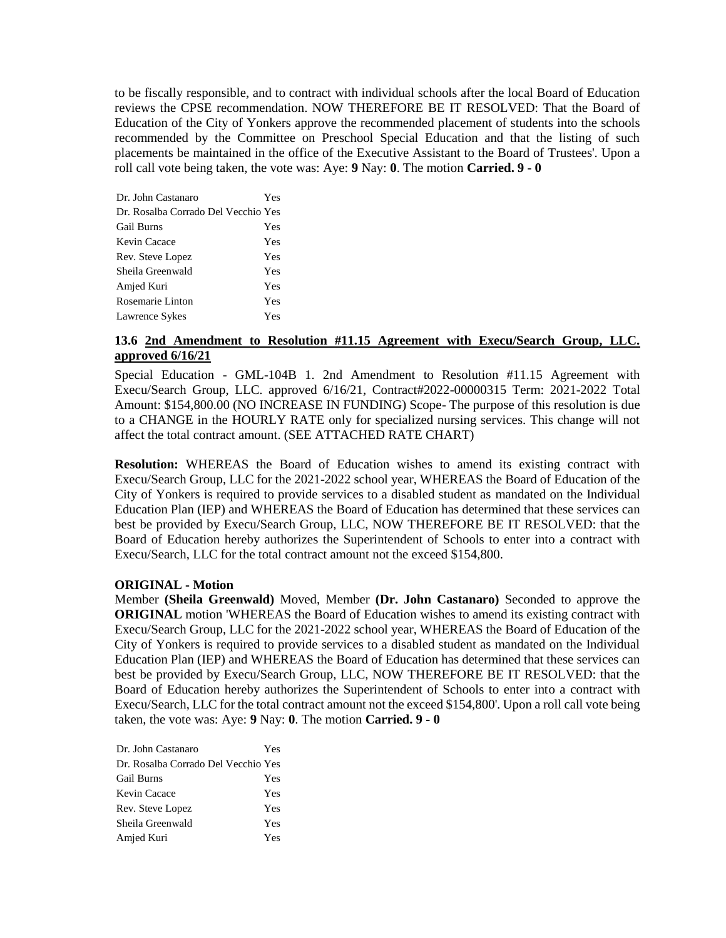to be fiscally responsible, and to contract with individual schools after the local Board of Education reviews the CPSE recommendation. NOW THEREFORE BE IT RESOLVED: That the Board of Education of the City of Yonkers approve the recommended placement of students into the schools recommended by the Committee on Preschool Special Education and that the listing of such placements be maintained in the office of the Executive Assistant to the Board of Trustees'. Upon a roll call vote being taken, the vote was: Aye: **9** Nay: **0**. The motion **Carried. 9 - 0** 

| Dr. John Castanaro                  | Yes |
|-------------------------------------|-----|
| Dr. Rosalba Corrado Del Vecchio Yes |     |
| <b>Gail Burns</b>                   | Yes |
| Kevin Cacace                        | Yes |
| Rev. Steve Lopez                    | Yes |
| Sheila Greenwald                    | Yes |
| Amjed Kuri                          | Yes |
| Rosemarie Linton                    | Yes |
| Lawrence Sykes                      | Yes |

# **13.6 2nd Amendment to Resolution #11.15 Agreement with Execu/Search Group, LLC. approved 6/16/21**

Special Education - GML-104B 1. 2nd Amendment to Resolution #11.15 Agreement with Execu/Search Group, LLC. approved 6/16/21, Contract#2022-00000315 Term: 2021-2022 Total Amount: \$154,800.00 (NO INCREASE IN FUNDING) Scope- The purpose of this resolution is due to a CHANGE in the HOURLY RATE only for specialized nursing services. This change will not affect the total contract amount. (SEE ATTACHED RATE CHART)

**Resolution:** WHEREAS the Board of Education wishes to amend its existing contract with Execu/Search Group, LLC for the 2021-2022 school year, WHEREAS the Board of Education of the City of Yonkers is required to provide services to a disabled student as mandated on the Individual Education Plan (IEP) and WHEREAS the Board of Education has determined that these services can best be provided by Execu/Search Group, LLC, NOW THEREFORE BE IT RESOLVED: that the Board of Education hereby authorizes the Superintendent of Schools to enter into a contract with Execu/Search, LLC for the total contract amount not the exceed \$154,800.

### **ORIGINAL - Motion**

Member **(Sheila Greenwald)** Moved, Member **(Dr. John Castanaro)** Seconded to approve the **ORIGINAL** motion 'WHEREAS the Board of Education wishes to amend its existing contract with Execu/Search Group, LLC for the 2021-2022 school year, WHEREAS the Board of Education of the City of Yonkers is required to provide services to a disabled student as mandated on the Individual Education Plan (IEP) and WHEREAS the Board of Education has determined that these services can best be provided by Execu/Search Group, LLC, NOW THEREFORE BE IT RESOLVED: that the Board of Education hereby authorizes the Superintendent of Schools to enter into a contract with Execu/Search, LLC for the total contract amount not the exceed \$154,800'. Upon a roll call vote being taken, the vote was: Aye: **9** Nay: **0**. The motion **Carried. 9 - 0** 

| Dr. John Castanaro                  | Yes |
|-------------------------------------|-----|
| Dr. Rosalba Corrado Del Vecchio Yes |     |
| <b>Gail Burns</b>                   | Yes |
| Kevin Cacace                        | Yes |
| Rev. Steve Lopez                    | Yes |
| Sheila Greenwald                    | Yes |
| Amjed Kuri                          | Yes |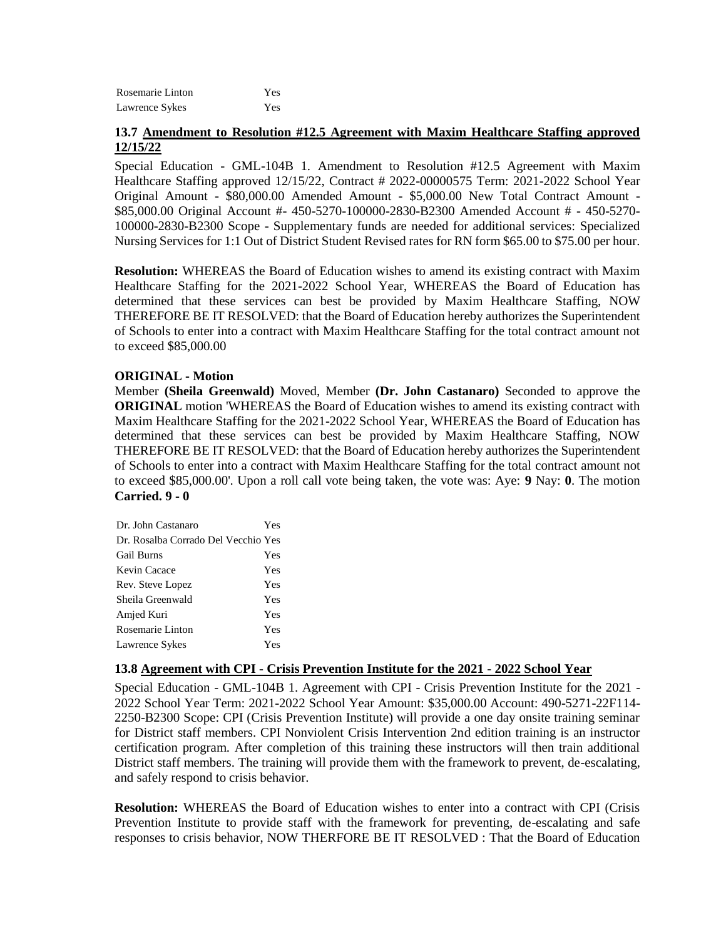| Rosemarie Linton | Yes |
|------------------|-----|
| Lawrence Sykes   | Yes |

## **13.7 Amendment to Resolution #12.5 Agreement with Maxim Healthcare Staffing approved 12/15/22**

Special Education - GML-104B 1. Amendment to Resolution #12.5 Agreement with Maxim Healthcare Staffing approved 12/15/22, Contract # 2022-00000575 Term: 2021-2022 School Year Original Amount - \$80,000.00 Amended Amount - \$5,000.00 New Total Contract Amount - \$85,000.00 Original Account #- 450-5270-100000-2830-B2300 Amended Account # - 450-5270- 100000-2830-B2300 Scope - Supplementary funds are needed for additional services: Specialized Nursing Services for 1:1 Out of District Student Revised rates for RN form \$65.00 to \$75.00 per hour.

**Resolution:** WHEREAS the Board of Education wishes to amend its existing contract with Maxim Healthcare Staffing for the 2021-2022 School Year, WHEREAS the Board of Education has determined that these services can best be provided by Maxim Healthcare Staffing, NOW THEREFORE BE IT RESOLVED: that the Board of Education hereby authorizes the Superintendent of Schools to enter into a contract with Maxim Healthcare Staffing for the total contract amount not to exceed \$85,000.00

## **ORIGINAL - Motion**

Member **(Sheila Greenwald)** Moved, Member **(Dr. John Castanaro)** Seconded to approve the **ORIGINAL** motion 'WHEREAS the Board of Education wishes to amend its existing contract with Maxim Healthcare Staffing for the 2021-2022 School Year, WHEREAS the Board of Education has determined that these services can best be provided by Maxim Healthcare Staffing, NOW THEREFORE BE IT RESOLVED: that the Board of Education hereby authorizes the Superintendent of Schools to enter into a contract with Maxim Healthcare Staffing for the total contract amount not to exceed \$85,000.00'. Upon a roll call vote being taken, the vote was: Aye: **9** Nay: **0**. The motion **Carried. 9 - 0** 

| Dr. John Castanaro                  | Yes |
|-------------------------------------|-----|
| Dr. Rosalba Corrado Del Vecchio Yes |     |
| <b>Gail Burns</b>                   | Yes |
| Kevin Cacace                        | Yes |
| Rev. Steve Lopez                    | Yes |
| Sheila Greenwald                    | Yes |
| Amjed Kuri                          | Yes |
| Rosemarie Linton                    | Yes |
| Lawrence Sykes                      | Yes |

### **13.8 Agreement with CPI - Crisis Prevention Institute for the 2021 - 2022 School Year**

Special Education - GML-104B 1. Agreement with CPI - Crisis Prevention Institute for the 2021 - 2022 School Year Term: 2021-2022 School Year Amount: \$35,000.00 Account: 490-5271-22F114- 2250-B2300 Scope: CPI (Crisis Prevention Institute) will provide a one day onsite training seminar for District staff members. CPI Nonviolent Crisis Intervention 2nd edition training is an instructor certification program. After completion of this training these instructors will then train additional District staff members. The training will provide them with the framework to prevent, de-escalating, and safely respond to crisis behavior.

**Resolution:** WHEREAS the Board of Education wishes to enter into a contract with CPI (Crisis Prevention Institute to provide staff with the framework for preventing, de-escalating and safe responses to crisis behavior, NOW THERFORE BE IT RESOLVED : That the Board of Education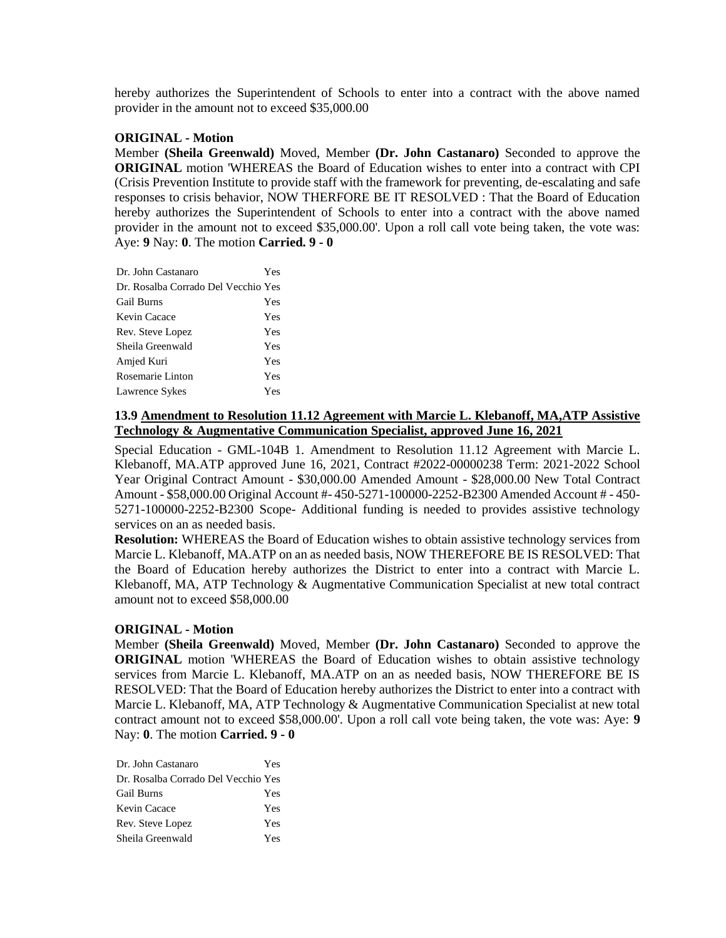hereby authorizes the Superintendent of Schools to enter into a contract with the above named provider in the amount not to exceed \$35,000.00

### **ORIGINAL - Motion**

Member **(Sheila Greenwald)** Moved, Member **(Dr. John Castanaro)** Seconded to approve the **ORIGINAL** motion 'WHEREAS the Board of Education wishes to enter into a contract with CPI (Crisis Prevention Institute to provide staff with the framework for preventing, de-escalating and safe responses to crisis behavior, NOW THERFORE BE IT RESOLVED : That the Board of Education hereby authorizes the Superintendent of Schools to enter into a contract with the above named provider in the amount not to exceed \$35,000.00'. Upon a roll call vote being taken, the vote was: Aye: **9** Nay: **0**. The motion **Carried. 9 - 0** 

| Dr. John Castanaro                  | Yes |
|-------------------------------------|-----|
| Dr. Rosalba Corrado Del Vecchio Yes |     |
| <b>Gail Burns</b>                   | Yes |
| Kevin Cacace                        | Yes |
| Rev. Steve Lopez                    | Yes |
| Sheila Greenwald                    | Yes |
| Amjed Kuri                          | Yes |
| Rosemarie Linton                    | Yes |
| Lawrence Sykes                      | Yes |

## **13.9 Amendment to Resolution 11.12 Agreement with Marcie L. Klebanoff, MA,ATP Assistive Technology & Augmentative Communication Specialist, approved June 16, 2021**

Special Education - GML-104B 1. Amendment to Resolution 11.12 Agreement with Marcie L. Klebanoff, MA.ATP approved June 16, 2021, Contract #2022-00000238 Term: 2021-2022 School Year Original Contract Amount - \$30,000.00 Amended Amount - \$28,000.00 New Total Contract Amount - \$58,000.00 Original Account #- 450-5271-100000-2252-B2300 Amended Account # - 450- 5271-100000-2252-B2300 Scope- Additional funding is needed to provides assistive technology services on an as needed basis.

**Resolution:** WHEREAS the Board of Education wishes to obtain assistive technology services from Marcie L. Klebanoff, MA.ATP on an as needed basis, NOW THEREFORE BE IS RESOLVED: That the Board of Education hereby authorizes the District to enter into a contract with Marcie L. Klebanoff, MA, ATP Technology & Augmentative Communication Specialist at new total contract amount not to exceed \$58,000.00

### **ORIGINAL - Motion**

Member **(Sheila Greenwald)** Moved, Member **(Dr. John Castanaro)** Seconded to approve the **ORIGINAL** motion 'WHEREAS the Board of Education wishes to obtain assistive technology services from Marcie L. Klebanoff, MA.ATP on an as needed basis, NOW THEREFORE BE IS RESOLVED: That the Board of Education hereby authorizes the District to enter into a contract with Marcie L. Klebanoff, MA, ATP Technology & Augmentative Communication Specialist at new total contract amount not to exceed \$58,000.00'. Upon a roll call vote being taken, the vote was: Aye: **9** Nay: **0**. The motion **Carried. 9 - 0** 

| Dr. John Castanaro                  | Yes |
|-------------------------------------|-----|
| Dr. Rosalba Corrado Del Vecchio Yes |     |
| Gail Burns                          | Yes |
| Kevin Cacace                        | Yes |
| Rev. Steve Lopez                    | Yes |
| Sheila Greenwald                    | Yes |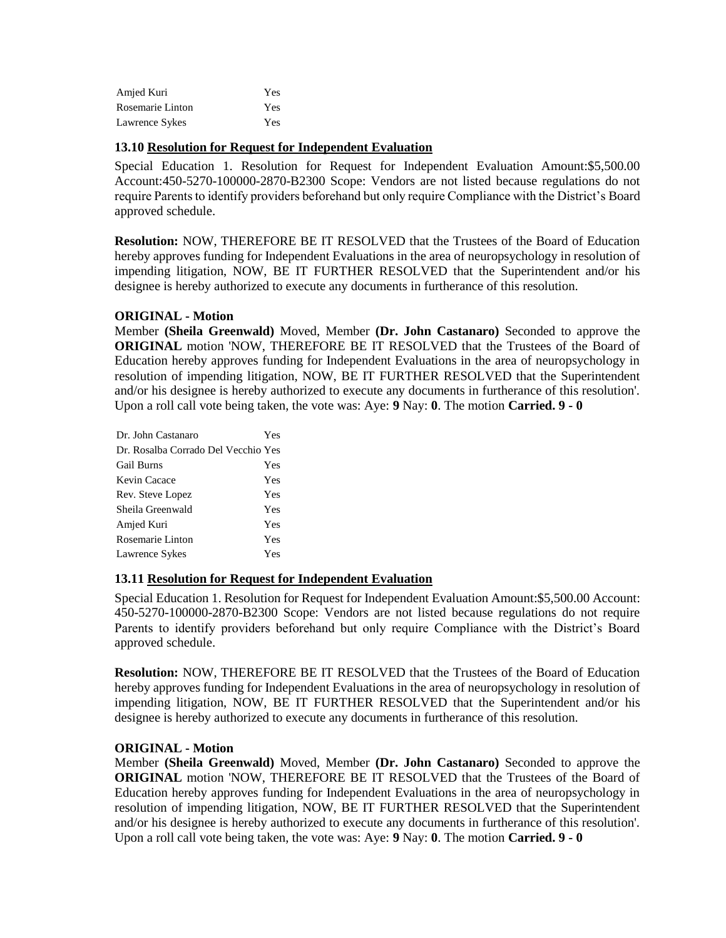| Amjed Kuri       | Yes |
|------------------|-----|
| Rosemarie Linton | Yes |
| Lawrence Sykes   | Yes |

## **13.10 Resolution for Request for Independent Evaluation**

Special Education 1. Resolution for Request for Independent Evaluation Amount:\$5,500.00 Account:450-5270-100000-2870-B2300 Scope: Vendors are not listed because regulations do not require Parents to identify providers beforehand but only require Compliance with the District's Board approved schedule.

**Resolution:** NOW, THEREFORE BE IT RESOLVED that the Trustees of the Board of Education hereby approves funding for Independent Evaluations in the area of neuropsychology in resolution of impending litigation, NOW, BE IT FURTHER RESOLVED that the Superintendent and/or his designee is hereby authorized to execute any documents in furtherance of this resolution.

## **ORIGINAL - Motion**

Member **(Sheila Greenwald)** Moved, Member **(Dr. John Castanaro)** Seconded to approve the **ORIGINAL** motion 'NOW, THEREFORE BE IT RESOLVED that the Trustees of the Board of Education hereby approves funding for Independent Evaluations in the area of neuropsychology in resolution of impending litigation, NOW, BE IT FURTHER RESOLVED that the Superintendent and/or his designee is hereby authorized to execute any documents in furtherance of this resolution'. Upon a roll call vote being taken, the vote was: Aye: **9** Nay: **0**. The motion **Carried. 9 - 0** 

| Dr. John Castanaro                  | Yes |
|-------------------------------------|-----|
| Dr. Rosalba Corrado Del Vecchio Yes |     |
| <b>Gail Burns</b>                   | Yes |
| Kevin Cacace                        | Yes |
| Rev. Steve Lopez                    | Yes |
| Sheila Greenwald                    | Yes |
| Amjed Kuri                          | Yes |
| Rosemarie Linton                    | Yes |
| Lawrence Sykes                      | Yes |

## **13.11 Resolution for Request for Independent Evaluation**

Special Education 1. Resolution for Request for Independent Evaluation Amount:\$5,500.00 Account: 450-5270-100000-2870-B2300 Scope: Vendors are not listed because regulations do not require Parents to identify providers beforehand but only require Compliance with the District's Board approved schedule.

**Resolution:** NOW, THEREFORE BE IT RESOLVED that the Trustees of the Board of Education hereby approves funding for Independent Evaluations in the area of neuropsychology in resolution of impending litigation, NOW, BE IT FURTHER RESOLVED that the Superintendent and/or his designee is hereby authorized to execute any documents in furtherance of this resolution.

### **ORIGINAL - Motion**

Member **(Sheila Greenwald)** Moved, Member **(Dr. John Castanaro)** Seconded to approve the **ORIGINAL** motion 'NOW, THEREFORE BE IT RESOLVED that the Trustees of the Board of Education hereby approves funding for Independent Evaluations in the area of neuropsychology in resolution of impending litigation, NOW, BE IT FURTHER RESOLVED that the Superintendent and/or his designee is hereby authorized to execute any documents in furtherance of this resolution'. Upon a roll call vote being taken, the vote was: Aye: **9** Nay: **0**. The motion **Carried. 9 - 0**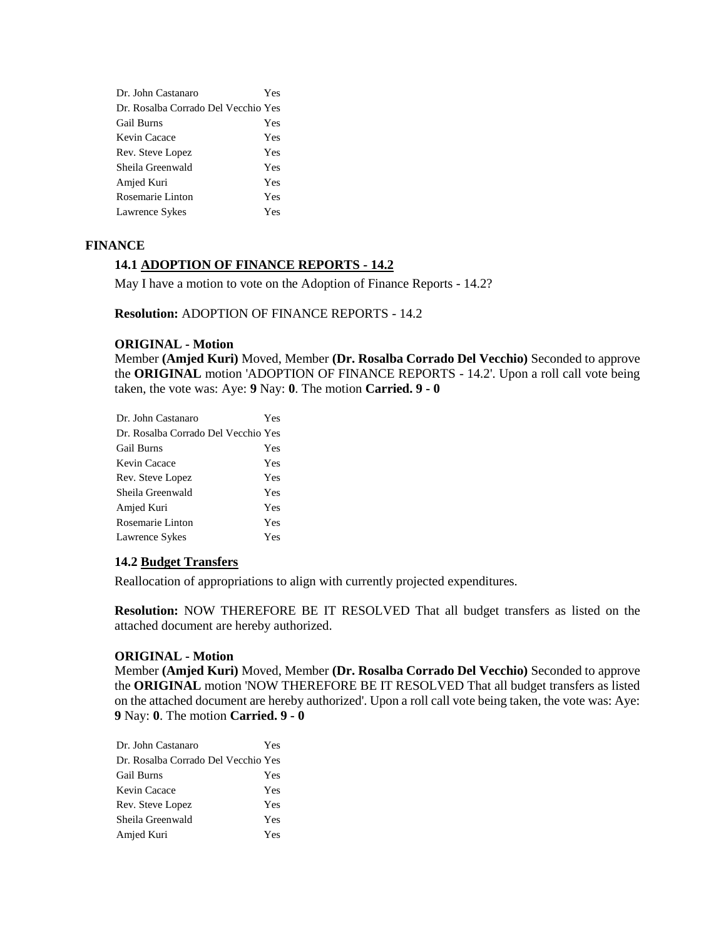| Dr. John Castanaro                  | Yes |
|-------------------------------------|-----|
| Dr. Rosalba Corrado Del Vecchio Yes |     |
| Gail Burns                          | Yes |
| Kevin Cacace                        | Yes |
| Rev. Steve Lopez                    | Yes |
| Sheila Greenwald                    | Yes |
| Amjed Kuri                          | Yes |
| Rosemarie Linton                    | Yes |
| Lawrence Sykes                      | Yes |

## **FINANCE**

## **14.1 ADOPTION OF FINANCE REPORTS - 14.2**

May I have a motion to vote on the Adoption of Finance Reports - 14.2?

**Resolution:** ADOPTION OF FINANCE REPORTS - 14.2

#### **ORIGINAL - Motion**

Member **(Amjed Kuri)** Moved, Member **(Dr. Rosalba Corrado Del Vecchio)** Seconded to approve the **ORIGINAL** motion 'ADOPTION OF FINANCE REPORTS - 14.2'. Upon a roll call vote being taken, the vote was: Aye: **9** Nay: **0**. The motion **Carried. 9 - 0** 

| Dr. John Castanaro                  | Yes |
|-------------------------------------|-----|
| Dr. Rosalba Corrado Del Vecchio Yes |     |
| Gail Burns                          | Yes |
| Kevin Cacace                        | Yes |
| Rev. Steve Lopez                    | Yes |
| Sheila Greenwald                    | Yes |
| Amjed Kuri                          | Yes |
| Rosemarie Linton                    | Yes |
| Lawrence Sykes                      | Yes |
|                                     |     |

### **14.2 Budget Transfers**

Reallocation of appropriations to align with currently projected expenditures.

**Resolution:** NOW THEREFORE BE IT RESOLVED That all budget transfers as listed on the attached document are hereby authorized.

### **ORIGINAL - Motion**

Member **(Amjed Kuri)** Moved, Member **(Dr. Rosalba Corrado Del Vecchio)** Seconded to approve the **ORIGINAL** motion 'NOW THEREFORE BE IT RESOLVED That all budget transfers as listed on the attached document are hereby authorized'. Upon a roll call vote being taken, the vote was: Aye: **9** Nay: **0**. The motion **Carried. 9 - 0** 

| Dr. John Castanaro                  | Yes |
|-------------------------------------|-----|
| Dr. Rosalba Corrado Del Vecchio Yes |     |
| <b>Gail Burns</b>                   | Yes |
| Kevin Cacace                        | Yes |
| Rev. Steve Lopez                    | Yes |
| Sheila Greenwald                    | Yes |
| Amjed Kuri                          | Yes |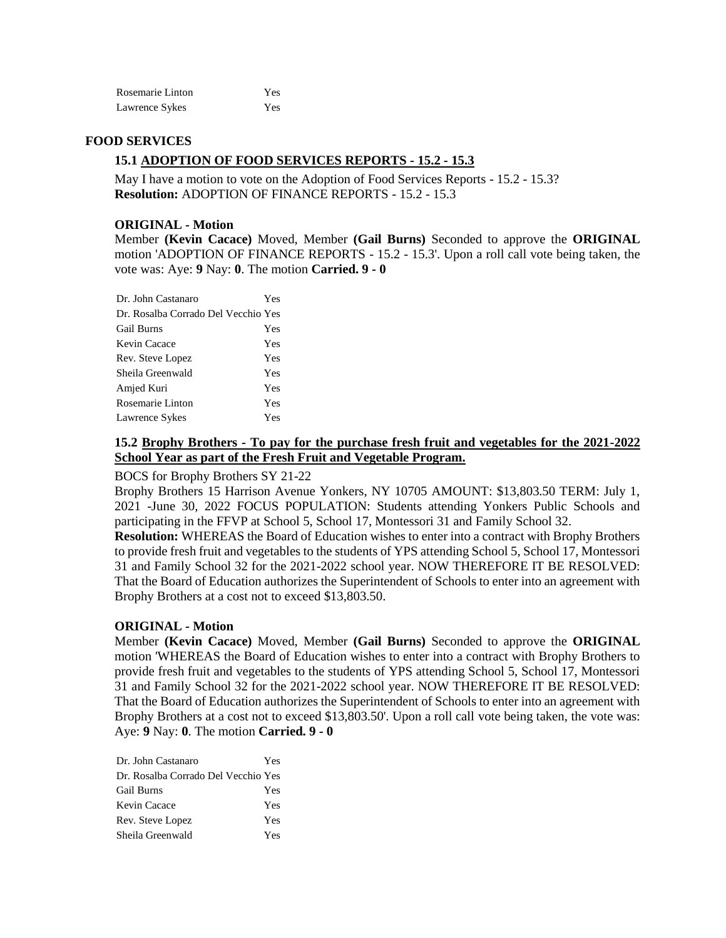| Rosemarie Linton | Yes |
|------------------|-----|
| Lawrence Sykes   | Yes |

### **FOOD SERVICES**

# **15.1 ADOPTION OF FOOD SERVICES REPORTS - 15.2 - 15.3**

May I have a motion to vote on the Adoption of Food Services Reports - 15.2 - 15.3? **Resolution:** ADOPTION OF FINANCE REPORTS - 15.2 - 15.3

### **ORIGINAL - Motion**

Member **(Kevin Cacace)** Moved, Member **(Gail Burns)** Seconded to approve the **ORIGINAL**  motion 'ADOPTION OF FINANCE REPORTS - 15.2 - 15.3'. Upon a roll call vote being taken, the vote was: Aye: **9** Nay: **0**. The motion **Carried. 9 - 0** 

| Yes                                 |
|-------------------------------------|
| Dr. Rosalba Corrado Del Vecchio Yes |
| Yes                                 |
| Yes                                 |
| Yes                                 |
| Yes                                 |
| Yes                                 |
| Yes                                 |
| Yes                                 |
|                                     |

## **15.2 Brophy Brothers - To pay for the purchase fresh fruit and vegetables for the 2021-2022 School Year as part of the Fresh Fruit and Vegetable Program.**

## BOCS for Brophy Brothers SY 21-22

Brophy Brothers 15 Harrison Avenue Yonkers, NY 10705 AMOUNT: \$13,803.50 TERM: July 1, 2021 -June 30, 2022 FOCUS POPULATION: Students attending Yonkers Public Schools and participating in the FFVP at School 5, School 17, Montessori 31 and Family School 32.

**Resolution:** WHEREAS the Board of Education wishes to enter into a contract with Brophy Brothers to provide fresh fruit and vegetables to the students of YPS attending School 5, School 17, Montessori 31 and Family School 32 for the 2021-2022 school year. NOW THEREFORE IT BE RESOLVED: That the Board of Education authorizes the Superintendent of Schools to enter into an agreement with Brophy Brothers at a cost not to exceed \$13,803.50.

### **ORIGINAL - Motion**

Member **(Kevin Cacace)** Moved, Member **(Gail Burns)** Seconded to approve the **ORIGINAL**  motion 'WHEREAS the Board of Education wishes to enter into a contract with Brophy Brothers to provide fresh fruit and vegetables to the students of YPS attending School 5, School 17, Montessori 31 and Family School 32 for the 2021-2022 school year. NOW THEREFORE IT BE RESOLVED: That the Board of Education authorizes the Superintendent of Schools to enter into an agreement with Brophy Brothers at a cost not to exceed \$13,803.50'. Upon a roll call vote being taken, the vote was: Aye: **9** Nay: **0**. The motion **Carried. 9 - 0** 

| Dr. Rosalba Corrado Del Vecchio Yes |  |
|-------------------------------------|--|
| <b>Gail Burns</b><br>Yes            |  |
| Kevin Cacace<br>Yes                 |  |
| Rev. Steve Lopez<br>Yes             |  |
| Sheila Greenwald<br>Yes             |  |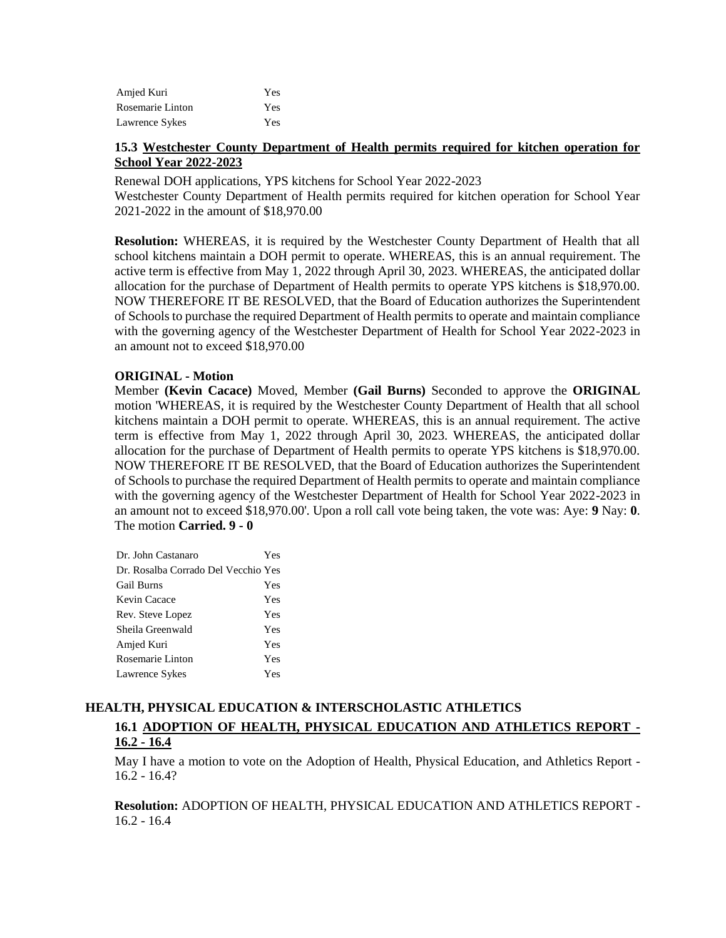| Amjed Kuri       | Yes |
|------------------|-----|
| Rosemarie Linton | Yes |
| Lawrence Sykes   | Yes |

# **15.3 Westchester County Department of Health permits required for kitchen operation for School Year 2022-2023**

Renewal DOH applications, YPS kitchens for School Year 2022-2023

Westchester County Department of Health permits required for kitchen operation for School Year 2021-2022 in the amount of \$18,970.00

**Resolution:** WHEREAS, it is required by the Westchester County Department of Health that all school kitchens maintain a DOH permit to operate. WHEREAS, this is an annual requirement. The active term is effective from May 1, 2022 through April 30, 2023. WHEREAS, the anticipated dollar allocation for the purchase of Department of Health permits to operate YPS kitchens is \$18,970.00. NOW THEREFORE IT BE RESOLVED, that the Board of Education authorizes the Superintendent of Schools to purchase the required Department of Health permits to operate and maintain compliance with the governing agency of the Westchester Department of Health for School Year 2022-2023 in an amount not to exceed \$18,970.00

## **ORIGINAL - Motion**

Member **(Kevin Cacace)** Moved, Member **(Gail Burns)** Seconded to approve the **ORIGINAL**  motion 'WHEREAS, it is required by the Westchester County Department of Health that all school kitchens maintain a DOH permit to operate. WHEREAS, this is an annual requirement. The active term is effective from May 1, 2022 through April 30, 2023. WHEREAS, the anticipated dollar allocation for the purchase of Department of Health permits to operate YPS kitchens is \$18,970.00. NOW THEREFORE IT BE RESOLVED, that the Board of Education authorizes the Superintendent of Schools to purchase the required Department of Health permits to operate and maintain compliance with the governing agency of the Westchester Department of Health for School Year 2022-2023 in an amount not to exceed \$18,970.00'. Upon a roll call vote being taken, the vote was: Aye: **9** Nay: **0**. The motion **Carried. 9 - 0** 

| Dr. John Castanaro                  | Yes |
|-------------------------------------|-----|
| Dr. Rosalba Corrado Del Vecchio Yes |     |
| <b>Gail Burns</b>                   | Yes |
| Kevin Cacace                        | Yes |
| Rev. Steve Lopez                    | Yes |
| Sheila Greenwald                    | Yes |
| Amjed Kuri                          | Yes |
| Rosemarie Linton                    | Yes |
| Lawrence Sykes                      | Yes |

# **HEALTH, PHYSICAL EDUCATION & INTERSCHOLASTIC ATHLETICS 16.1 ADOPTION OF HEALTH, PHYSICAL EDUCATION AND ATHLETICS REPORT - 16.2 - 16.4**

May I have a motion to vote on the Adoption of Health, Physical Education, and Athletics Report - 16.2 - 16.4?

**Resolution:** ADOPTION OF HEALTH, PHYSICAL EDUCATION AND ATHLETICS REPORT - 16.2 - 16.4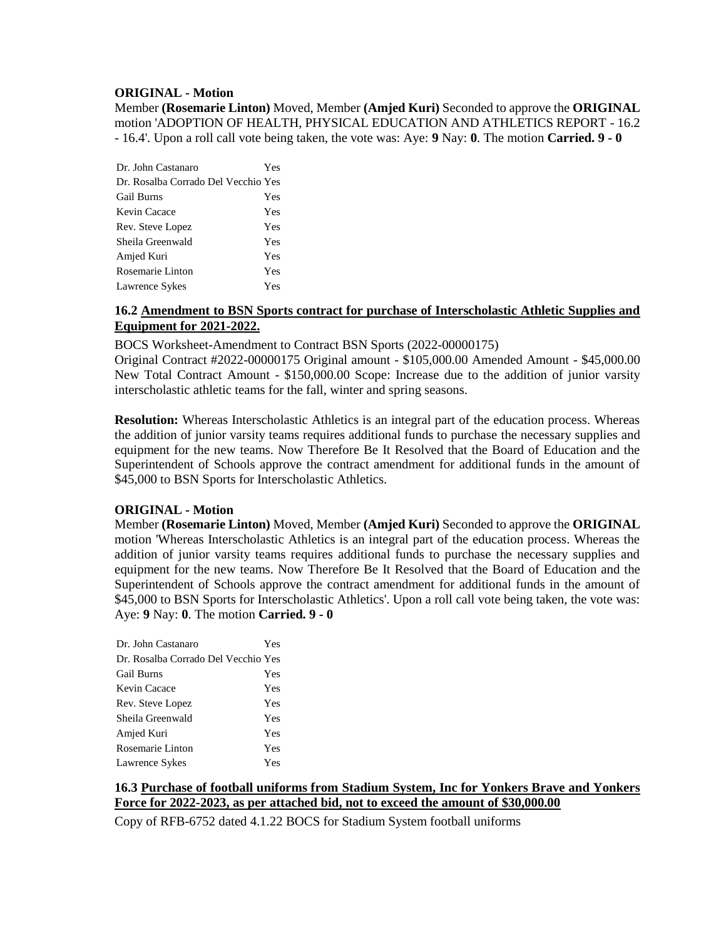## **ORIGINAL - Motion**

Member **(Rosemarie Linton)** Moved, Member **(Amjed Kuri)** Seconded to approve the **ORIGINAL**  motion 'ADOPTION OF HEALTH, PHYSICAL EDUCATION AND ATHLETICS REPORT - 16.2 - 16.4'. Upon a roll call vote being taken, the vote was: Aye: **9** Nay: **0**. The motion **Carried. 9 - 0** 

| Dr. John Castanaro                  | Yes |
|-------------------------------------|-----|
| Dr. Rosalba Corrado Del Vecchio Yes |     |
| <b>Gail Burns</b>                   | Yes |
| Kevin Cacace                        | Yes |
| Rev. Steve Lopez                    | Yes |
| Sheila Greenwald                    | Yes |
| Amjed Kuri                          | Yes |
| Rosemarie Linton                    | Yes |
| Lawrence Sykes                      | Yes |

## **16.2 Amendment to BSN Sports contract for purchase of Interscholastic Athletic Supplies and Equipment for 2021-2022.**

BOCS Worksheet-Amendment to Contract BSN Sports (2022-00000175)

Original Contract #2022-00000175 Original amount - \$105,000.00 Amended Amount - \$45,000.00 New Total Contract Amount - \$150,000.00 Scope: Increase due to the addition of junior varsity interscholastic athletic teams for the fall, winter and spring seasons.

**Resolution:** Whereas Interscholastic Athletics is an integral part of the education process. Whereas the addition of junior varsity teams requires additional funds to purchase the necessary supplies and equipment for the new teams. Now Therefore Be It Resolved that the Board of Education and the Superintendent of Schools approve the contract amendment for additional funds in the amount of \$45,000 to BSN Sports for Interscholastic Athletics.

## **ORIGINAL - Motion**

Member **(Rosemarie Linton)** Moved, Member **(Amjed Kuri)** Seconded to approve the **ORIGINAL**  motion 'Whereas Interscholastic Athletics is an integral part of the education process. Whereas the addition of junior varsity teams requires additional funds to purchase the necessary supplies and equipment for the new teams. Now Therefore Be It Resolved that the Board of Education and the Superintendent of Schools approve the contract amendment for additional funds in the amount of \$45,000 to BSN Sports for Interscholastic Athletics'. Upon a roll call vote being taken, the vote was: Aye: **9** Nay: **0**. The motion **Carried. 9 - 0** 

| Dr. John Castanaro                  | Yes |
|-------------------------------------|-----|
| Dr. Rosalba Corrado Del Vecchio Yes |     |
| <b>Gail Burns</b>                   | Yes |
| Kevin Cacace                        | Yes |
| Rev. Steve Lopez                    | Yes |
| Sheila Greenwald                    | Yes |
| Amjed Kuri                          | Yes |
| Rosemarie Linton                    | Yes |
| Lawrence Sykes                      | Yes |

# **16.3 Purchase of football uniforms from Stadium System, Inc for Yonkers Brave and Yonkers Force for 2022-2023, as per attached bid, not to exceed the amount of \$30,000.00**

Copy of RFB-6752 dated 4.1.22 BOCS for Stadium System football uniforms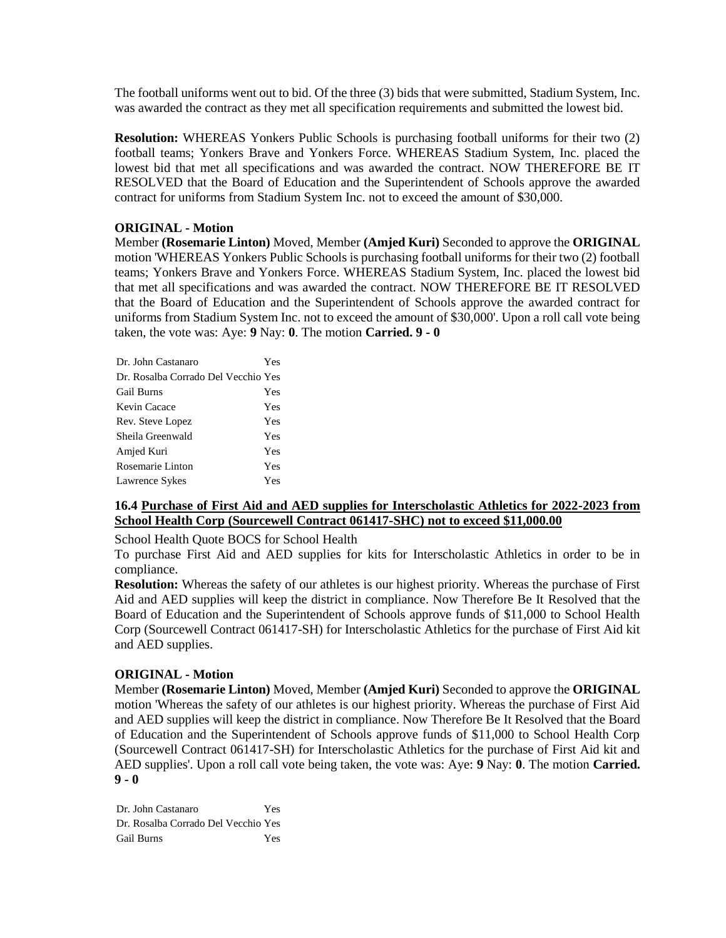The football uniforms went out to bid. Of the three (3) bids that were submitted, Stadium System, Inc. was awarded the contract as they met all specification requirements and submitted the lowest bid.

**Resolution:** WHEREAS Yonkers Public Schools is purchasing football uniforms for their two (2) football teams; Yonkers Brave and Yonkers Force. WHEREAS Stadium System, Inc. placed the lowest bid that met all specifications and was awarded the contract. NOW THEREFORE BE IT RESOLVED that the Board of Education and the Superintendent of Schools approve the awarded contract for uniforms from Stadium System Inc. not to exceed the amount of \$30,000.

# **ORIGINAL - Motion**

Member **(Rosemarie Linton)** Moved, Member **(Amjed Kuri)** Seconded to approve the **ORIGINAL**  motion 'WHEREAS Yonkers Public Schools is purchasing football uniforms for their two (2) football teams; Yonkers Brave and Yonkers Force. WHEREAS Stadium System, Inc. placed the lowest bid that met all specifications and was awarded the contract. NOW THEREFORE BE IT RESOLVED that the Board of Education and the Superintendent of Schools approve the awarded contract for uniforms from Stadium System Inc. not to exceed the amount of \$30,000'. Upon a roll call vote being taken, the vote was: Aye: **9** Nay: **0**. The motion **Carried. 9 - 0** 

| Dr. John Castanaro                  | Yes |
|-------------------------------------|-----|
| Dr. Rosalba Corrado Del Vecchio Yes |     |
| <b>Gail Burns</b>                   | Yes |
| Kevin Cacace                        | Yes |
| Rev. Steve Lopez                    | Yes |
| Sheila Greenwald                    | Yes |
| Amjed Kuri                          | Yes |
| Rosemarie Linton                    | Yes |
| Lawrence Sykes                      | Yes |

# **16.4 Purchase of First Aid and AED supplies for Interscholastic Athletics for 2022-2023 from School Health Corp (Sourcewell Contract 061417-SHC) not to exceed \$11,000.00**

School Health Quote BOCS for School Health

To purchase First Aid and AED supplies for kits for Interscholastic Athletics in order to be in compliance.

**Resolution:** Whereas the safety of our athletes is our highest priority. Whereas the purchase of First Aid and AED supplies will keep the district in compliance. Now Therefore Be It Resolved that the Board of Education and the Superintendent of Schools approve funds of \$11,000 to School Health Corp (Sourcewell Contract 061417-SH) for Interscholastic Athletics for the purchase of First Aid kit and AED supplies.

## **ORIGINAL - Motion**

Member **(Rosemarie Linton)** Moved, Member **(Amjed Kuri)** Seconded to approve the **ORIGINAL**  motion 'Whereas the safety of our athletes is our highest priority. Whereas the purchase of First Aid and AED supplies will keep the district in compliance. Now Therefore Be It Resolved that the Board of Education and the Superintendent of Schools approve funds of \$11,000 to School Health Corp (Sourcewell Contract 061417-SH) for Interscholastic Athletics for the purchase of First Aid kit and AED supplies'. Upon a roll call vote being taken, the vote was: Aye: **9** Nay: **0**. The motion **Carried. 9 - 0** 

Dr. John Castanaro Yes Dr. Rosalba Corrado Del Vecchio Yes Gail Burns Yes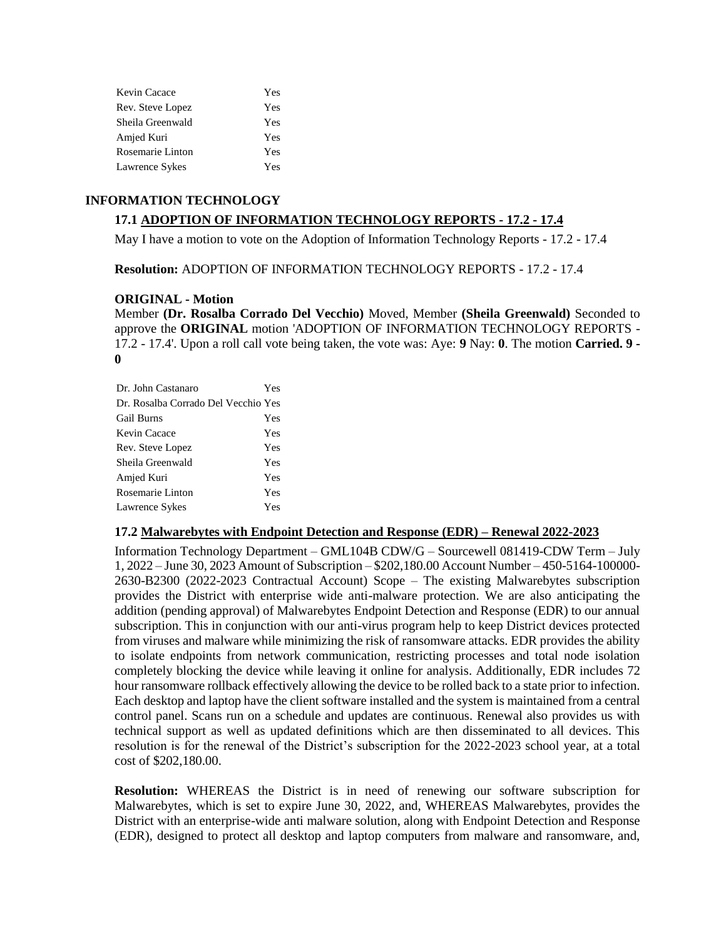| Kevin Cacace     | Yes |
|------------------|-----|
| Rev. Steve Lopez | Yes |
| Sheila Greenwald | Yes |
| Amjed Kuri       | Yes |
| Rosemarie Linton | Yes |
| Lawrence Sykes   | Yes |

## **INFORMATION TECHNOLOGY**

## **17.1 ADOPTION OF INFORMATION TECHNOLOGY REPORTS - 17.2 - 17.4**

May I have a motion to vote on the Adoption of Information Technology Reports - 17.2 - 17.4

**Resolution:** ADOPTION OF INFORMATION TECHNOLOGY REPORTS - 17.2 - 17.4

## **ORIGINAL - Motion**

Member **(Dr. Rosalba Corrado Del Vecchio)** Moved, Member **(Sheila Greenwald)** Seconded to approve the **ORIGINAL** motion 'ADOPTION OF INFORMATION TECHNOLOGY REPORTS - 17.2 - 17.4'. Upon a roll call vote being taken, the vote was: Aye: **9** Nay: **0**. The motion **Carried. 9 - 0** 

| Dr. John Castanaro                  | Yes |
|-------------------------------------|-----|
| Dr. Rosalba Corrado Del Vecchio Yes |     |
| <b>Gail Burns</b>                   | Yes |
| Kevin Cacace                        | Yes |
| Rev. Steve Lopez                    | Yes |
| Sheila Greenwald                    | Yes |
| Amjed Kuri                          | Yes |
| Rosemarie Linton                    | Yes |
| Lawrence Sykes                      | Yes |

### **17.2 Malwarebytes with Endpoint Detection and Response (EDR) – Renewal 2022-2023**

Information Technology Department – GML104B CDW/G – Sourcewell 081419-CDW Term – July 1, 2022 – June 30, 2023 Amount of Subscription – \$202,180.00 Account Number – 450-5164-100000- 2630-B2300 (2022-2023 Contractual Account) Scope – The existing Malwarebytes subscription provides the District with enterprise wide anti-malware protection. We are also anticipating the addition (pending approval) of Malwarebytes Endpoint Detection and Response (EDR) to our annual subscription. This in conjunction with our anti-virus program help to keep District devices protected from viruses and malware while minimizing the risk of ransomware attacks. EDR provides the ability to isolate endpoints from network communication, restricting processes and total node isolation completely blocking the device while leaving it online for analysis. Additionally, EDR includes 72 hour ransomware rollback effectively allowing the device to be rolled back to a state prior to infection. Each desktop and laptop have the client software installed and the system is maintained from a central control panel. Scans run on a schedule and updates are continuous. Renewal also provides us with technical support as well as updated definitions which are then disseminated to all devices. This resolution is for the renewal of the District's subscription for the 2022-2023 school year, at a total cost of \$202,180.00.

**Resolution:** WHEREAS the District is in need of renewing our software subscription for Malwarebytes, which is set to expire June 30, 2022, and, WHEREAS Malwarebytes, provides the District with an enterprise-wide anti malware solution, along with Endpoint Detection and Response (EDR), designed to protect all desktop and laptop computers from malware and ransomware, and,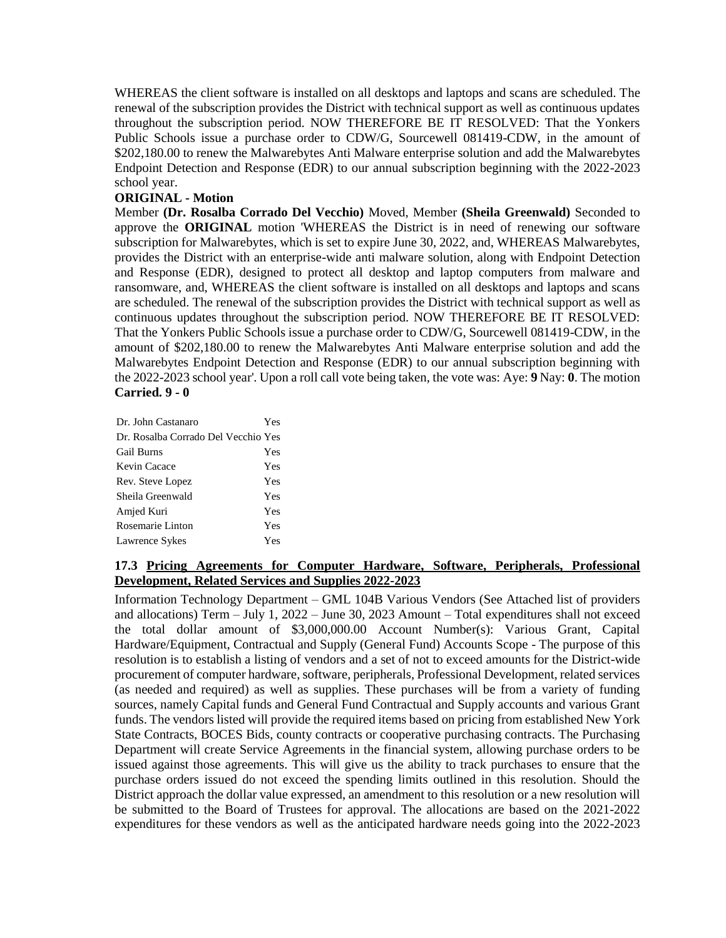WHEREAS the client software is installed on all desktops and laptops and scans are scheduled. The renewal of the subscription provides the District with technical support as well as continuous updates throughout the subscription period. NOW THEREFORE BE IT RESOLVED: That the Yonkers Public Schools issue a purchase order to CDW/G, Sourcewell 081419-CDW, in the amount of \$202,180.00 to renew the Malwarebytes Anti Malware enterprise solution and add the Malwarebytes Endpoint Detection and Response (EDR) to our annual subscription beginning with the 2022-2023 school year.

## **ORIGINAL - Motion**

Member **(Dr. Rosalba Corrado Del Vecchio)** Moved, Member **(Sheila Greenwald)** Seconded to approve the **ORIGINAL** motion 'WHEREAS the District is in need of renewing our software subscription for Malwarebytes, which is set to expire June 30, 2022, and, WHEREAS Malwarebytes, provides the District with an enterprise-wide anti malware solution, along with Endpoint Detection and Response (EDR), designed to protect all desktop and laptop computers from malware and ransomware, and, WHEREAS the client software is installed on all desktops and laptops and scans are scheduled. The renewal of the subscription provides the District with technical support as well as continuous updates throughout the subscription period. NOW THEREFORE BE IT RESOLVED: That the Yonkers Public Schools issue a purchase order to CDW/G, Sourcewell 081419-CDW, in the amount of \$202,180.00 to renew the Malwarebytes Anti Malware enterprise solution and add the Malwarebytes Endpoint Detection and Response (EDR) to our annual subscription beginning with the 2022-2023 school year'. Upon a roll call vote being taken, the vote was: Aye: **9** Nay: **0**. The motion **Carried. 9 - 0** 

| Dr. John Castanaro                  | Yes |
|-------------------------------------|-----|
| Dr. Rosalba Corrado Del Vecchio Yes |     |
| <b>Gail Burns</b>                   | Yes |
| Kevin Cacace                        | Yes |
| Rev. Steve Lopez                    | Yes |
| Sheila Greenwald                    | Yes |
| Amjed Kuri                          | Yes |
| Rosemarie Linton                    | Yes |
| Lawrence Sykes                      | Yes |

# **17.3 Pricing Agreements for Computer Hardware, Software, Peripherals, Professional Development, Related Services and Supplies 2022-2023**

Information Technology Department – GML 104B Various Vendors (See Attached list of providers and allocations) Term – July 1, 2022 – June 30, 2023 Amount – Total expenditures shall not exceed the total dollar amount of \$3,000,000.00 Account Number(s): Various Grant, Capital Hardware/Equipment, Contractual and Supply (General Fund) Accounts Scope - The purpose of this resolution is to establish a listing of vendors and a set of not to exceed amounts for the District-wide procurement of computer hardware, software, peripherals, Professional Development, related services (as needed and required) as well as supplies. These purchases will be from a variety of funding sources, namely Capital funds and General Fund Contractual and Supply accounts and various Grant funds. The vendors listed will provide the required items based on pricing from established New York State Contracts, BOCES Bids, county contracts or cooperative purchasing contracts. The Purchasing Department will create Service Agreements in the financial system, allowing purchase orders to be issued against those agreements. This will give us the ability to track purchases to ensure that the purchase orders issued do not exceed the spending limits outlined in this resolution. Should the District approach the dollar value expressed, an amendment to this resolution or a new resolution will be submitted to the Board of Trustees for approval. The allocations are based on the 2021-2022 expenditures for these vendors as well as the anticipated hardware needs going into the 2022-2023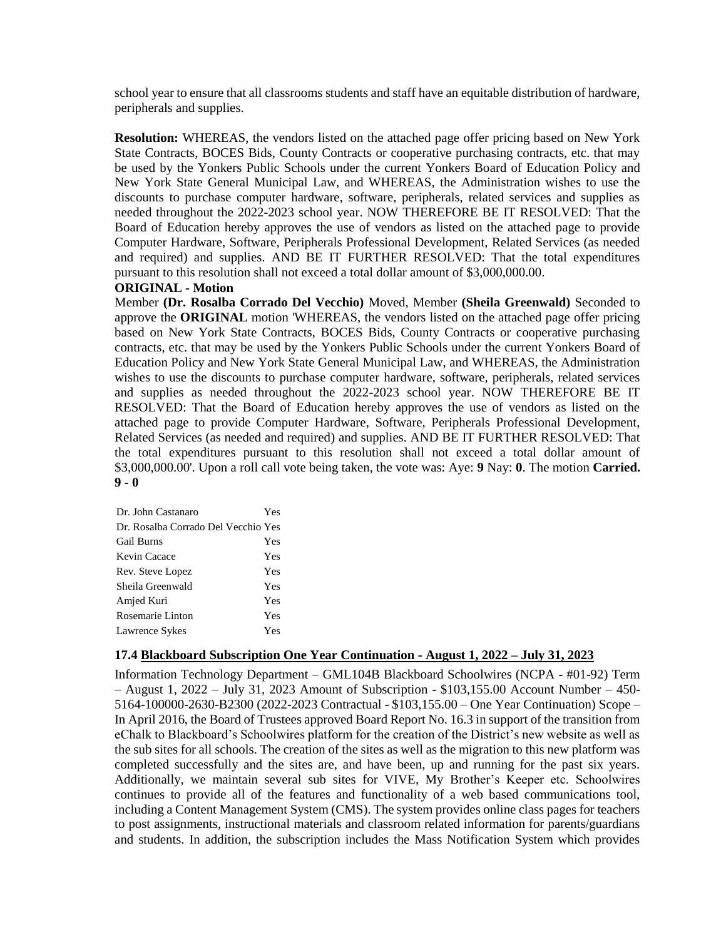school year to ensure that all classrooms students and staff have an equitable distribution of hardware, peripherals and supplies.

**Resolution:** WHEREAS, the vendors listed on the attached page offer pricing based on New York State Contracts, BOCES Bids, County Contracts or cooperative purchasing contracts, etc. that may be used by the Yonkers Public Schools under the current Yonkers Board of Education Policy and New York State General Municipal Law, and WHEREAS, the Administration wishes to use the discounts to purchase computer hardware, software, peripherals, related services and supplies as needed throughout the 2022-2023 school year. NOW THEREFORE BE IT RESOLVED: That the Board of Education hereby approves the use of vendors as listed on the attached page to provide Computer Hardware, Software, Peripherals Professional Development, Related Services (as needed and required) and supplies. AND BE IT FURTHER RESOLVED: That the total expenditures pursuant to this resolution shall not exceed a total dollar amount of \$3,000,000.00.

## **ORIGINAL - Motion**

Member **(Dr. Rosalba Corrado Del Vecchio)** Moved, Member **(Sheila Greenwald)** Seconded to approve the **ORIGINAL** motion 'WHEREAS, the vendors listed on the attached page offer pricing based on New York State Contracts, BOCES Bids, County Contracts or cooperative purchasing contracts, etc. that may be used by the Yonkers Public Schools under the current Yonkers Board of Education Policy and New York State General Municipal Law, and WHEREAS, the Administration wishes to use the discounts to purchase computer hardware, software, peripherals, related services and supplies as needed throughout the 2022-2023 school year. NOW THEREFORE BE IT RESOLVED: That the Board of Education hereby approves the use of vendors as listed on the attached page to provide Computer Hardware, Software, Peripherals Professional Development, Related Services (as needed and required) and supplies. AND BE IT FURTHER RESOLVED: That the total expenditures pursuant to this resolution shall not exceed a total dollar amount of \$3,000,000.00'. Upon a roll call vote being taken, the vote was: Aye: **9** Nay: **0**. The motion **Carried. 9 - 0** 

| Dr. John Castanaro                  | Yes |
|-------------------------------------|-----|
| Dr. Rosalba Corrado Del Vecchio Yes |     |
| <b>Gail Burns</b>                   | Yes |
| Kevin Cacace                        | Yes |
| Rev. Steve Lopez                    | Yes |
| Sheila Greenwald                    | Yes |
| Amjed Kuri                          | Yes |
| Rosemarie Linton                    | Yes |
| Lawrence Sykes                      | Yes |

## **17.4 Blackboard Subscription One Year Continuation - August 1, 2022 – July 31, 2023**

Information Technology Department – GML104B Blackboard Schoolwires (NCPA - #01-92) Term – August 1, 2022 – July 31, 2023 Amount of Subscription - \$103,155.00 Account Number – 450- 5164-100000-2630-B2300 (2022-2023 Contractual - \$103,155.00 – One Year Continuation) Scope – In April 2016, the Board of Trustees approved Board Report No. 16.3 in support of the transition from eChalk to Blackboard's Schoolwires platform for the creation of the District's new website as well as the sub sites for all schools. The creation of the sites as well as the migration to this new platform was completed successfully and the sites are, and have been, up and running for the past six years. Additionally, we maintain several sub sites for VIVE, My Brother's Keeper etc. Schoolwires continues to provide all of the features and functionality of a web based communications tool, including a Content Management System (CMS). The system provides online class pages for teachers to post assignments, instructional materials and classroom related information for parents/guardians and students. In addition, the subscription includes the Mass Notification System which provides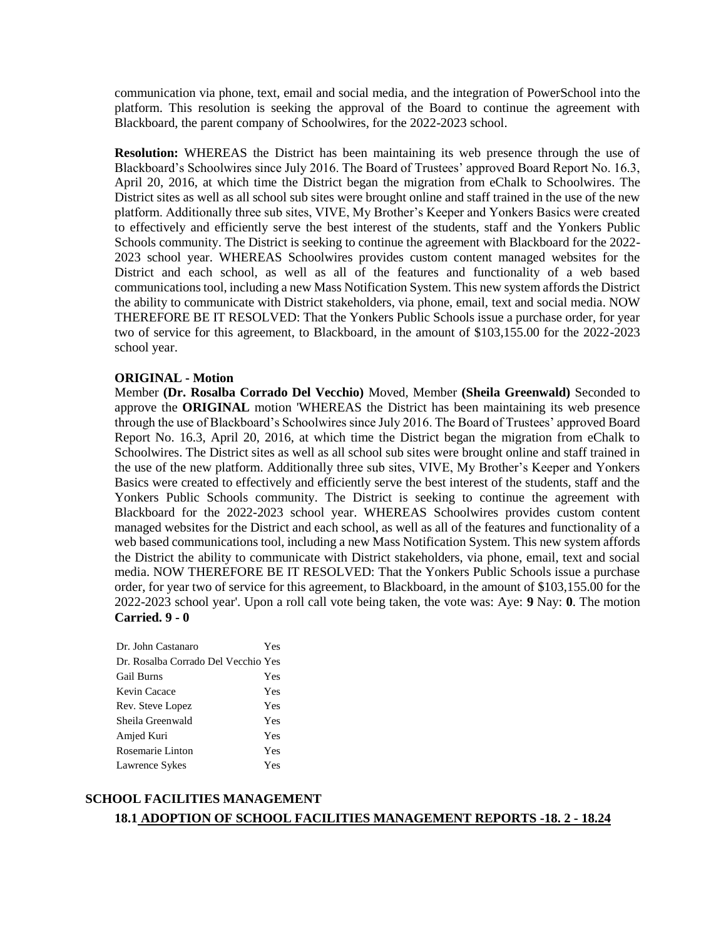communication via phone, text, email and social media, and the integration of PowerSchool into the platform. This resolution is seeking the approval of the Board to continue the agreement with Blackboard, the parent company of Schoolwires, for the 2022-2023 school.

**Resolution:** WHEREAS the District has been maintaining its web presence through the use of Blackboard's Schoolwires since July 2016. The Board of Trustees' approved Board Report No. 16.3, April 20, 2016, at which time the District began the migration from eChalk to Schoolwires. The District sites as well as all school sub sites were brought online and staff trained in the use of the new platform. Additionally three sub sites, VIVE, My Brother's Keeper and Yonkers Basics were created to effectively and efficiently serve the best interest of the students, staff and the Yonkers Public Schools community. The District is seeking to continue the agreement with Blackboard for the 2022- 2023 school year. WHEREAS Schoolwires provides custom content managed websites for the District and each school, as well as all of the features and functionality of a web based communications tool, including a new Mass Notification System. This new system affords the District the ability to communicate with District stakeholders, via phone, email, text and social media. NOW THEREFORE BE IT RESOLVED: That the Yonkers Public Schools issue a purchase order, for year two of service for this agreement, to Blackboard, in the amount of \$103,155.00 for the 2022-2023 school year.

### **ORIGINAL - Motion**

Member **(Dr. Rosalba Corrado Del Vecchio)** Moved, Member **(Sheila Greenwald)** Seconded to approve the **ORIGINAL** motion 'WHEREAS the District has been maintaining its web presence through the use of Blackboard's Schoolwires since July 2016. The Board of Trustees' approved Board Report No. 16.3, April 20, 2016, at which time the District began the migration from eChalk to Schoolwires. The District sites as well as all school sub sites were brought online and staff trained in the use of the new platform. Additionally three sub sites, VIVE, My Brother's Keeper and Yonkers Basics were created to effectively and efficiently serve the best interest of the students, staff and the Yonkers Public Schools community. The District is seeking to continue the agreement with Blackboard for the 2022-2023 school year. WHEREAS Schoolwires provides custom content managed websites for the District and each school, as well as all of the features and functionality of a web based communications tool, including a new Mass Notification System. This new system affords the District the ability to communicate with District stakeholders, via phone, email, text and social media. NOW THEREFORE BE IT RESOLVED: That the Yonkers Public Schools issue a purchase order, for year two of service for this agreement, to Blackboard, in the amount of \$103,155.00 for the 2022-2023 school year'. Upon a roll call vote being taken, the vote was: Aye: **9** Nay: **0**. The motion **Carried. 9 - 0** 

| Dr. John Castanaro                  | Yes |
|-------------------------------------|-----|
| Dr. Rosalba Corrado Del Vecchio Yes |     |
| Gail Burns                          | Yes |
| Kevin Cacace                        | Yes |
| Rev. Steve Lopez                    | Yes |
| Sheila Greenwald                    | Yes |
| Amjed Kuri                          | Yes |
| Rosemarie Linton                    | Yes |
| Lawrence Sykes                      | Yes |

# **SCHOOL FACILITIES MANAGEMENT 18.1 ADOPTION OF SCHOOL FACILITIES MANAGEMENT REPORTS -18. 2 - 18.24**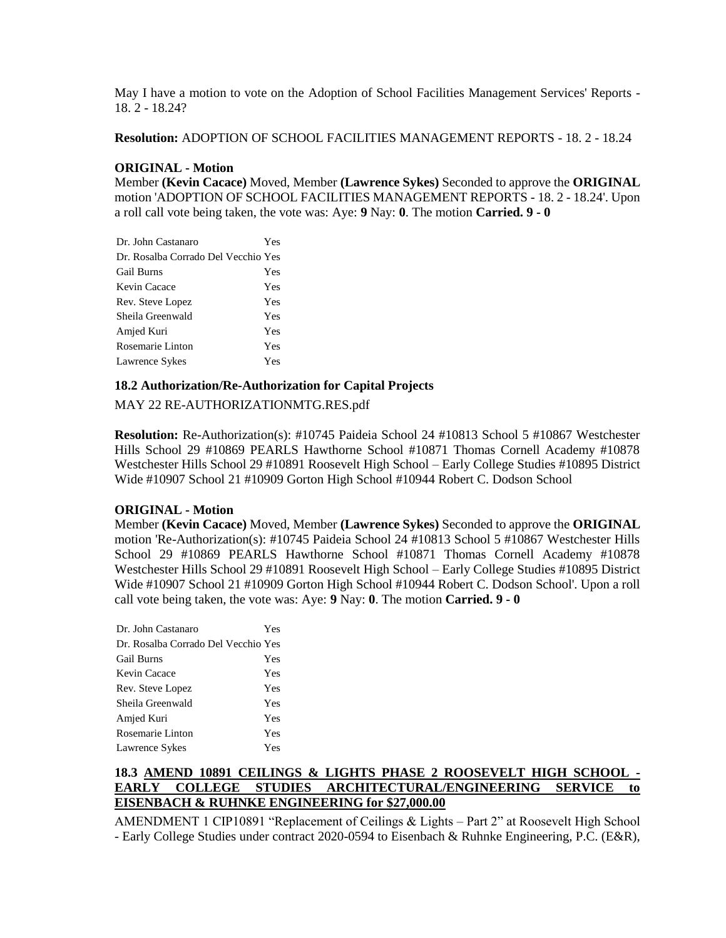May I have a motion to vote on the Adoption of School Facilities Management Services' Reports - 18. 2 - 18.24?

**Resolution:** ADOPTION OF SCHOOL FACILITIES MANAGEMENT REPORTS - 18. 2 - 18.24

## **ORIGINAL - Motion**

Member **(Kevin Cacace)** Moved, Member **(Lawrence Sykes)** Seconded to approve the **ORIGINAL**  motion 'ADOPTION OF SCHOOL FACILITIES MANAGEMENT REPORTS - 18. 2 - 18.24'. Upon a roll call vote being taken, the vote was: Aye: **9** Nay: **0**. The motion **Carried. 9 - 0** 

| Dr. John Castanaro                  | Yes |
|-------------------------------------|-----|
| Dr. Rosalba Corrado Del Vecchio Yes |     |
| Gail Burns                          | Yes |
| Kevin Cacace                        | Yes |
| Rev. Steve Lopez                    | Yes |
| Sheila Greenwald                    | Yes |
| Amjed Kuri                          | Yes |
| Rosemarie Linton                    | Yes |
| Lawrence Sykes                      | Yes |

## **18.2 Authorization/Re-Authorization for Capital Projects**

MAY 22 RE-AUTHORIZATIONMTG.RES.pdf

**Resolution:** Re-Authorization(s): #10745 Paideia School 24 #10813 School 5 #10867 Westchester Hills School 29 #10869 PEARLS Hawthorne School #10871 Thomas Cornell Academy #10878 Westchester Hills School 29 #10891 Roosevelt High School – Early College Studies #10895 District Wide #10907 School 21 #10909 Gorton High School #10944 Robert C. Dodson School

### **ORIGINAL - Motion**

Member **(Kevin Cacace)** Moved, Member **(Lawrence Sykes)** Seconded to approve the **ORIGINAL**  motion 'Re-Authorization(s): #10745 Paideia School 24 #10813 School 5 #10867 Westchester Hills School 29 #10869 PEARLS Hawthorne School #10871 Thomas Cornell Academy #10878 Westchester Hills School 29 #10891 Roosevelt High School – Early College Studies #10895 District Wide #10907 School 21 #10909 Gorton High School #10944 Robert C. Dodson School'. Upon a roll call vote being taken, the vote was: Aye: **9** Nay: **0**. The motion **Carried. 9 - 0** 

| Dr. John Castanaro                  | Yes |
|-------------------------------------|-----|
| Dr. Rosalba Corrado Del Vecchio Yes |     |
| <b>Gail Burns</b>                   | Yes |
| Kevin Cacace                        | Yes |
| Rev. Steve Lopez                    | Yes |
| Sheila Greenwald                    | Yes |
| Amjed Kuri                          | Yes |
| Rosemarie Linton                    | Yes |
| Lawrence Sykes                      | Yes |

# **18.3 AMEND 10891 CEILINGS & LIGHTS PHASE 2 ROOSEVELT HIGH SCHOOL -** EARLY COLLEGE STUDIES ARCHITECTURAL/ENGINEERING SERVICE **EISENBACH & RUHNKE ENGINEERING for \$27,000.00**

AMENDMENT 1 CIP10891 "Replacement of Ceilings & Lights – Part 2" at Roosevelt High School - Early College Studies under contract 2020-0594 to Eisenbach & Ruhnke Engineering, P.C. (E&R),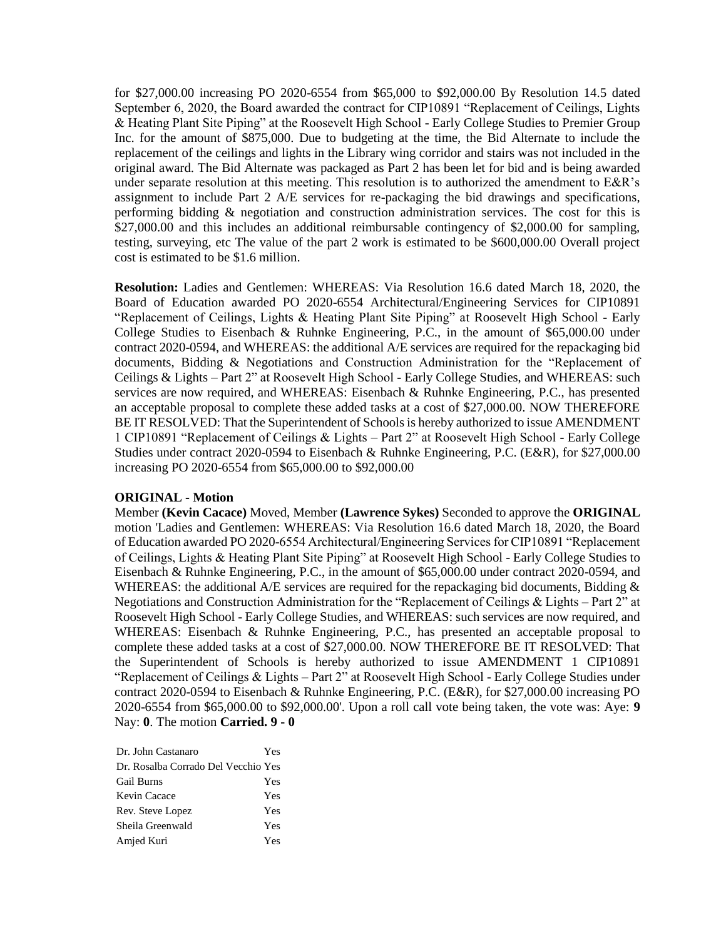for \$27,000.00 increasing PO 2020-6554 from \$65,000 to \$92,000.00 By Resolution 14.5 dated September 6, 2020, the Board awarded the contract for CIP10891 "Replacement of Ceilings, Lights & Heating Plant Site Piping" at the Roosevelt High School - Early College Studies to Premier Group Inc. for the amount of \$875,000. Due to budgeting at the time, the Bid Alternate to include the replacement of the ceilings and lights in the Library wing corridor and stairs was not included in the original award. The Bid Alternate was packaged as Part 2 has been let for bid and is being awarded under separate resolution at this meeting. This resolution is to authorized the amendment to E&R's assignment to include Part 2 A/E services for re-packaging the bid drawings and specifications, performing bidding & negotiation and construction administration services. The cost for this is \$27,000.00 and this includes an additional reimbursable contingency of \$2,000.00 for sampling, testing, surveying, etc The value of the part 2 work is estimated to be \$600,000.00 Overall project cost is estimated to be \$1.6 million.

**Resolution:** Ladies and Gentlemen: WHEREAS: Via Resolution 16.6 dated March 18, 2020, the Board of Education awarded PO 2020-6554 Architectural/Engineering Services for CIP10891 "Replacement of Ceilings, Lights & Heating Plant Site Piping" at Roosevelt High School - Early College Studies to Eisenbach & Ruhnke Engineering, P.C., in the amount of \$65,000.00 under contract 2020-0594, and WHEREAS: the additional A/E services are required for the repackaging bid documents, Bidding & Negotiations and Construction Administration for the "Replacement of Ceilings & Lights – Part 2" at Roosevelt High School - Early College Studies, and WHEREAS: such services are now required, and WHEREAS: Eisenbach & Ruhnke Engineering, P.C., has presented an acceptable proposal to complete these added tasks at a cost of \$27,000.00. NOW THEREFORE BE IT RESOLVED: That the Superintendent of Schools is hereby authorized to issue AMENDMENT 1 CIP10891 "Replacement of Ceilings & Lights – Part 2" at Roosevelt High School - Early College Studies under contract 2020-0594 to Eisenbach & Ruhnke Engineering, P.C. (E&R), for \$27,000.00 increasing PO 2020-6554 from \$65,000.00 to \$92,000.00

### **ORIGINAL - Motion**

Member **(Kevin Cacace)** Moved, Member **(Lawrence Sykes)** Seconded to approve the **ORIGINAL**  motion 'Ladies and Gentlemen: WHEREAS: Via Resolution 16.6 dated March 18, 2020, the Board of Education awarded PO 2020-6554 Architectural/Engineering Services for CIP10891 "Replacement of Ceilings, Lights & Heating Plant Site Piping" at Roosevelt High School - Early College Studies to Eisenbach & Ruhnke Engineering, P.C., in the amount of \$65,000.00 under contract 2020-0594, and WHEREAS: the additional A/E services are required for the repackaging bid documents, Bidding  $\&$ Negotiations and Construction Administration for the "Replacement of Ceilings & Lights – Part 2" at Roosevelt High School - Early College Studies, and WHEREAS: such services are now required, and WHEREAS: Eisenbach & Ruhnke Engineering, P.C., has presented an acceptable proposal to complete these added tasks at a cost of \$27,000.00. NOW THEREFORE BE IT RESOLVED: That the Superintendent of Schools is hereby authorized to issue AMENDMENT 1 CIP10891 "Replacement of Ceilings & Lights – Part 2" at Roosevelt High School - Early College Studies under contract 2020-0594 to Eisenbach & Ruhnke Engineering, P.C. (E&R), for \$27,000.00 increasing PO 2020-6554 from \$65,000.00 to \$92,000.00'. Upon a roll call vote being taken, the vote was: Aye: **9** Nay: **0**. The motion **Carried. 9 - 0** 

| Dr. John Castanaro                  | Yes |
|-------------------------------------|-----|
| Dr. Rosalba Corrado Del Vecchio Yes |     |
| Gail Burns                          | Yes |
| Kevin Cacace                        | Yes |
| Rev. Steve Lopez                    | Yes |
| Sheila Greenwald                    | Yes |
| Amjed Kuri                          | Yes |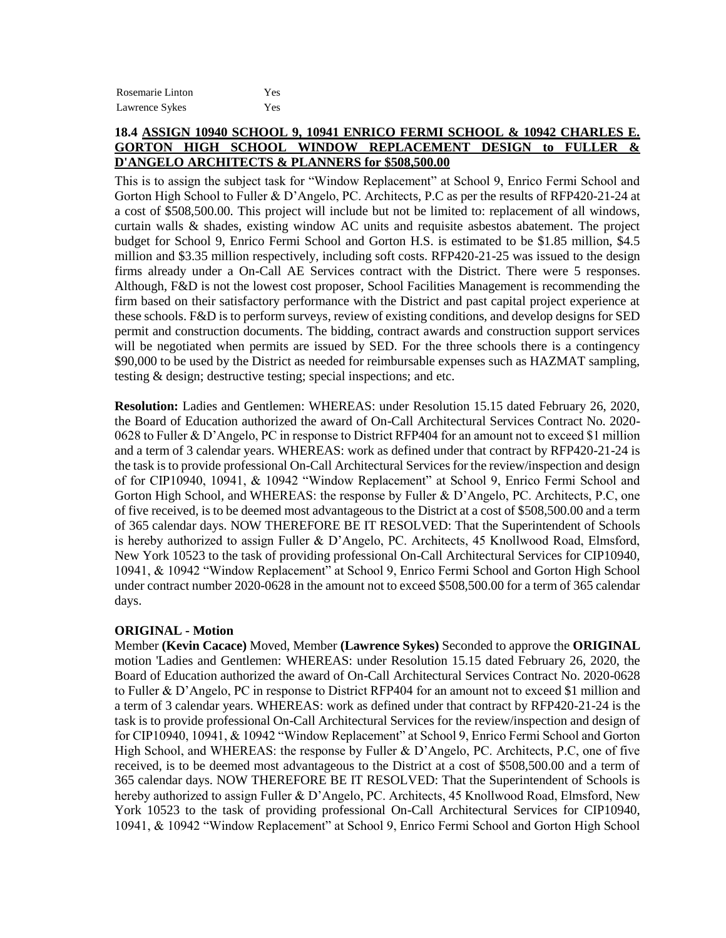| Rosemarie Linton | Yes |
|------------------|-----|
| Lawrence Sykes   | Yes |

## **18.4 ASSIGN 10940 SCHOOL 9, 10941 ENRICO FERMI SCHOOL & 10942 CHARLES E. GORTON HIGH SCHOOL WINDOW REPLACEMENT DESIGN to FULLER & D'ANGELO ARCHITECTS & PLANNERS for \$508,500.00**

This is to assign the subject task for "Window Replacement" at School 9, Enrico Fermi School and Gorton High School to Fuller & D'Angelo, PC. Architects, P.C as per the results of RFP420-21-24 at a cost of \$508,500.00. This project will include but not be limited to: replacement of all windows, curtain walls & shades, existing window AC units and requisite asbestos abatement. The project budget for School 9, Enrico Fermi School and Gorton H.S. is estimated to be \$1.85 million, \$4.5 million and \$3.35 million respectively, including soft costs. RFP420-21-25 was issued to the design firms already under a On-Call AE Services contract with the District. There were 5 responses. Although, F&D is not the lowest cost proposer, School Facilities Management is recommending the firm based on their satisfactory performance with the District and past capital project experience at these schools. F&D is to perform surveys, review of existing conditions, and develop designs for SED permit and construction documents. The bidding, contract awards and construction support services will be negotiated when permits are issued by SED. For the three schools there is a contingency \$90,000 to be used by the District as needed for reimbursable expenses such as HAZMAT sampling, testing & design; destructive testing; special inspections; and etc.

**Resolution:** Ladies and Gentlemen: WHEREAS: under Resolution 15.15 dated February 26, 2020, the Board of Education authorized the award of On-Call Architectural Services Contract No. 2020- 0628 to Fuller & D'Angelo, PC in response to District RFP404 for an amount not to exceed \$1 million and a term of 3 calendar years. WHEREAS: work as defined under that contract by RFP420-21-24 is the task is to provide professional On-Call Architectural Services for the review/inspection and design of for CIP10940, 10941, & 10942 "Window Replacement" at School 9, Enrico Fermi School and Gorton High School, and WHEREAS: the response by Fuller & D'Angelo, PC. Architects, P.C. one of five received, is to be deemed most advantageous to the District at a cost of \$508,500.00 and a term of 365 calendar days. NOW THEREFORE BE IT RESOLVED: That the Superintendent of Schools is hereby authorized to assign Fuller & D'Angelo, PC. Architects, 45 Knollwood Road, Elmsford, New York 10523 to the task of providing professional On-Call Architectural Services for CIP10940, 10941, & 10942 "Window Replacement" at School 9, Enrico Fermi School and Gorton High School under contract number 2020-0628 in the amount not to exceed \$508,500.00 for a term of 365 calendar days.

### **ORIGINAL - Motion**

Member **(Kevin Cacace)** Moved, Member **(Lawrence Sykes)** Seconded to approve the **ORIGINAL**  motion 'Ladies and Gentlemen: WHEREAS: under Resolution 15.15 dated February 26, 2020, the Board of Education authorized the award of On-Call Architectural Services Contract No. 2020-0628 to Fuller & D'Angelo, PC in response to District RFP404 for an amount not to exceed \$1 million and a term of 3 calendar years. WHEREAS: work as defined under that contract by RFP420-21-24 is the task is to provide professional On-Call Architectural Services for the review/inspection and design of for CIP10940, 10941, & 10942 "Window Replacement" at School 9, Enrico Fermi School and Gorton High School, and WHEREAS: the response by Fuller & D'Angelo, PC. Architects, P.C, one of five received, is to be deemed most advantageous to the District at a cost of \$508,500.00 and a term of 365 calendar days. NOW THEREFORE BE IT RESOLVED: That the Superintendent of Schools is hereby authorized to assign Fuller & D'Angelo, PC. Architects, 45 Knollwood Road, Elmsford, New York 10523 to the task of providing professional On-Call Architectural Services for CIP10940, 10941, & 10942 "Window Replacement" at School 9, Enrico Fermi School and Gorton High School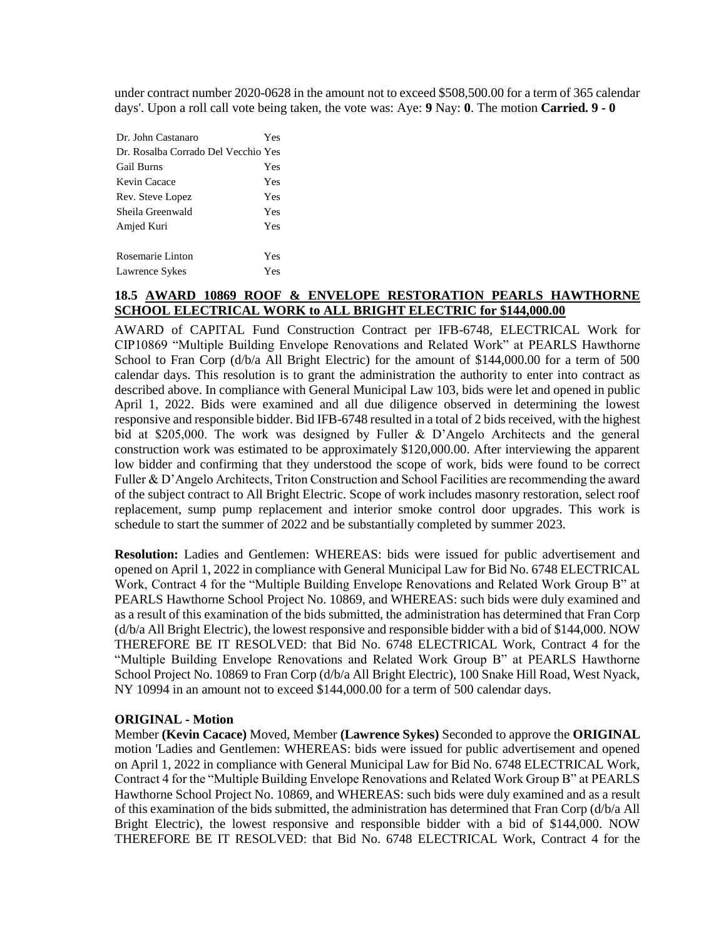under contract number 2020-0628 in the amount not to exceed \$508,500.00 for a term of 365 calendar days'. Upon a roll call vote being taken, the vote was: Aye: **9** Nay: **0**. The motion **Carried. 9 - 0** 

| Dr. John Castanaro                  | Yes |
|-------------------------------------|-----|
| Dr. Rosalba Corrado Del Vecchio Yes |     |
| <b>Gail Burns</b>                   | Yes |
| Kevin Cacace                        | Yes |
| Rev. Steve Lopez                    | Yes |
| Sheila Greenwald                    | Yes |
| Amjed Kuri                          | Yes |
|                                     |     |
| Rosemarie Linton                    | Yes |
| Lawrence Sykes                      | Yes |

# **18.5 AWARD 10869 ROOF & ENVELOPE RESTORATION PEARLS HAWTHORNE SCHOOL ELECTRICAL WORK to ALL BRIGHT ELECTRIC for \$144,000.00**

AWARD of CAPITAL Fund Construction Contract per IFB-6748, ELECTRICAL Work for CIP10869 "Multiple Building Envelope Renovations and Related Work" at PEARLS Hawthorne School to Fran Corp (d/b/a All Bright Electric) for the amount of \$144,000.00 for a term of 500 calendar days. This resolution is to grant the administration the authority to enter into contract as described above. In compliance with General Municipal Law 103, bids were let and opened in public April 1, 2022. Bids were examined and all due diligence observed in determining the lowest responsive and responsible bidder. Bid IFB-6748 resulted in a total of 2 bids received, with the highest bid at \$205,000. The work was designed by Fuller & D'Angelo Architects and the general construction work was estimated to be approximately \$120,000.00. After interviewing the apparent low bidder and confirming that they understood the scope of work, bids were found to be correct Fuller & D'Angelo Architects, Triton Construction and School Facilities are recommending the award of the subject contract to All Bright Electric. Scope of work includes masonry restoration, select roof replacement, sump pump replacement and interior smoke control door upgrades. This work is schedule to start the summer of 2022 and be substantially completed by summer 2023.

**Resolution:** Ladies and Gentlemen: WHEREAS: bids were issued for public advertisement and opened on April 1, 2022 in compliance with General Municipal Law for Bid No. 6748 ELECTRICAL Work, Contract 4 for the "Multiple Building Envelope Renovations and Related Work Group B" at PEARLS Hawthorne School Project No. 10869, and WHEREAS: such bids were duly examined and as a result of this examination of the bids submitted, the administration has determined that Fran Corp (d/b/a All Bright Electric), the lowest responsive and responsible bidder with a bid of \$144,000. NOW THEREFORE BE IT RESOLVED: that Bid No. 6748 ELECTRICAL Work, Contract 4 for the "Multiple Building Envelope Renovations and Related Work Group B" at PEARLS Hawthorne School Project No. 10869 to Fran Corp (d/b/a All Bright Electric), 100 Snake Hill Road, West Nyack, NY 10994 in an amount not to exceed \$144,000.00 for a term of 500 calendar days.

### **ORIGINAL - Motion**

Member **(Kevin Cacace)** Moved, Member **(Lawrence Sykes)** Seconded to approve the **ORIGINAL**  motion 'Ladies and Gentlemen: WHEREAS: bids were issued for public advertisement and opened on April 1, 2022 in compliance with General Municipal Law for Bid No. 6748 ELECTRICAL Work, Contract 4 for the "Multiple Building Envelope Renovations and Related Work Group B" at PEARLS Hawthorne School Project No. 10869, and WHEREAS: such bids were duly examined and as a result of this examination of the bids submitted, the administration has determined that Fran Corp (d/b/a All Bright Electric), the lowest responsive and responsible bidder with a bid of \$144,000. NOW THEREFORE BE IT RESOLVED: that Bid No. 6748 ELECTRICAL Work, Contract 4 for the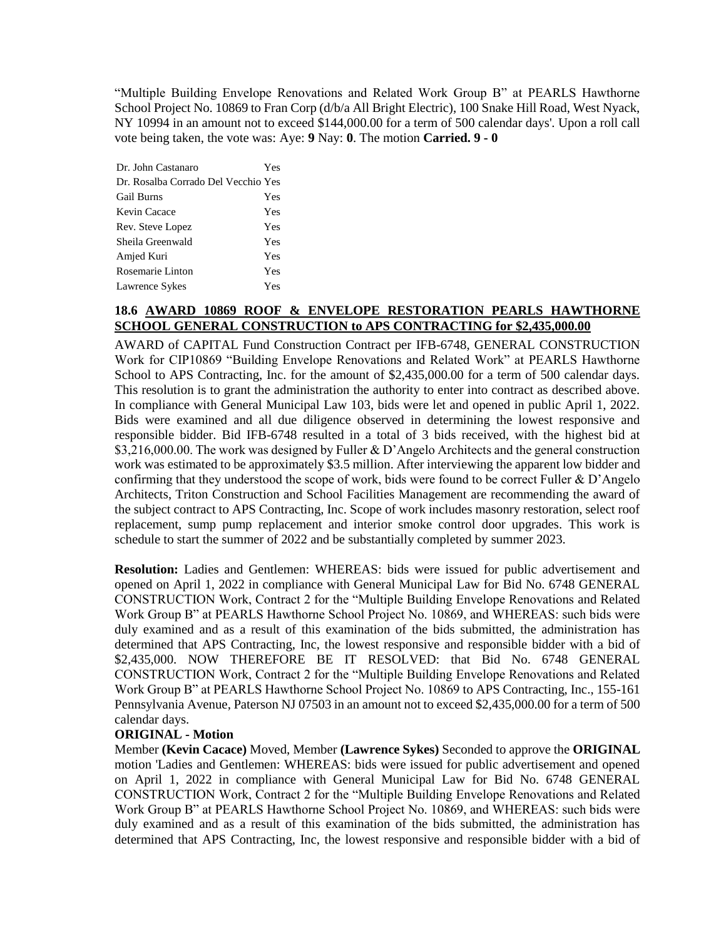"Multiple Building Envelope Renovations and Related Work Group B" at PEARLS Hawthorne School Project No. 10869 to Fran Corp (d/b/a All Bright Electric), 100 Snake Hill Road, West Nyack, NY 10994 in an amount not to exceed \$144,000.00 for a term of 500 calendar days'. Upon a roll call vote being taken, the vote was: Aye: **9** Nay: **0**. The motion **Carried. 9 - 0** 

| Dr. John Castanaro                  | Yes |
|-------------------------------------|-----|
| Dr. Rosalba Corrado Del Vecchio Yes |     |
| <b>Gail Burns</b>                   | Yes |
| Kevin Cacace                        | Yes |
| Rev. Steve Lopez                    | Yes |
| Sheila Greenwald                    | Yes |
| Amjed Kuri                          | Yes |
| Rosemarie Linton                    | Yes |
| Lawrence Sykes                      | Yes |

# **18.6 AWARD 10869 ROOF & ENVELOPE RESTORATION PEARLS HAWTHORNE SCHOOL GENERAL CONSTRUCTION to APS CONTRACTING for \$2,435,000.00**

AWARD of CAPITAL Fund Construction Contract per IFB-6748, GENERAL CONSTRUCTION Work for CIP10869 "Building Envelope Renovations and Related Work" at PEARLS Hawthorne School to APS Contracting, Inc. for the amount of \$2,435,000.00 for a term of 500 calendar days. This resolution is to grant the administration the authority to enter into contract as described above. In compliance with General Municipal Law 103, bids were let and opened in public April 1, 2022. Bids were examined and all due diligence observed in determining the lowest responsive and responsible bidder. Bid IFB-6748 resulted in a total of 3 bids received, with the highest bid at \$3,216,000.00. The work was designed by Fuller & D'Angelo Architects and the general construction work was estimated to be approximately \$3.5 million. After interviewing the apparent low bidder and confirming that they understood the scope of work, bids were found to be correct Fuller  $\& D'$ Angelo Architects, Triton Construction and School Facilities Management are recommending the award of the subject contract to APS Contracting, Inc. Scope of work includes masonry restoration, select roof replacement, sump pump replacement and interior smoke control door upgrades. This work is schedule to start the summer of 2022 and be substantially completed by summer 2023.

**Resolution:** Ladies and Gentlemen: WHEREAS: bids were issued for public advertisement and opened on April 1, 2022 in compliance with General Municipal Law for Bid No. 6748 GENERAL CONSTRUCTION Work, Contract 2 for the "Multiple Building Envelope Renovations and Related Work Group B" at PEARLS Hawthorne School Project No. 10869, and WHEREAS: such bids were duly examined and as a result of this examination of the bids submitted, the administration has determined that APS Contracting, Inc, the lowest responsive and responsible bidder with a bid of \$2,435,000. NOW THEREFORE BE IT RESOLVED: that Bid No. 6748 GENERAL CONSTRUCTION Work, Contract 2 for the "Multiple Building Envelope Renovations and Related Work Group B" at PEARLS Hawthorne School Project No. 10869 to APS Contracting, Inc., 155-161 Pennsylvania Avenue, Paterson NJ 07503 in an amount not to exceed \$2,435,000.00 for a term of 500 calendar days.

### **ORIGINAL - Motion**

Member **(Kevin Cacace)** Moved, Member **(Lawrence Sykes)** Seconded to approve the **ORIGINAL**  motion 'Ladies and Gentlemen: WHEREAS: bids were issued for public advertisement and opened on April 1, 2022 in compliance with General Municipal Law for Bid No. 6748 GENERAL CONSTRUCTION Work, Contract 2 for the "Multiple Building Envelope Renovations and Related Work Group B" at PEARLS Hawthorne School Project No. 10869, and WHEREAS: such bids were duly examined and as a result of this examination of the bids submitted, the administration has determined that APS Contracting, Inc, the lowest responsive and responsible bidder with a bid of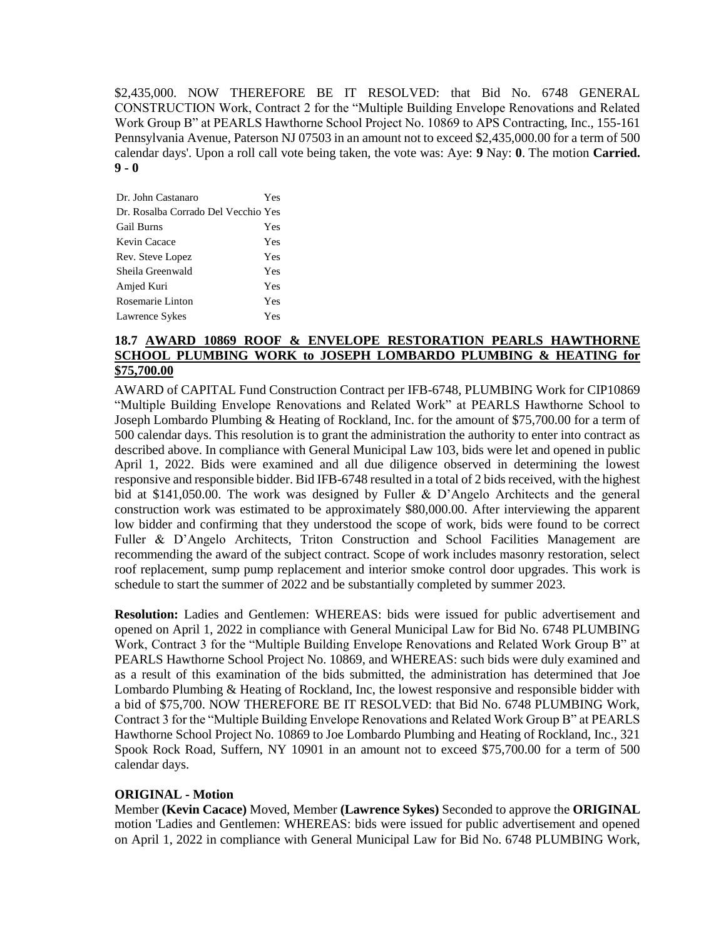\$2,435,000. NOW THEREFORE BE IT RESOLVED: that Bid No. 6748 GENERAL CONSTRUCTION Work, Contract 2 for the "Multiple Building Envelope Renovations and Related Work Group B" at PEARLS Hawthorne School Project No. 10869 to APS Contracting, Inc., 155-161 Pennsylvania Avenue, Paterson NJ 07503 in an amount not to exceed \$2,435,000.00 for a term of 500 calendar days'. Upon a roll call vote being taken, the vote was: Aye: **9** Nay: **0**. The motion **Carried. 9 - 0** 

| Dr. John Castanaro                  | Yes |
|-------------------------------------|-----|
| Dr. Rosalba Corrado Del Vecchio Yes |     |
| <b>Gail Burns</b>                   | Yes |
| Kevin Cacace                        | Yes |
| Rev. Steve Lopez                    | Yes |
| Sheila Greenwald                    | Yes |
| Amjed Kuri                          | Yes |
| Rosemarie Linton                    | Yes |
| Lawrence Sykes                      | Yes |

# **18.7 AWARD 10869 ROOF & ENVELOPE RESTORATION PEARLS HAWTHORNE SCHOOL PLUMBING WORK to JOSEPH LOMBARDO PLUMBING & HEATING for \$75,700.00**

AWARD of CAPITAL Fund Construction Contract per IFB-6748, PLUMBING Work for CIP10869 "Multiple Building Envelope Renovations and Related Work" at PEARLS Hawthorne School to Joseph Lombardo Plumbing & Heating of Rockland, Inc. for the amount of \$75,700.00 for a term of 500 calendar days. This resolution is to grant the administration the authority to enter into contract as described above. In compliance with General Municipal Law 103, bids were let and opened in public April 1, 2022. Bids were examined and all due diligence observed in determining the lowest responsive and responsible bidder. Bid IFB-6748 resulted in a total of 2 bids received, with the highest bid at \$141,050.00. The work was designed by Fuller & D'Angelo Architects and the general construction work was estimated to be approximately \$80,000.00. After interviewing the apparent low bidder and confirming that they understood the scope of work, bids were found to be correct Fuller & D'Angelo Architects, Triton Construction and School Facilities Management are recommending the award of the subject contract. Scope of work includes masonry restoration, select roof replacement, sump pump replacement and interior smoke control door upgrades. This work is schedule to start the summer of 2022 and be substantially completed by summer 2023.

**Resolution:** Ladies and Gentlemen: WHEREAS: bids were issued for public advertisement and opened on April 1, 2022 in compliance with General Municipal Law for Bid No. 6748 PLUMBING Work, Contract 3 for the "Multiple Building Envelope Renovations and Related Work Group B" at PEARLS Hawthorne School Project No. 10869, and WHEREAS: such bids were duly examined and as a result of this examination of the bids submitted, the administration has determined that Joe Lombardo Plumbing & Heating of Rockland, Inc, the lowest responsive and responsible bidder with a bid of \$75,700. NOW THEREFORE BE IT RESOLVED: that Bid No. 6748 PLUMBING Work, Contract 3 for the "Multiple Building Envelope Renovations and Related Work Group B" at PEARLS Hawthorne School Project No. 10869 to Joe Lombardo Plumbing and Heating of Rockland, Inc., 321 Spook Rock Road, Suffern, NY 10901 in an amount not to exceed \$75,700.00 for a term of 500 calendar days.

## **ORIGINAL - Motion**

Member **(Kevin Cacace)** Moved, Member **(Lawrence Sykes)** Seconded to approve the **ORIGINAL**  motion 'Ladies and Gentlemen: WHEREAS: bids were issued for public advertisement and opened on April 1, 2022 in compliance with General Municipal Law for Bid No. 6748 PLUMBING Work,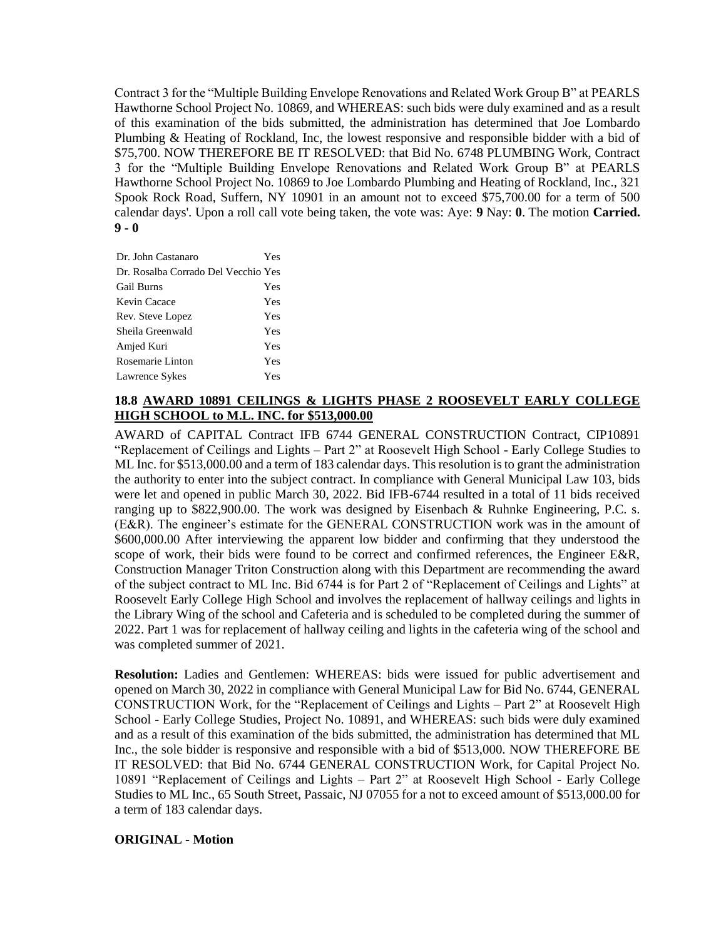Contract 3 for the "Multiple Building Envelope Renovations and Related Work Group B" at PEARLS Hawthorne School Project No. 10869, and WHEREAS: such bids were duly examined and as a result of this examination of the bids submitted, the administration has determined that Joe Lombardo Plumbing & Heating of Rockland, Inc, the lowest responsive and responsible bidder with a bid of \$75,700. NOW THEREFORE BE IT RESOLVED: that Bid No. 6748 PLUMBING Work, Contract 3 for the "Multiple Building Envelope Renovations and Related Work Group B" at PEARLS Hawthorne School Project No. 10869 to Joe Lombardo Plumbing and Heating of Rockland, Inc., 321 Spook Rock Road, Suffern, NY 10901 in an amount not to exceed \$75,700.00 for a term of 500 calendar days'. Upon a roll call vote being taken, the vote was: Aye: **9** Nay: **0**. The motion **Carried. 9 - 0** 

| Dr. John Castanaro                  | Yes |
|-------------------------------------|-----|
| Dr. Rosalba Corrado Del Vecchio Yes |     |
| <b>Gail Burns</b>                   | Yes |
| Kevin Cacace                        | Yes |
| Rev. Steve Lopez                    | Yes |
| Sheila Greenwald                    | Yes |
| Amjed Kuri                          | Yes |
| Rosemarie Linton                    | Yes |
| Lawrence Sykes                      | Yes |

# **18.8 AWARD 10891 CEILINGS & LIGHTS PHASE 2 ROOSEVELT EARLY COLLEGE HIGH SCHOOL to M.L. INC. for \$513,000.00**

AWARD of CAPITAL Contract IFB 6744 GENERAL CONSTRUCTION Contract, CIP10891 "Replacement of Ceilings and Lights – Part 2" at Roosevelt High School - Early College Studies to ML Inc. for \$513,000.00 and a term of 183 calendar days. This resolution is to grant the administration the authority to enter into the subject contract. In compliance with General Municipal Law 103, bids were let and opened in public March 30, 2022. Bid IFB-6744 resulted in a total of 11 bids received ranging up to \$822,900.00. The work was designed by Eisenbach & Ruhnke Engineering, P.C. s. (E&R). The engineer's estimate for the GENERAL CONSTRUCTION work was in the amount of \$600,000.00 After interviewing the apparent low bidder and confirming that they understood the scope of work, their bids were found to be correct and confirmed references, the Engineer E&R, Construction Manager Triton Construction along with this Department are recommending the award of the subject contract to ML Inc. Bid 6744 is for Part 2 of "Replacement of Ceilings and Lights" at Roosevelt Early College High School and involves the replacement of hallway ceilings and lights in the Library Wing of the school and Cafeteria and is scheduled to be completed during the summer of 2022. Part 1 was for replacement of hallway ceiling and lights in the cafeteria wing of the school and was completed summer of 2021.

**Resolution:** Ladies and Gentlemen: WHEREAS: bids were issued for public advertisement and opened on March 30, 2022 in compliance with General Municipal Law for Bid No. 6744, GENERAL CONSTRUCTION Work, for the "Replacement of Ceilings and Lights – Part 2" at Roosevelt High School - Early College Studies, Project No. 10891, and WHEREAS: such bids were duly examined and as a result of this examination of the bids submitted, the administration has determined that ML Inc., the sole bidder is responsive and responsible with a bid of \$513,000. NOW THEREFORE BE IT RESOLVED: that Bid No. 6744 GENERAL CONSTRUCTION Work, for Capital Project No. 10891 "Replacement of Ceilings and Lights – Part 2" at Roosevelt High School - Early College Studies to ML Inc., 65 South Street, Passaic, NJ 07055 for a not to exceed amount of \$513,000.00 for a term of 183 calendar days.

# **ORIGINAL - Motion**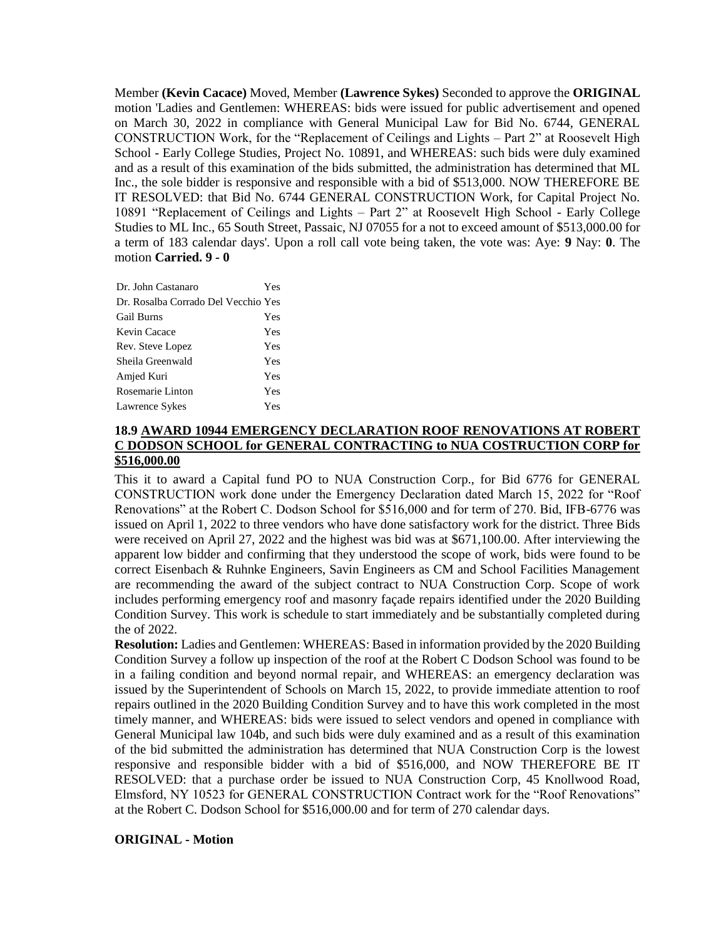Member **(Kevin Cacace)** Moved, Member **(Lawrence Sykes)** Seconded to approve the **ORIGINAL**  motion 'Ladies and Gentlemen: WHEREAS: bids were issued for public advertisement and opened on March 30, 2022 in compliance with General Municipal Law for Bid No. 6744, GENERAL CONSTRUCTION Work, for the "Replacement of Ceilings and Lights – Part 2" at Roosevelt High School - Early College Studies, Project No. 10891, and WHEREAS: such bids were duly examined and as a result of this examination of the bids submitted, the administration has determined that ML Inc., the sole bidder is responsive and responsible with a bid of \$513,000. NOW THEREFORE BE IT RESOLVED: that Bid No. 6744 GENERAL CONSTRUCTION Work, for Capital Project No. 10891 "Replacement of Ceilings and Lights – Part 2" at Roosevelt High School - Early College Studies to ML Inc., 65 South Street, Passaic, NJ 07055 for a not to exceed amount of \$513,000.00 for a term of 183 calendar days'. Upon a roll call vote being taken, the vote was: Aye: **9** Nay: **0**. The motion **Carried. 9 - 0** 

| Dr. John Castanaro                  | Yes |
|-------------------------------------|-----|
| Dr. Rosalba Corrado Del Vecchio Yes |     |
| <b>Gail Burns</b>                   | Yes |
| Kevin Cacace                        | Yes |
| Rev. Steve Lopez                    | Yes |
| Sheila Greenwald                    | Yes |
| Amjed Kuri                          | Yes |
| Rosemarie Linton                    | Yes |
| Lawrence Sykes                      | Yes |

## **18.9 AWARD 10944 EMERGENCY DECLARATION ROOF RENOVATIONS AT ROBERT C DODSON SCHOOL for GENERAL CONTRACTING to NUA COSTRUCTION CORP for \$516,000.00**

This it to award a Capital fund PO to NUA Construction Corp., for Bid 6776 for GENERAL CONSTRUCTION work done under the Emergency Declaration dated March 15, 2022 for "Roof Renovations" at the Robert C. Dodson School for \$516,000 and for term of 270. Bid, IFB-6776 was issued on April 1, 2022 to three vendors who have done satisfactory work for the district. Three Bids were received on April 27, 2022 and the highest was bid was at \$671,100.00. After interviewing the apparent low bidder and confirming that they understood the scope of work, bids were found to be correct Eisenbach & Ruhnke Engineers, Savin Engineers as CM and School Facilities Management are recommending the award of the subject contract to NUA Construction Corp. Scope of work includes performing emergency roof and masonry façade repairs identified under the 2020 Building Condition Survey. This work is schedule to start immediately and be substantially completed during the of 2022.

**Resolution:** Ladies and Gentlemen: WHEREAS: Based in information provided by the 2020 Building Condition Survey a follow up inspection of the roof at the Robert C Dodson School was found to be in a failing condition and beyond normal repair, and WHEREAS: an emergency declaration was issued by the Superintendent of Schools on March 15, 2022, to provide immediate attention to roof repairs outlined in the 2020 Building Condition Survey and to have this work completed in the most timely manner, and WHEREAS: bids were issued to select vendors and opened in compliance with General Municipal law 104b, and such bids were duly examined and as a result of this examination of the bid submitted the administration has determined that NUA Construction Corp is the lowest responsive and responsible bidder with a bid of \$516,000, and NOW THEREFORE BE IT RESOLVED: that a purchase order be issued to NUA Construction Corp, 45 Knollwood Road, Elmsford, NY 10523 for GENERAL CONSTRUCTION Contract work for the "Roof Renovations" at the Robert C. Dodson School for \$516,000.00 and for term of 270 calendar days.

# **ORIGINAL - Motion**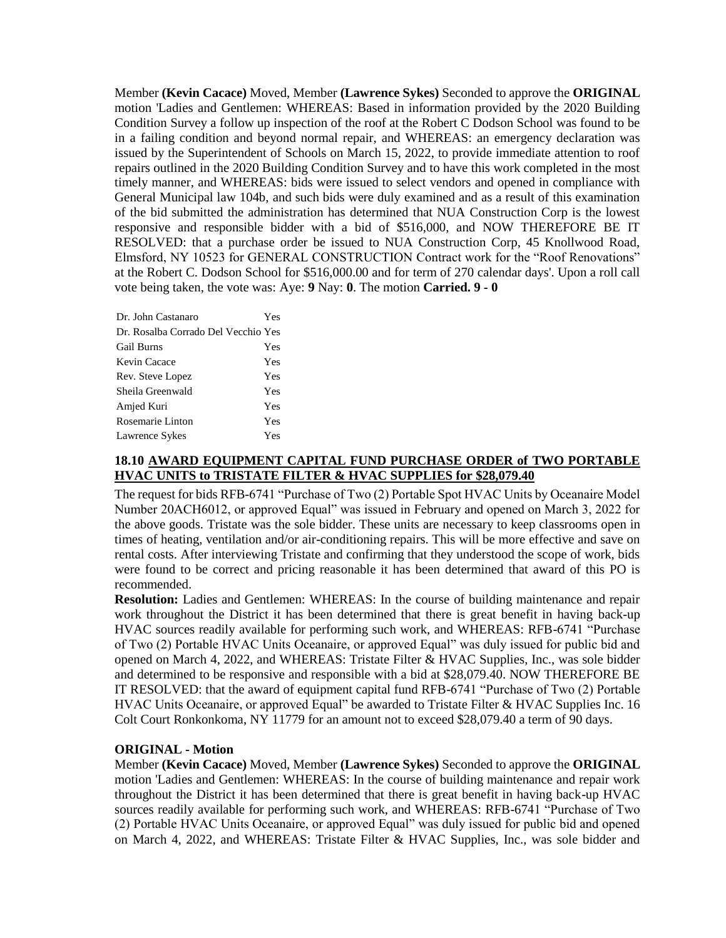Member **(Kevin Cacace)** Moved, Member **(Lawrence Sykes)** Seconded to approve the **ORIGINAL**  motion 'Ladies and Gentlemen: WHEREAS: Based in information provided by the 2020 Building Condition Survey a follow up inspection of the roof at the Robert C Dodson School was found to be in a failing condition and beyond normal repair, and WHEREAS: an emergency declaration was issued by the Superintendent of Schools on March 15, 2022, to provide immediate attention to roof repairs outlined in the 2020 Building Condition Survey and to have this work completed in the most timely manner, and WHEREAS: bids were issued to select vendors and opened in compliance with General Municipal law 104b, and such bids were duly examined and as a result of this examination of the bid submitted the administration has determined that NUA Construction Corp is the lowest responsive and responsible bidder with a bid of \$516,000, and NOW THEREFORE BE IT RESOLVED: that a purchase order be issued to NUA Construction Corp, 45 Knollwood Road, Elmsford, NY 10523 for GENERAL CONSTRUCTION Contract work for the "Roof Renovations" at the Robert C. Dodson School for \$516,000.00 and for term of 270 calendar days'. Upon a roll call vote being taken, the vote was: Aye: **9** Nay: **0**. The motion **Carried. 9 - 0** 

| Dr. John Castanaro                  | Yes |
|-------------------------------------|-----|
| Dr. Rosalba Corrado Del Vecchio Yes |     |
| <b>Gail Burns</b>                   | Yes |
| Kevin Cacace                        | Yes |
| Rev. Steve Lopez                    | Yes |
| Sheila Greenwald                    | Yes |
| Amjed Kuri                          | Yes |
| Rosemarie Linton                    | Yes |
| Lawrence Sykes                      | Yes |

# **18.10 AWARD EQUIPMENT CAPITAL FUND PURCHASE ORDER of TWO PORTABLE HVAC UNITS to TRISTATE FILTER & HVAC SUPPLIES for \$28,079.40**

The request for bids RFB-6741 "Purchase of Two (2) Portable Spot HVAC Units by Oceanaire Model Number 20ACH6012, or approved Equal" was issued in February and opened on March 3, 2022 for the above goods. Tristate was the sole bidder. These units are necessary to keep classrooms open in times of heating, ventilation and/or air-conditioning repairs. This will be more effective and save on rental costs. After interviewing Tristate and confirming that they understood the scope of work, bids were found to be correct and pricing reasonable it has been determined that award of this PO is recommended.

**Resolution:** Ladies and Gentlemen: WHEREAS: In the course of building maintenance and repair work throughout the District it has been determined that there is great benefit in having back-up HVAC sources readily available for performing such work, and WHEREAS: RFB-6741 "Purchase of Two (2) Portable HVAC Units Oceanaire, or approved Equal" was duly issued for public bid and opened on March 4, 2022, and WHEREAS: Tristate Filter & HVAC Supplies, Inc., was sole bidder and determined to be responsive and responsible with a bid at \$28,079.40. NOW THEREFORE BE IT RESOLVED: that the award of equipment capital fund RFB-6741 "Purchase of Two (2) Portable HVAC Units Oceanaire, or approved Equal" be awarded to Tristate Filter & HVAC Supplies Inc. 16 Colt Court Ronkonkoma, NY 11779 for an amount not to exceed \$28,079.40 a term of 90 days.

### **ORIGINAL - Motion**

Member **(Kevin Cacace)** Moved, Member **(Lawrence Sykes)** Seconded to approve the **ORIGINAL**  motion 'Ladies and Gentlemen: WHEREAS: In the course of building maintenance and repair work throughout the District it has been determined that there is great benefit in having back-up HVAC sources readily available for performing such work, and WHEREAS: RFB-6741 "Purchase of Two (2) Portable HVAC Units Oceanaire, or approved Equal" was duly issued for public bid and opened on March 4, 2022, and WHEREAS: Tristate Filter & HVAC Supplies, Inc., was sole bidder and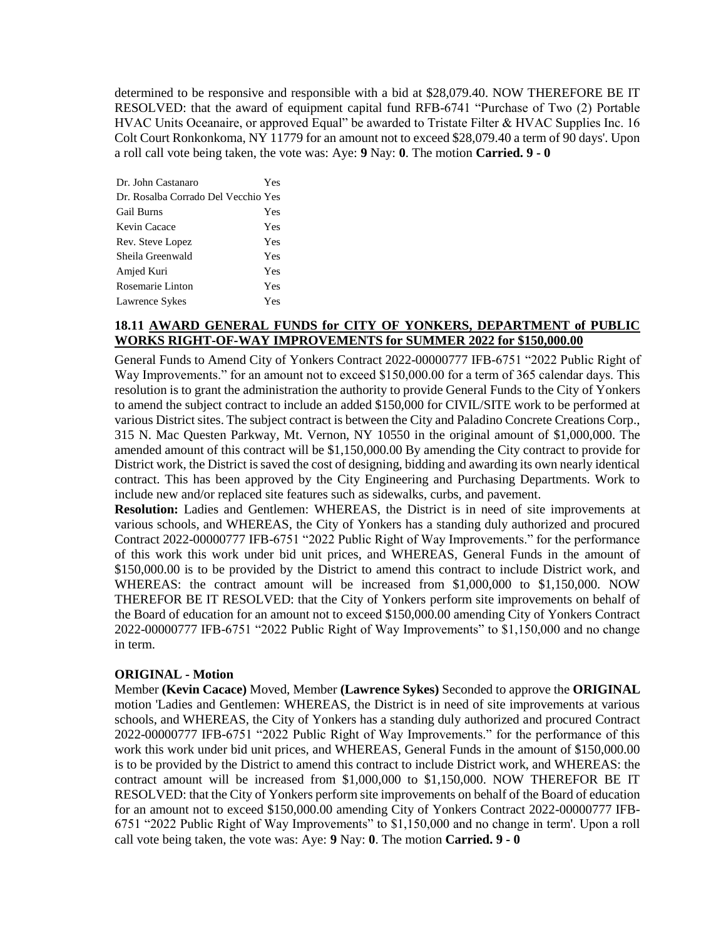determined to be responsive and responsible with a bid at \$28,079.40. NOW THEREFORE BE IT RESOLVED: that the award of equipment capital fund RFB-6741 "Purchase of Two (2) Portable HVAC Units Oceanaire, or approved Equal" be awarded to Tristate Filter & HVAC Supplies Inc. 16 Colt Court Ronkonkoma, NY 11779 for an amount not to exceed \$28,079.40 a term of 90 days'. Upon a roll call vote being taken, the vote was: Aye: **9** Nay: **0**. The motion **Carried. 9 - 0** 

| Dr. John Castanaro                  | Yes |
|-------------------------------------|-----|
| Dr. Rosalba Corrado Del Vecchio Yes |     |
| <b>Gail Burns</b>                   | Yes |
| Kevin Cacace                        | Yes |
| Rev. Steve Lopez                    | Yes |
| Sheila Greenwald                    | Yes |
| Amjed Kuri                          | Yes |
| Rosemarie Linton                    | Yes |
| Lawrence Sykes                      | Yes |

# **18.11 AWARD GENERAL FUNDS for CITY OF YONKERS, DEPARTMENT of PUBLIC WORKS RIGHT-OF-WAY IMPROVEMENTS for SUMMER 2022 for \$150,000.00**

General Funds to Amend City of Yonkers Contract 2022-00000777 IFB-6751 "2022 Public Right of Way Improvements." for an amount not to exceed \$150,000.00 for a term of 365 calendar days. This resolution is to grant the administration the authority to provide General Funds to the City of Yonkers to amend the subject contract to include an added \$150,000 for CIVIL/SITE work to be performed at various District sites. The subject contract is between the City and Paladino Concrete Creations Corp., 315 N. Mac Questen Parkway, Mt. Vernon, NY 10550 in the original amount of \$1,000,000. The amended amount of this contract will be \$1,150,000.00 By amending the City contract to provide for District work, the District is saved the cost of designing, bidding and awarding its own nearly identical contract. This has been approved by the City Engineering and Purchasing Departments. Work to include new and/or replaced site features such as sidewalks, curbs, and pavement.

**Resolution:** Ladies and Gentlemen: WHEREAS, the District is in need of site improvements at various schools, and WHEREAS, the City of Yonkers has a standing duly authorized and procured Contract 2022-00000777 IFB-6751 "2022 Public Right of Way Improvements." for the performance of this work this work under bid unit prices, and WHEREAS, General Funds in the amount of \$150,000.00 is to be provided by the District to amend this contract to include District work, and WHEREAS: the contract amount will be increased from \$1,000,000 to \$1,150,000. NOW THEREFOR BE IT RESOLVED: that the City of Yonkers perform site improvements on behalf of the Board of education for an amount not to exceed \$150,000.00 amending City of Yonkers Contract 2022-00000777 IFB-6751 "2022 Public Right of Way Improvements" to \$1,150,000 and no change in term.

## **ORIGINAL - Motion**

Member **(Kevin Cacace)** Moved, Member **(Lawrence Sykes)** Seconded to approve the **ORIGINAL**  motion 'Ladies and Gentlemen: WHEREAS, the District is in need of site improvements at various schools, and WHEREAS, the City of Yonkers has a standing duly authorized and procured Contract 2022-00000777 IFB-6751 "2022 Public Right of Way Improvements." for the performance of this work this work under bid unit prices, and WHEREAS, General Funds in the amount of \$150,000.00 is to be provided by the District to amend this contract to include District work, and WHEREAS: the contract amount will be increased from \$1,000,000 to \$1,150,000. NOW THEREFOR BE IT RESOLVED: that the City of Yonkers perform site improvements on behalf of the Board of education for an amount not to exceed \$150,000.00 amending City of Yonkers Contract 2022-00000777 IFB-6751 "2022 Public Right of Way Improvements" to \$1,150,000 and no change in term'. Upon a roll call vote being taken, the vote was: Aye: **9** Nay: **0**. The motion **Carried. 9 - 0**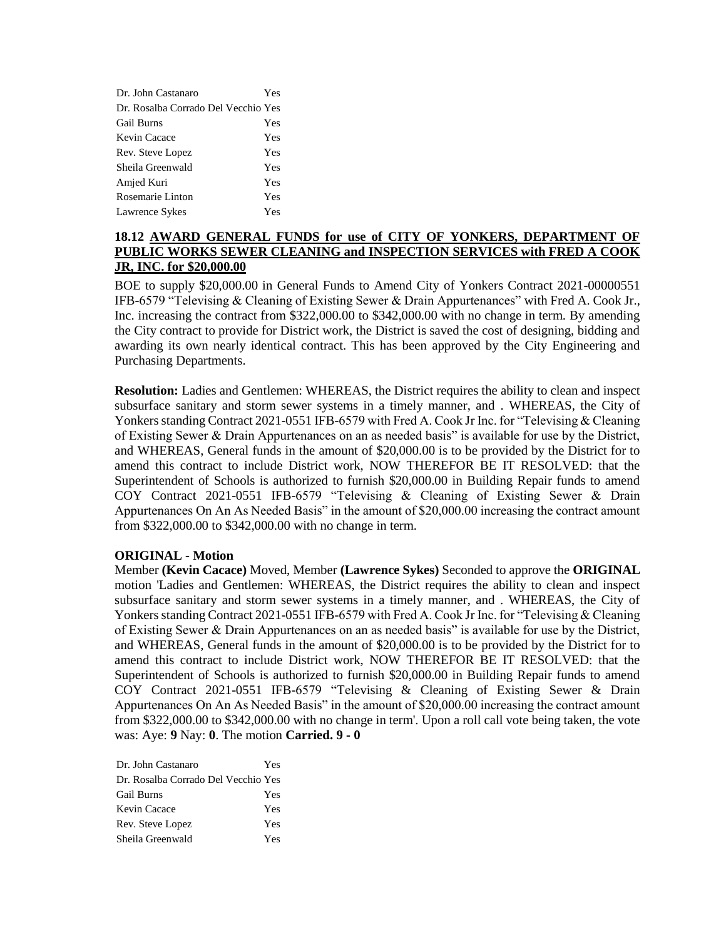| Dr. John Castanaro                  | Yes |
|-------------------------------------|-----|
| Dr. Rosalba Corrado Del Vecchio Yes |     |
| <b>Gail Burns</b>                   | Yes |
| Kevin Cacace                        | Yes |
| Rev. Steve Lopez                    | Yes |
| Sheila Greenwald                    | Yes |
| Amjed Kuri                          | Yes |
| Rosemarie Linton                    | Yes |
| Lawrence Sykes                      | Yes |

# **18.12 AWARD GENERAL FUNDS for use of CITY OF YONKERS, DEPARTMENT OF PUBLIC WORKS SEWER CLEANING and INSPECTION SERVICES with FRED A COOK JR, INC. for \$20,000.00**

BOE to supply \$20,000.00 in General Funds to Amend City of Yonkers Contract 2021-00000551 IFB-6579 "Televising & Cleaning of Existing Sewer & Drain Appurtenances" with Fred A. Cook Jr., Inc. increasing the contract from \$322,000.00 to \$342,000.00 with no change in term. By amending the City contract to provide for District work, the District is saved the cost of designing, bidding and awarding its own nearly identical contract. This has been approved by the City Engineering and Purchasing Departments.

**Resolution:** Ladies and Gentlemen: WHEREAS, the District requires the ability to clean and inspect subsurface sanitary and storm sewer systems in a timely manner, and . WHEREAS, the City of Yonkers standing Contract 2021-0551 IFB-6579 with Fred A. Cook Jr Inc. for "Televising & Cleaning of Existing Sewer & Drain Appurtenances on an as needed basis" is available for use by the District, and WHEREAS, General funds in the amount of \$20,000.00 is to be provided by the District for to amend this contract to include District work, NOW THEREFOR BE IT RESOLVED: that the Superintendent of Schools is authorized to furnish \$20,000.00 in Building Repair funds to amend COY Contract 2021-0551 IFB-6579 "Televising & Cleaning of Existing Sewer & Drain Appurtenances On An As Needed Basis" in the amount of \$20,000.00 increasing the contract amount from \$322,000.00 to \$342,000.00 with no change in term.

## **ORIGINAL - Motion**

Member **(Kevin Cacace)** Moved, Member **(Lawrence Sykes)** Seconded to approve the **ORIGINAL**  motion 'Ladies and Gentlemen: WHEREAS, the District requires the ability to clean and inspect subsurface sanitary and storm sewer systems in a timely manner, and . WHEREAS, the City of Yonkers standing Contract 2021-0551 IFB-6579 with Fred A. Cook Jr Inc. for "Televising & Cleaning of Existing Sewer & Drain Appurtenances on an as needed basis" is available for use by the District, and WHEREAS, General funds in the amount of \$20,000.00 is to be provided by the District for to amend this contract to include District work, NOW THEREFOR BE IT RESOLVED: that the Superintendent of Schools is authorized to furnish \$20,000.00 in Building Repair funds to amend COY Contract 2021-0551 IFB-6579 "Televising & Cleaning of Existing Sewer & Drain Appurtenances On An As Needed Basis" in the amount of \$20,000.00 increasing the contract amount from \$322,000.00 to \$342,000.00 with no change in term'. Upon a roll call vote being taken, the vote was: Aye: **9** Nay: **0**. The motion **Carried. 9 - 0** 

| Dr. John Castanaro                  | Yes |
|-------------------------------------|-----|
| Dr. Rosalba Corrado Del Vecchio Yes |     |
| Gail Burns                          | Yes |
| Kevin Cacace                        | Yes |
| Rev. Steve Lopez                    | Yes |
| Sheila Greenwald                    | Yes |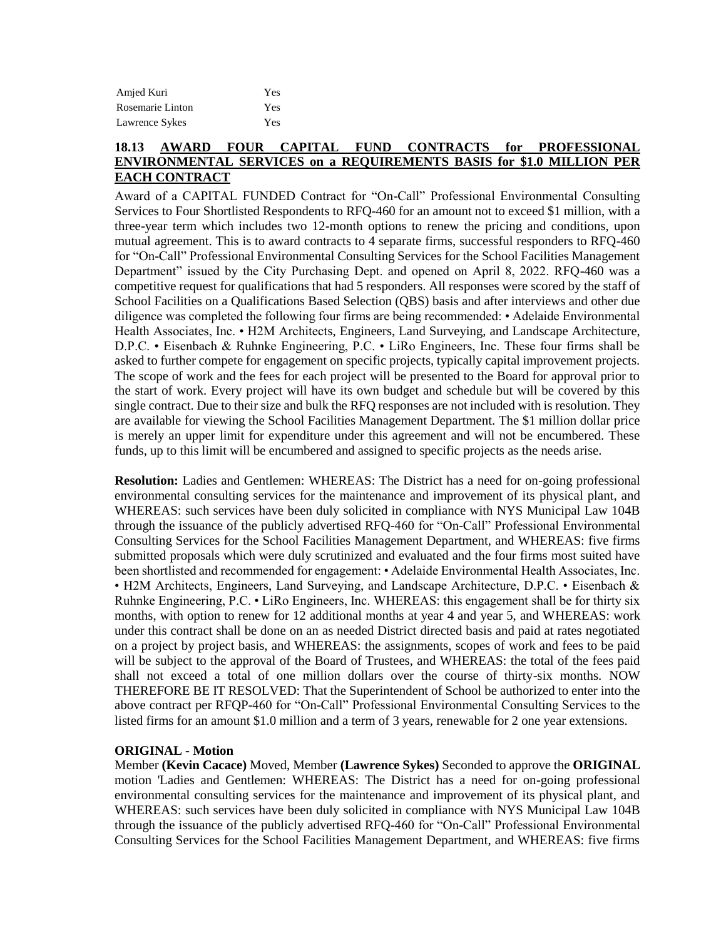| Amjed Kuri       | Yes |
|------------------|-----|
| Rosemarie Linton | Yes |
| Lawrence Sykes   | Yes |

# **18.13 AWARD FOUR CAPITAL FUND CONTRACTS for PROFESSIONAL ENVIRONMENTAL SERVICES on a REQUIREMENTS BASIS for \$1.0 MILLION PER EACH CONTRACT**

Award of a CAPITAL FUNDED Contract for "On-Call" Professional Environmental Consulting Services to Four Shortlisted Respondents to RFQ-460 for an amount not to exceed \$1 million, with a three-year term which includes two 12-month options to renew the pricing and conditions, upon mutual agreement. This is to award contracts to 4 separate firms, successful responders to RFQ-460 for "On-Call" Professional Environmental Consulting Services for the School Facilities Management Department" issued by the City Purchasing Dept. and opened on April 8, 2022. RFQ-460 was a competitive request for qualifications that had 5 responders. All responses were scored by the staff of School Facilities on a Qualifications Based Selection (QBS) basis and after interviews and other due diligence was completed the following four firms are being recommended: • Adelaide Environmental Health Associates, Inc. • H2M Architects, Engineers, Land Surveying, and Landscape Architecture, D.P.C. • Eisenbach & Ruhnke Engineering, P.C. • LiRo Engineers, Inc. These four firms shall be asked to further compete for engagement on specific projects, typically capital improvement projects. The scope of work and the fees for each project will be presented to the Board for approval prior to the start of work. Every project will have its own budget and schedule but will be covered by this single contract. Due to their size and bulk the RFQ responses are not included with is resolution. They are available for viewing the School Facilities Management Department. The \$1 million dollar price is merely an upper limit for expenditure under this agreement and will not be encumbered. These funds, up to this limit will be encumbered and assigned to specific projects as the needs arise.

**Resolution:** Ladies and Gentlemen: WHEREAS: The District has a need for on-going professional environmental consulting services for the maintenance and improvement of its physical plant, and WHEREAS: such services have been duly solicited in compliance with NYS Municipal Law 104B through the issuance of the publicly advertised RFQ-460 for "On-Call" Professional Environmental Consulting Services for the School Facilities Management Department, and WHEREAS: five firms submitted proposals which were duly scrutinized and evaluated and the four firms most suited have been shortlisted and recommended for engagement: • Adelaide Environmental Health Associates, Inc. • H2M Architects, Engineers, Land Surveying, and Landscape Architecture, D.P.C. • Eisenbach & Ruhnke Engineering, P.C. • LiRo Engineers, Inc. WHEREAS: this engagement shall be for thirty six months, with option to renew for 12 additional months at year 4 and year 5, and WHEREAS: work under this contract shall be done on an as needed District directed basis and paid at rates negotiated on a project by project basis, and WHEREAS: the assignments, scopes of work and fees to be paid will be subject to the approval of the Board of Trustees, and WHEREAS: the total of the fees paid shall not exceed a total of one million dollars over the course of thirty-six months. NOW THEREFORE BE IT RESOLVED: That the Superintendent of School be authorized to enter into the above contract per RFQP-460 for "On-Call" Professional Environmental Consulting Services to the listed firms for an amount \$1.0 million and a term of 3 years, renewable for 2 one year extensions.

## **ORIGINAL - Motion**

Member **(Kevin Cacace)** Moved, Member **(Lawrence Sykes)** Seconded to approve the **ORIGINAL**  motion 'Ladies and Gentlemen: WHEREAS: The District has a need for on-going professional environmental consulting services for the maintenance and improvement of its physical plant, and WHEREAS: such services have been duly solicited in compliance with NYS Municipal Law 104B through the issuance of the publicly advertised RFQ-460 for "On-Call" Professional Environmental Consulting Services for the School Facilities Management Department, and WHEREAS: five firms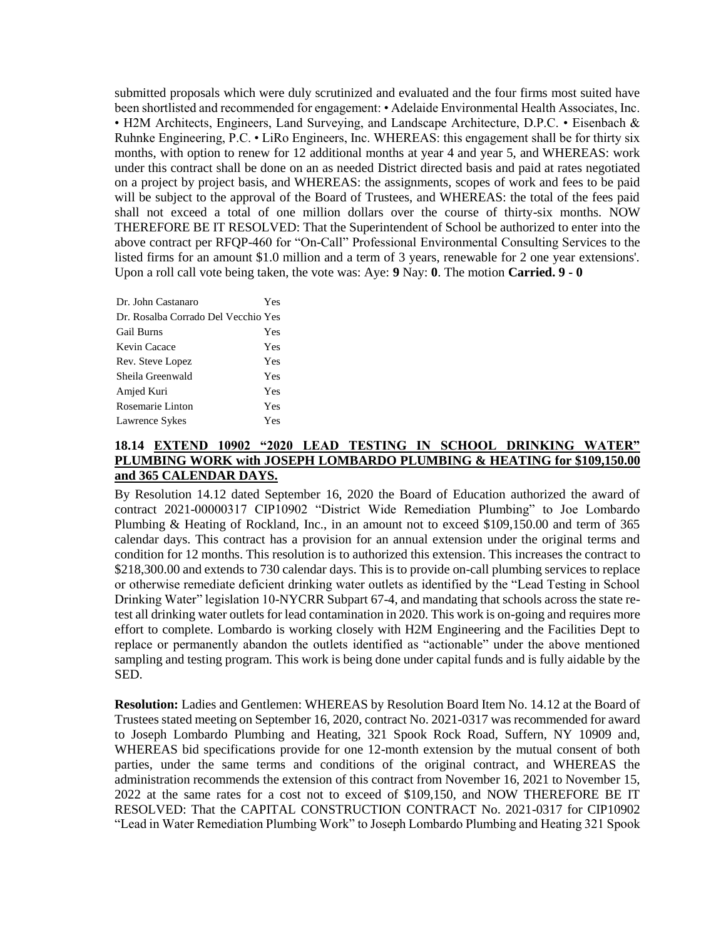submitted proposals which were duly scrutinized and evaluated and the four firms most suited have been shortlisted and recommended for engagement: • Adelaide Environmental Health Associates, Inc. • H2M Architects, Engineers, Land Surveying, and Landscape Architecture, D.P.C. • Eisenbach & Ruhnke Engineering, P.C. • LiRo Engineers, Inc. WHEREAS: this engagement shall be for thirty six months, with option to renew for 12 additional months at year 4 and year 5, and WHEREAS: work under this contract shall be done on an as needed District directed basis and paid at rates negotiated on a project by project basis, and WHEREAS: the assignments, scopes of work and fees to be paid will be subject to the approval of the Board of Trustees, and WHEREAS: the total of the fees paid shall not exceed a total of one million dollars over the course of thirty-six months. NOW THEREFORE BE IT RESOLVED: That the Superintendent of School be authorized to enter into the above contract per RFQP-460 for "On-Call" Professional Environmental Consulting Services to the listed firms for an amount \$1.0 million and a term of 3 years, renewable for 2 one year extensions'. Upon a roll call vote being taken, the vote was: Aye: **9** Nay: **0**. The motion **Carried. 9 - 0** 

| Dr. John Castanaro                  | Yes |
|-------------------------------------|-----|
| Dr. Rosalba Corrado Del Vecchio Yes |     |
| <b>Gail Burns</b>                   | Yes |
| Kevin Cacace                        | Yes |
| Rev. Steve Lopez                    | Yes |
| Sheila Greenwald                    | Yes |
| Amjed Kuri                          | Yes |
| Rosemarie Linton                    | Yes |
| Lawrence Sykes                      | Yes |

# **18.14 EXTEND 10902 "2020 LEAD TESTING IN SCHOOL DRINKING WATER" PLUMBING WORK with JOSEPH LOMBARDO PLUMBING & HEATING for \$109,150.00 and 365 CALENDAR DAYS.**

By Resolution 14.12 dated September 16, 2020 the Board of Education authorized the award of contract 2021-00000317 CIP10902 "District Wide Remediation Plumbing" to Joe Lombardo Plumbing & Heating of Rockland, Inc., in an amount not to exceed \$109,150.00 and term of 365 calendar days. This contract has a provision for an annual extension under the original terms and condition for 12 months. This resolution is to authorized this extension. This increases the contract to \$218,300.00 and extends to 730 calendar days. This is to provide on-call plumbing services to replace or otherwise remediate deficient drinking water outlets as identified by the "Lead Testing in School Drinking Water" legislation 10-NYCRR Subpart 67-4, and mandating that schools across the state retest all drinking water outlets for lead contamination in 2020. This work is on-going and requires more effort to complete. Lombardo is working closely with H2M Engineering and the Facilities Dept to replace or permanently abandon the outlets identified as "actionable" under the above mentioned sampling and testing program. This work is being done under capital funds and is fully aidable by the SED.

**Resolution:** Ladies and Gentlemen: WHEREAS by Resolution Board Item No. 14.12 at the Board of Trustees stated meeting on September 16, 2020, contract No. 2021-0317 was recommended for award to Joseph Lombardo Plumbing and Heating, 321 Spook Rock Road, Suffern, NY 10909 and, WHEREAS bid specifications provide for one 12-month extension by the mutual consent of both parties, under the same terms and conditions of the original contract, and WHEREAS the administration recommends the extension of this contract from November 16, 2021 to November 15, 2022 at the same rates for a cost not to exceed of \$109,150, and NOW THEREFORE BE IT RESOLVED: That the CAPITAL CONSTRUCTION CONTRACT No. 2021-0317 for CIP10902 "Lead in Water Remediation Plumbing Work" to Joseph Lombardo Plumbing and Heating 321 Spook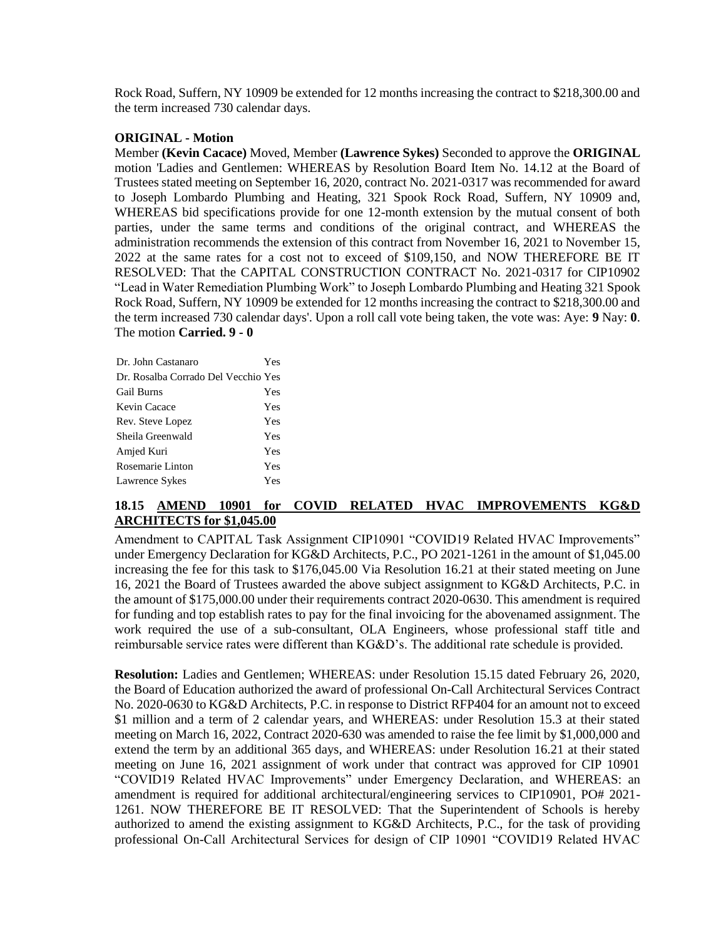Rock Road, Suffern, NY 10909 be extended for 12 months increasing the contract to \$218,300.00 and the term increased 730 calendar days.

### **ORIGINAL - Motion**

Member **(Kevin Cacace)** Moved, Member **(Lawrence Sykes)** Seconded to approve the **ORIGINAL**  motion 'Ladies and Gentlemen: WHEREAS by Resolution Board Item No. 14.12 at the Board of Trustees stated meeting on September 16, 2020, contract No. 2021-0317 was recommended for award to Joseph Lombardo Plumbing and Heating, 321 Spook Rock Road, Suffern, NY 10909 and, WHEREAS bid specifications provide for one 12-month extension by the mutual consent of both parties, under the same terms and conditions of the original contract, and WHEREAS the administration recommends the extension of this contract from November 16, 2021 to November 15, 2022 at the same rates for a cost not to exceed of \$109,150, and NOW THEREFORE BE IT RESOLVED: That the CAPITAL CONSTRUCTION CONTRACT No. 2021-0317 for CIP10902 "Lead in Water Remediation Plumbing Work" to Joseph Lombardo Plumbing and Heating 321 Spook Rock Road, Suffern, NY 10909 be extended for 12 months increasing the contract to \$218,300.00 and the term increased 730 calendar days'. Upon a roll call vote being taken, the vote was: Aye: **9** Nay: **0**. The motion **Carried. 9 - 0**

| Dr. John Castanaro                  | Yes |
|-------------------------------------|-----|
| Dr. Rosalba Corrado Del Vecchio Yes |     |
| <b>Gail Burns</b>                   | Yes |
| Kevin Cacace                        | Yes |
| Rev. Steve Lopez                    | Yes |
| Sheila Greenwald                    | Yes |
| Amjed Kuri                          | Yes |
| Rosemarie Linton                    | Yes |
| Lawrence Sykes                      | Yes |

## **18.15 AMEND 10901 for COVID RELATED HVAC IMPROVEMENTS KG&D ARCHITECTS for \$1,045.00**

Amendment to CAPITAL Task Assignment CIP10901 "COVID19 Related HVAC Improvements" under Emergency Declaration for KG&D Architects, P.C., PO 2021-1261 in the amount of \$1,045.00 increasing the fee for this task to \$176,045.00 Via Resolution 16.21 at their stated meeting on June 16, 2021 the Board of Trustees awarded the above subject assignment to KG&D Architects, P.C. in the amount of \$175,000.00 under their requirements contract 2020-0630. This amendment is required for funding and top establish rates to pay for the final invoicing for the abovenamed assignment. The work required the use of a sub-consultant, OLA Engineers, whose professional staff title and reimbursable service rates were different than KG&D's. The additional rate schedule is provided.

**Resolution:** Ladies and Gentlemen; WHEREAS: under Resolution 15.15 dated February 26, 2020, the Board of Education authorized the award of professional On-Call Architectural Services Contract No. 2020-0630 to KG&D Architects, P.C. in response to District RFP404 for an amount not to exceed \$1 million and a term of 2 calendar years, and WHEREAS: under Resolution 15.3 at their stated meeting on March 16, 2022, Contract 2020-630 was amended to raise the fee limit by \$1,000,000 and extend the term by an additional 365 days, and WHEREAS: under Resolution 16.21 at their stated meeting on June 16, 2021 assignment of work under that contract was approved for CIP 10901 "COVID19 Related HVAC Improvements" under Emergency Declaration, and WHEREAS: an amendment is required for additional architectural/engineering services to CIP10901, PO# 2021- 1261. NOW THEREFORE BE IT RESOLVED: That the Superintendent of Schools is hereby authorized to amend the existing assignment to KG&D Architects, P.C., for the task of providing professional On-Call Architectural Services for design of CIP 10901 "COVID19 Related HVAC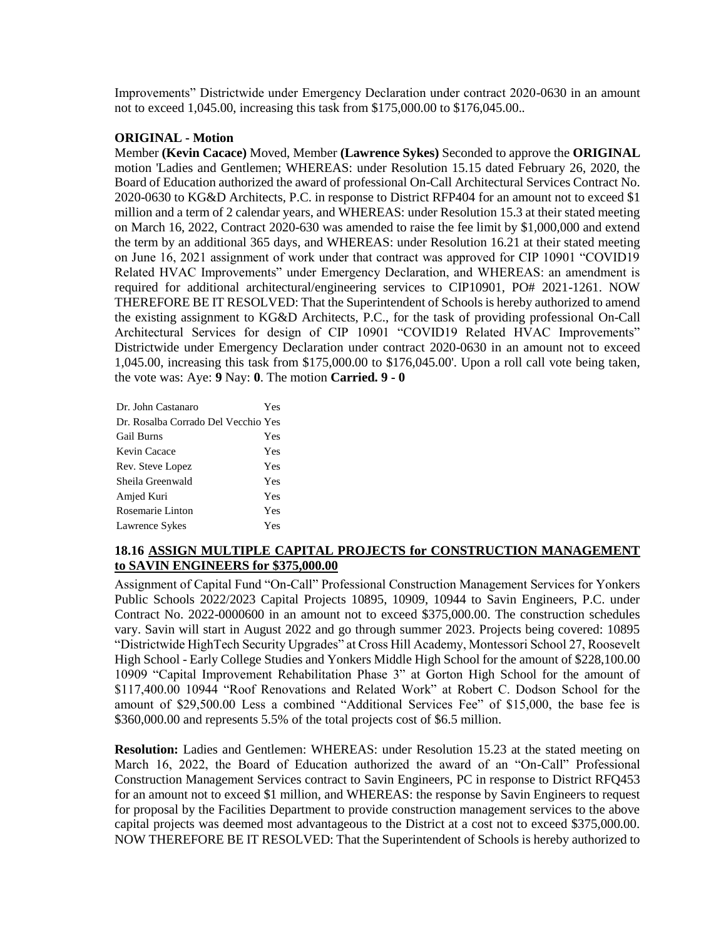Improvements" Districtwide under Emergency Declaration under contract 2020-0630 in an amount not to exceed 1,045.00, increasing this task from \$175,000.00 to \$176,045.00..

## **ORIGINAL - Motion**

Member **(Kevin Cacace)** Moved, Member **(Lawrence Sykes)** Seconded to approve the **ORIGINAL**  motion 'Ladies and Gentlemen; WHEREAS: under Resolution 15.15 dated February 26, 2020, the Board of Education authorized the award of professional On-Call Architectural Services Contract No. 2020-0630 to KG&D Architects, P.C. in response to District RFP404 for an amount not to exceed \$1 million and a term of 2 calendar years, and WHEREAS: under Resolution 15.3 at their stated meeting on March 16, 2022, Contract 2020-630 was amended to raise the fee limit by \$1,000,000 and extend the term by an additional 365 days, and WHEREAS: under Resolution 16.21 at their stated meeting on June 16, 2021 assignment of work under that contract was approved for CIP 10901 "COVID19 Related HVAC Improvements" under Emergency Declaration, and WHEREAS: an amendment is required for additional architectural/engineering services to CIP10901, PO# 2021-1261. NOW THEREFORE BE IT RESOLVED: That the Superintendent of Schools is hereby authorized to amend the existing assignment to KG&D Architects, P.C., for the task of providing professional On-Call Architectural Services for design of CIP 10901 "COVID19 Related HVAC Improvements" Districtwide under Emergency Declaration under contract 2020-0630 in an amount not to exceed 1,045.00, increasing this task from \$175,000.00 to \$176,045.00'. Upon a roll call vote being taken, the vote was: Aye: **9** Nay: **0**. The motion **Carried. 9 - 0** 

| Dr. John Castanaro                  | Yes |
|-------------------------------------|-----|
| Dr. Rosalba Corrado Del Vecchio Yes |     |
| Gail Burns                          | Yes |
| Kevin Cacace                        | Yes |
| Rev. Steve Lopez                    | Yes |
| Sheila Greenwald                    | Yes |
| Amjed Kuri                          | Yes |
| Rosemarie Linton                    | Yes |
| Lawrence Sykes                      | Yes |

# **18.16 ASSIGN MULTIPLE CAPITAL PROJECTS for CONSTRUCTION MANAGEMENT to SAVIN ENGINEERS for \$375,000.00**

Assignment of Capital Fund "On-Call" Professional Construction Management Services for Yonkers Public Schools 2022/2023 Capital Projects 10895, 10909, 10944 to Savin Engineers, P.C. under Contract No. 2022-0000600 in an amount not to exceed \$375,000.00. The construction schedules vary. Savin will start in August 2022 and go through summer 2023. Projects being covered: 10895 "Districtwide HighTech Security Upgrades" at Cross Hill Academy, Montessori School 27, Roosevelt High School - Early College Studies and Yonkers Middle High School for the amount of \$228,100.00 10909 "Capital Improvement Rehabilitation Phase 3" at Gorton High School for the amount of \$117,400.00 10944 "Roof Renovations and Related Work" at Robert C. Dodson School for the amount of \$29,500.00 Less a combined "Additional Services Fee" of \$15,000, the base fee is \$360,000.00 and represents 5.5% of the total projects cost of \$6.5 million.

**Resolution:** Ladies and Gentlemen: WHEREAS: under Resolution 15.23 at the stated meeting on March 16, 2022, the Board of Education authorized the award of an "On-Call" Professional Construction Management Services contract to Savin Engineers, PC in response to District RFQ453 for an amount not to exceed \$1 million, and WHEREAS: the response by Savin Engineers to request for proposal by the Facilities Department to provide construction management services to the above capital projects was deemed most advantageous to the District at a cost not to exceed \$375,000.00. NOW THEREFORE BE IT RESOLVED: That the Superintendent of Schools is hereby authorized to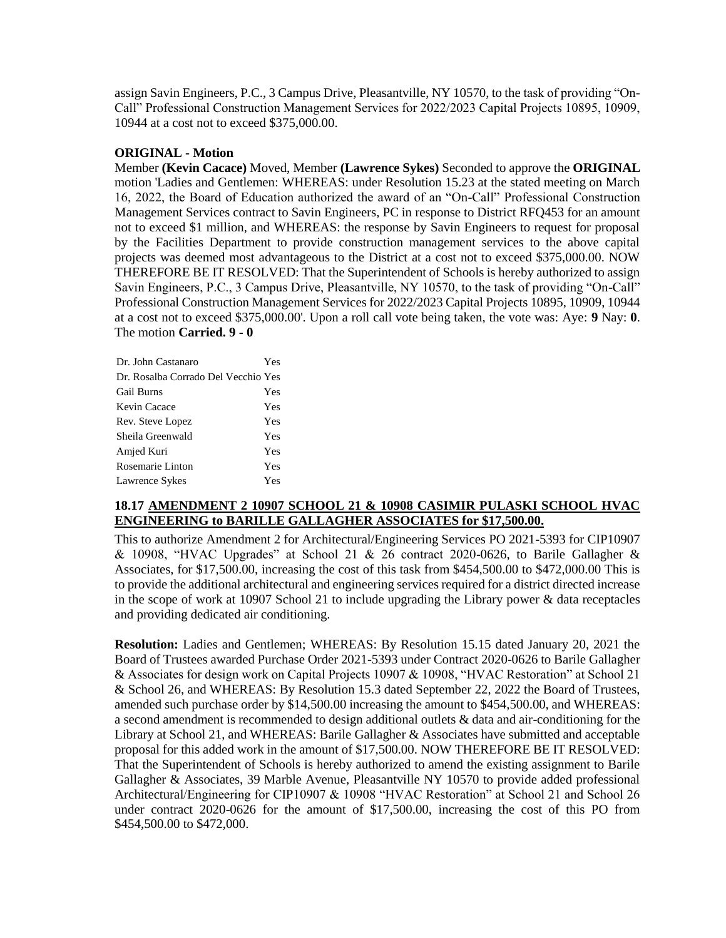assign Savin Engineers, P.C., 3 Campus Drive, Pleasantville, NY 10570, to the task of providing "On-Call" Professional Construction Management Services for 2022/2023 Capital Projects 10895, 10909, 10944 at a cost not to exceed \$375,000.00.

## **ORIGINAL - Motion**

Member **(Kevin Cacace)** Moved, Member **(Lawrence Sykes)** Seconded to approve the **ORIGINAL**  motion 'Ladies and Gentlemen: WHEREAS: under Resolution 15.23 at the stated meeting on March 16, 2022, the Board of Education authorized the award of an "On-Call" Professional Construction Management Services contract to Savin Engineers, PC in response to District RFQ453 for an amount not to exceed \$1 million, and WHEREAS: the response by Savin Engineers to request for proposal by the Facilities Department to provide construction management services to the above capital projects was deemed most advantageous to the District at a cost not to exceed \$375,000.00. NOW THEREFORE BE IT RESOLVED: That the Superintendent of Schools is hereby authorized to assign Savin Engineers, P.C., 3 Campus Drive, Pleasantville, NY 10570, to the task of providing "On-Call" Professional Construction Management Services for 2022/2023 Capital Projects 10895, 10909, 10944 at a cost not to exceed \$375,000.00'. Upon a roll call vote being taken, the vote was: Aye: **9** Nay: **0**. The motion **Carried. 9 - 0** 

| Dr. John Castanaro                  | Yes |
|-------------------------------------|-----|
| Dr. Rosalba Corrado Del Vecchio Yes |     |
| Gail Burns                          | Yes |
| Kevin Cacace                        | Yes |
| Rev. Steve Lopez                    | Yes |
| Sheila Greenwald                    | Yes |
| Amjed Kuri                          | Yes |
| Rosemarie Linton                    | Yes |
| Lawrence Sykes                      | Yes |

## **18.17 AMENDMENT 2 10907 SCHOOL 21 & 10908 CASIMIR PULASKI SCHOOL HVAC ENGINEERING to BARILLE GALLAGHER ASSOCIATES for \$17,500.00.**

This to authorize Amendment 2 for Architectural/Engineering Services PO 2021-5393 for CIP10907 & 10908, "HVAC Upgrades" at School 21 & 26 contract 2020-0626, to Barile Gallagher & Associates, for \$17,500.00, increasing the cost of this task from \$454,500.00 to \$472,000.00 This is to provide the additional architectural and engineering services required for a district directed increase in the scope of work at 10907 School 21 to include upgrading the Library power & data receptacles and providing dedicated air conditioning.

**Resolution:** Ladies and Gentlemen; WHEREAS: By Resolution 15.15 dated January 20, 2021 the Board of Trustees awarded Purchase Order 2021-5393 under Contract 2020-0626 to Barile Gallagher & Associates for design work on Capital Projects 10907 & 10908, "HVAC Restoration" at School 21 & School 26, and WHEREAS: By Resolution 15.3 dated September 22, 2022 the Board of Trustees, amended such purchase order by \$14,500.00 increasing the amount to \$454,500.00, and WHEREAS: a second amendment is recommended to design additional outlets & data and air-conditioning for the Library at School 21, and WHEREAS: Barile Gallagher & Associates have submitted and acceptable proposal for this added work in the amount of \$17,500.00. NOW THEREFORE BE IT RESOLVED: That the Superintendent of Schools is hereby authorized to amend the existing assignment to Barile Gallagher & Associates, 39 Marble Avenue, Pleasantville NY 10570 to provide added professional Architectural/Engineering for CIP10907 & 10908 "HVAC Restoration" at School 21 and School 26 under contract 2020-0626 for the amount of \$17,500.00, increasing the cost of this PO from \$454,500.00 to \$472,000.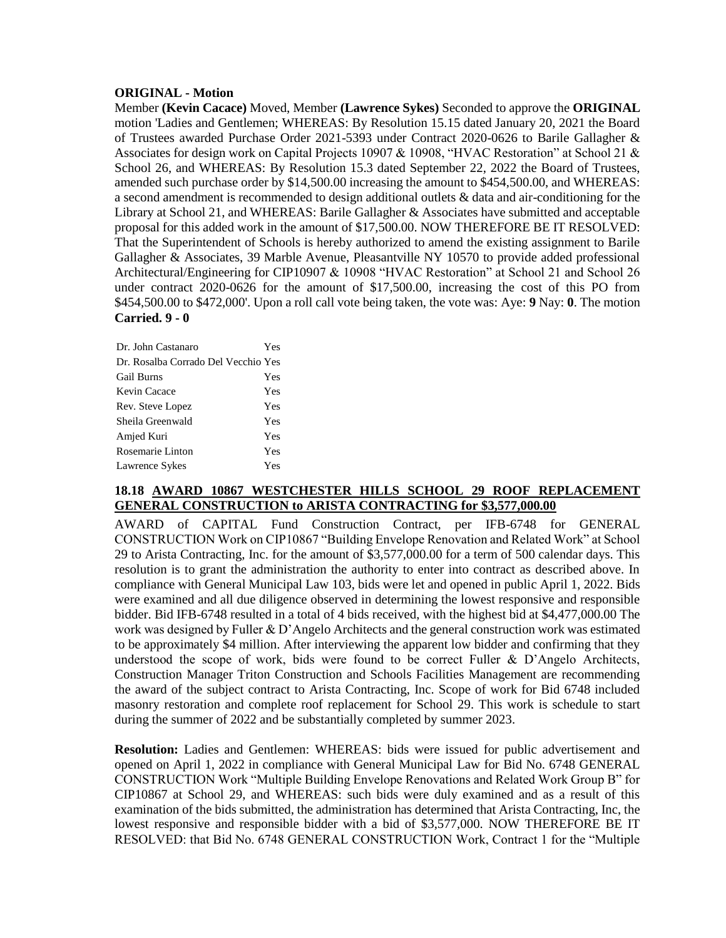## **ORIGINAL - Motion**

Member **(Kevin Cacace)** Moved, Member **(Lawrence Sykes)** Seconded to approve the **ORIGINAL**  motion 'Ladies and Gentlemen; WHEREAS: By Resolution 15.15 dated January 20, 2021 the Board of Trustees awarded Purchase Order 2021-5393 under Contract 2020-0626 to Barile Gallagher & Associates for design work on Capital Projects 10907 & 10908, "HVAC Restoration" at School 21 & School 26, and WHEREAS: By Resolution 15.3 dated September 22, 2022 the Board of Trustees, amended such purchase order by \$14,500.00 increasing the amount to \$454,500.00, and WHEREAS: a second amendment is recommended to design additional outlets & data and air-conditioning for the Library at School 21, and WHEREAS: Barile Gallagher & Associates have submitted and acceptable proposal for this added work in the amount of \$17,500.00. NOW THEREFORE BE IT RESOLVED: That the Superintendent of Schools is hereby authorized to amend the existing assignment to Barile Gallagher & Associates, 39 Marble Avenue, Pleasantville NY 10570 to provide added professional Architectural/Engineering for CIP10907 & 10908 "HVAC Restoration" at School 21 and School 26 under contract 2020-0626 for the amount of \$17,500.00, increasing the cost of this PO from \$454,500.00 to \$472,000'. Upon a roll call vote being taken, the vote was: Aye: **9** Nay: **0**. The motion **Carried. 9 - 0** 

| Dr. John Castanaro                  | Yes |
|-------------------------------------|-----|
| Dr. Rosalba Corrado Del Vecchio Yes |     |
| <b>Gail Burns</b>                   | Yes |
| Kevin Cacace                        | Yes |
| Rev. Steve Lopez                    | Yes |
| Sheila Greenwald                    | Yes |
| Amjed Kuri                          | Yes |
| Rosemarie Linton                    | Yes |
| Lawrence Sykes                      | Yes |

### **18.18 AWARD 10867 WESTCHESTER HILLS SCHOOL 29 ROOF REPLACEMENT GENERAL CONSTRUCTION to ARISTA CONTRACTING for \$3,577,000.00**

AWARD of CAPITAL Fund Construction Contract, per IFB-6748 for GENERAL CONSTRUCTION Work on CIP10867 "Building Envelope Renovation and Related Work" at School 29 to Arista Contracting, Inc. for the amount of \$3,577,000.00 for a term of 500 calendar days. This resolution is to grant the administration the authority to enter into contract as described above. In compliance with General Municipal Law 103, bids were let and opened in public April 1, 2022. Bids were examined and all due diligence observed in determining the lowest responsive and responsible bidder. Bid IFB-6748 resulted in a total of 4 bids received, with the highest bid at \$4,477,000.00 The work was designed by Fuller & D'Angelo Architects and the general construction work was estimated to be approximately \$4 million. After interviewing the apparent low bidder and confirming that they understood the scope of work, bids were found to be correct Fuller & D'Angelo Architects, Construction Manager Triton Construction and Schools Facilities Management are recommending the award of the subject contract to Arista Contracting, Inc. Scope of work for Bid 6748 included masonry restoration and complete roof replacement for School 29. This work is schedule to start during the summer of 2022 and be substantially completed by summer 2023.

**Resolution:** Ladies and Gentlemen: WHEREAS: bids were issued for public advertisement and opened on April 1, 2022 in compliance with General Municipal Law for Bid No. 6748 GENERAL CONSTRUCTION Work "Multiple Building Envelope Renovations and Related Work Group B" for CIP10867 at School 29, and WHEREAS: such bids were duly examined and as a result of this examination of the bids submitted, the administration has determined that Arista Contracting, Inc, the lowest responsive and responsible bidder with a bid of \$3,577,000. NOW THEREFORE BE IT RESOLVED: that Bid No. 6748 GENERAL CONSTRUCTION Work, Contract 1 for the "Multiple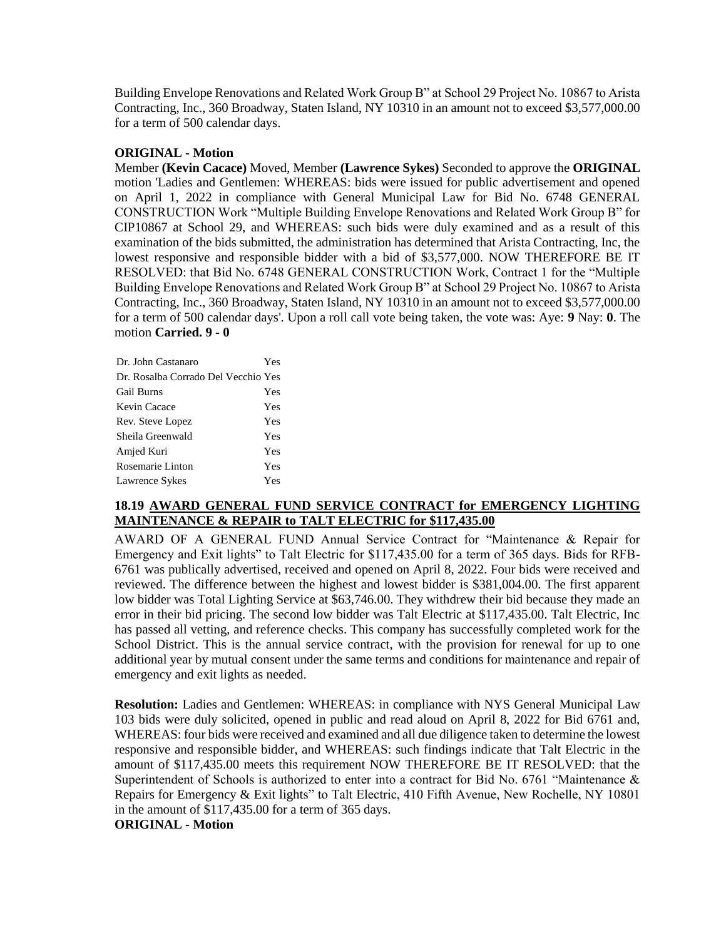Building Envelope Renovations and Related Work Group B" at School 29 Project No. 10867 to Arista Contracting, Inc., 360 Broadway, Staten Island, NY 10310 in an amount not to exceed \$3,577,000.00 for a term of 500 calendar days.

## **ORIGINAL - Motion**

Member **(Kevin Cacace)** Moved, Member **(Lawrence Sykes)** Seconded to approve the **ORIGINAL**  motion 'Ladies and Gentlemen: WHEREAS: bids were issued for public advertisement and opened on April 1, 2022 in compliance with General Municipal Law for Bid No. 6748 GENERAL CONSTRUCTION Work "Multiple Building Envelope Renovations and Related Work Group B" for CIP10867 at School 29, and WHEREAS: such bids were duly examined and as a result of this examination of the bids submitted, the administration has determined that Arista Contracting, Inc, the lowest responsive and responsible bidder with a bid of \$3,577,000. NOW THEREFORE BE IT RESOLVED: that Bid No. 6748 GENERAL CONSTRUCTION Work, Contract 1 for the "Multiple Building Envelope Renovations and Related Work Group B" at School 29 Project No. 10867 to Arista Contracting, Inc., 360 Broadway, Staten Island, NY 10310 in an amount not to exceed \$3,577,000.00 for a term of 500 calendar days'. Upon a roll call vote being taken, the vote was: Aye: **9** Nay: **0**. The motion **Carried. 9 - 0** 

| Dr. John Castanaro                  | Yes |
|-------------------------------------|-----|
| Dr. Rosalba Corrado Del Vecchio Yes |     |
| Gail Burns                          | Yes |
| Kevin Cacace                        | Yes |
| Rev. Steve Lopez                    | Yes |
| Sheila Greenwald                    | Yes |
| Amjed Kuri                          | Yes |
| Rosemarie Linton                    | Yes |
| Lawrence Sykes                      | Yes |

## **18.19 AWARD GENERAL FUND SERVICE CONTRACT for EMERGENCY LIGHTING MAINTENANCE & REPAIR to TALT ELECTRIC for \$117,435.00**

AWARD OF A GENERAL FUND Annual Service Contract for "Maintenance & Repair for Emergency and Exit lights" to Talt Electric for \$117,435.00 for a term of 365 days. Bids for RFB-6761 was publically advertised, received and opened on April 8, 2022. Four bids were received and reviewed. The difference between the highest and lowest bidder is \$381,004.00. The first apparent low bidder was Total Lighting Service at \$63,746.00. They withdrew their bid because they made an error in their bid pricing. The second low bidder was Talt Electric at \$117,435.00. Talt Electric, Inc has passed all vetting, and reference checks. This company has successfully completed work for the School District. This is the annual service contract, with the provision for renewal for up to one additional year by mutual consent under the same terms and conditions for maintenance and repair of emergency and exit lights as needed.

**Resolution:** Ladies and Gentlemen: WHEREAS: in compliance with NYS General Municipal Law 103 bids were duly solicited, opened in public and read aloud on April 8, 2022 for Bid 6761 and, WHEREAS: four bids were received and examined and all due diligence taken to determine the lowest responsive and responsible bidder, and WHEREAS: such findings indicate that Talt Electric in the amount of \$117,435.00 meets this requirement NOW THEREFORE BE IT RESOLVED: that the Superintendent of Schools is authorized to enter into a contract for Bid No. 6761 "Maintenance & Repairs for Emergency & Exit lights" to Talt Electric, 410 Fifth Avenue, New Rochelle, NY 10801 in the amount of \$117,435.00 for a term of 365 days.

**ORIGINAL - Motion**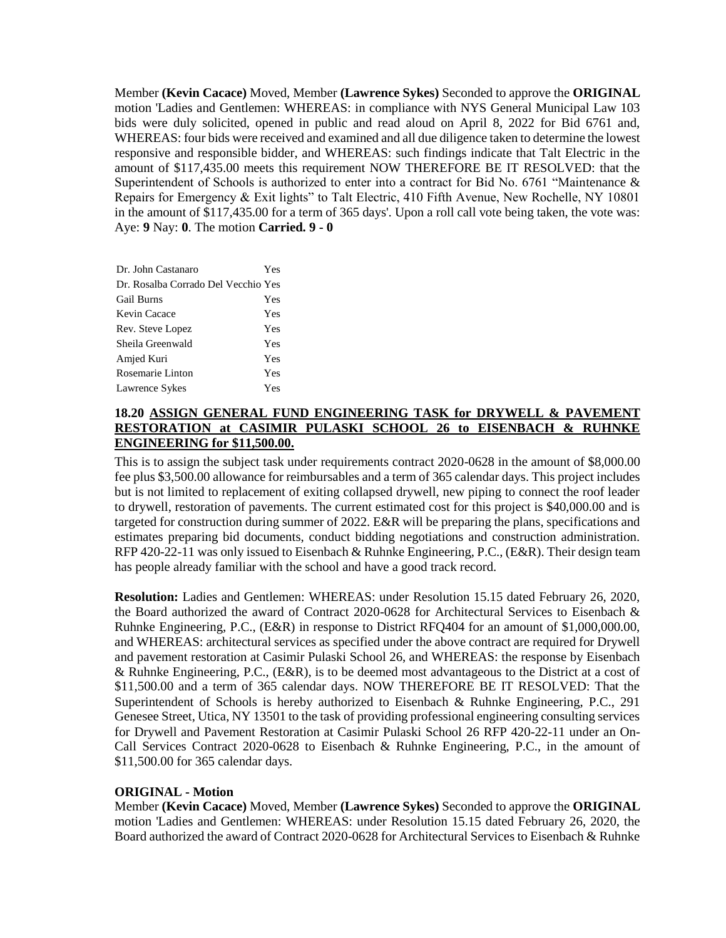Member **(Kevin Cacace)** Moved, Member **(Lawrence Sykes)** Seconded to approve the **ORIGINAL**  motion 'Ladies and Gentlemen: WHEREAS: in compliance with NYS General Municipal Law 103 bids were duly solicited, opened in public and read aloud on April 8, 2022 for Bid 6761 and, WHEREAS: four bids were received and examined and all due diligence taken to determine the lowest responsive and responsible bidder, and WHEREAS: such findings indicate that Talt Electric in the amount of \$117,435.00 meets this requirement NOW THEREFORE BE IT RESOLVED: that the Superintendent of Schools is authorized to enter into a contract for Bid No. 6761 "Maintenance & Repairs for Emergency & Exit lights" to Talt Electric, 410 Fifth Avenue, New Rochelle, NY 10801 in the amount of \$117,435.00 for a term of 365 days'. Upon a roll call vote being taken, the vote was: Aye: **9** Nay: **0**. The motion **Carried. 9 - 0** 

| Dr. John Castanaro                  | Yes |
|-------------------------------------|-----|
| Dr. Rosalba Corrado Del Vecchio Yes |     |
| <b>Gail Burns</b>                   | Yes |
| Kevin Cacace                        | Yes |
| Rev. Steve Lopez                    | Yes |
| Sheila Greenwald                    | Yes |
| Amjed Kuri                          | Yes |
| Rosemarie Linton                    | Yes |
| Lawrence Sykes                      | Yes |

# **18.20 ASSIGN GENERAL FUND ENGINEERING TASK for DRYWELL & PAVEMENT RESTORATION at CASIMIR PULASKI SCHOOL 26 to EISENBACH & RUHNKE ENGINEERING for \$11,500.00.**

This is to assign the subject task under requirements contract 2020-0628 in the amount of \$8,000.00 fee plus \$3,500.00 allowance for reimbursables and a term of 365 calendar days. This project includes but is not limited to replacement of exiting collapsed drywell, new piping to connect the roof leader to drywell, restoration of pavements. The current estimated cost for this project is \$40,000.00 and is targeted for construction during summer of 2022. E&R will be preparing the plans, specifications and estimates preparing bid documents, conduct bidding negotiations and construction administration. RFP 420-22-11 was only issued to Eisenbach & Ruhnke Engineering, P.C., (E&R). Their design team has people already familiar with the school and have a good track record.

**Resolution:** Ladies and Gentlemen: WHEREAS: under Resolution 15.15 dated February 26, 2020, the Board authorized the award of Contract 2020-0628 for Architectural Services to Eisenbach & Ruhnke Engineering, P.C., (E&R) in response to District RFQ404 for an amount of \$1,000,000.00, and WHEREAS: architectural services as specified under the above contract are required for Drywell and pavement restoration at Casimir Pulaski School 26, and WHEREAS: the response by Eisenbach & Ruhnke Engineering, P.C., (E&R), is to be deemed most advantageous to the District at a cost of \$11,500.00 and a term of 365 calendar days. NOW THEREFORE BE IT RESOLVED: That the Superintendent of Schools is hereby authorized to Eisenbach & Ruhnke Engineering, P.C., 291 Genesee Street, Utica, NY 13501 to the task of providing professional engineering consulting services for Drywell and Pavement Restoration at Casimir Pulaski School 26 RFP 420-22-11 under an On-Call Services Contract 2020-0628 to Eisenbach & Ruhnke Engineering, P.C., in the amount of \$11,500.00 for 365 calendar days.

## **ORIGINAL - Motion**

Member **(Kevin Cacace)** Moved, Member **(Lawrence Sykes)** Seconded to approve the **ORIGINAL**  motion 'Ladies and Gentlemen: WHEREAS: under Resolution 15.15 dated February 26, 2020, the Board authorized the award of Contract 2020-0628 for Architectural Services to Eisenbach & Ruhnke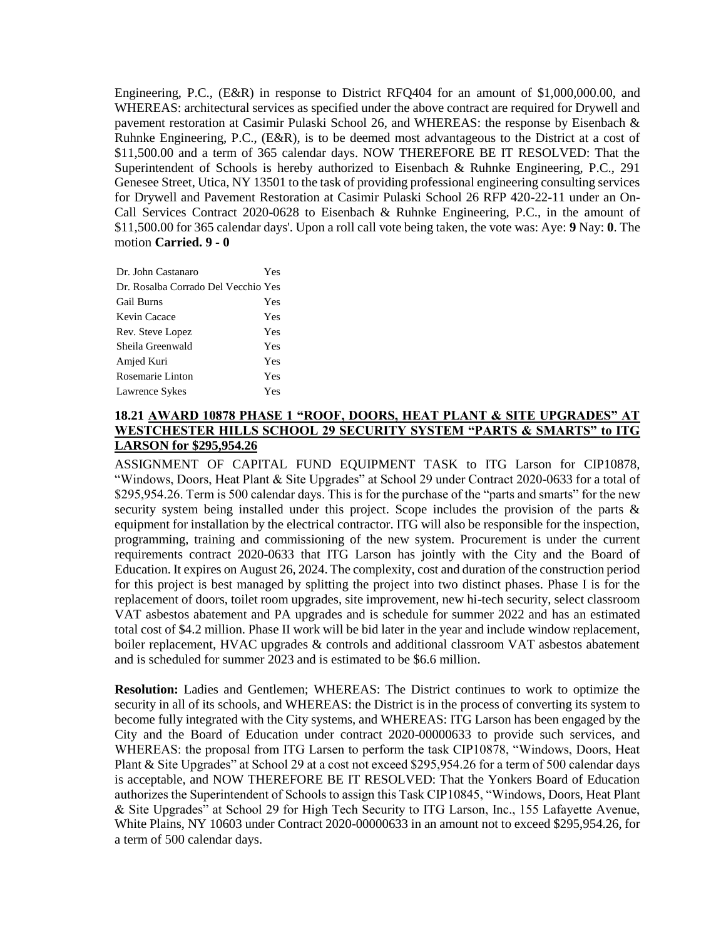Engineering, P.C., (E&R) in response to District RFQ404 for an amount of \$1,000,000.00, and WHEREAS: architectural services as specified under the above contract are required for Drywell and pavement restoration at Casimir Pulaski School 26, and WHEREAS: the response by Eisenbach & Ruhnke Engineering, P.C., (E&R), is to be deemed most advantageous to the District at a cost of \$11,500.00 and a term of 365 calendar days. NOW THEREFORE BE IT RESOLVED: That the Superintendent of Schools is hereby authorized to Eisenbach & Ruhnke Engineering, P.C., 291 Genesee Street, Utica, NY 13501 to the task of providing professional engineering consulting services for Drywell and Pavement Restoration at Casimir Pulaski School 26 RFP 420-22-11 under an On-Call Services Contract 2020-0628 to Eisenbach & Ruhnke Engineering, P.C., in the amount of \$11,500.00 for 365 calendar days'. Upon a roll call vote being taken, the vote was: Aye: **9** Nay: **0**. The motion **Carried. 9 - 0** 

| Dr. John Castanaro                  | Yes |
|-------------------------------------|-----|
| Dr. Rosalba Corrado Del Vecchio Yes |     |
| <b>Gail Burns</b>                   | Yes |
| Kevin Cacace                        | Yes |
| Rev. Steve Lopez                    | Yes |
| Sheila Greenwald                    | Yes |
| Amjed Kuri                          | Yes |
| Rosemarie Linton                    | Yes |
| Lawrence Sykes                      | Yes |

# **18.21 AWARD 10878 PHASE 1 "ROOF, DOORS, HEAT PLANT & SITE UPGRADES" AT WESTCHESTER HILLS SCHOOL 29 SECURITY SYSTEM "PARTS & SMARTS" to ITG LARSON for \$295,954.26**

ASSIGNMENT OF CAPITAL FUND EQUIPMENT TASK to ITG Larson for CIP10878, "Windows, Doors, Heat Plant & Site Upgrades" at School 29 under Contract 2020-0633 for a total of \$295,954.26. Term is 500 calendar days. This is for the purchase of the "parts and smarts" for the new security system being installed under this project. Scope includes the provision of the parts & equipment for installation by the electrical contractor. ITG will also be responsible for the inspection, programming, training and commissioning of the new system. Procurement is under the current requirements contract 2020-0633 that ITG Larson has jointly with the City and the Board of Education. It expires on August 26, 2024. The complexity, cost and duration of the construction period for this project is best managed by splitting the project into two distinct phases. Phase I is for the replacement of doors, toilet room upgrades, site improvement, new hi-tech security, select classroom VAT asbestos abatement and PA upgrades and is schedule for summer 2022 and has an estimated total cost of \$4.2 million. Phase II work will be bid later in the year and include window replacement, boiler replacement, HVAC upgrades & controls and additional classroom VAT asbestos abatement and is scheduled for summer 2023 and is estimated to be \$6.6 million.

**Resolution:** Ladies and Gentlemen; WHEREAS: The District continues to work to optimize the security in all of its schools, and WHEREAS: the District is in the process of converting its system to become fully integrated with the City systems, and WHEREAS: ITG Larson has been engaged by the City and the Board of Education under contract 2020-00000633 to provide such services, and WHEREAS: the proposal from ITG Larsen to perform the task CIP10878, "Windows, Doors, Heat Plant & Site Upgrades" at School 29 at a cost not exceed \$295,954.26 for a term of 500 calendar days is acceptable, and NOW THEREFORE BE IT RESOLVED: That the Yonkers Board of Education authorizes the Superintendent of Schools to assign this Task CIP10845, "Windows, Doors, Heat Plant & Site Upgrades" at School 29 for High Tech Security to ITG Larson, Inc., 155 Lafayette Avenue, White Plains, NY 10603 under Contract 2020-00000633 in an amount not to exceed \$295,954.26, for a term of 500 calendar days.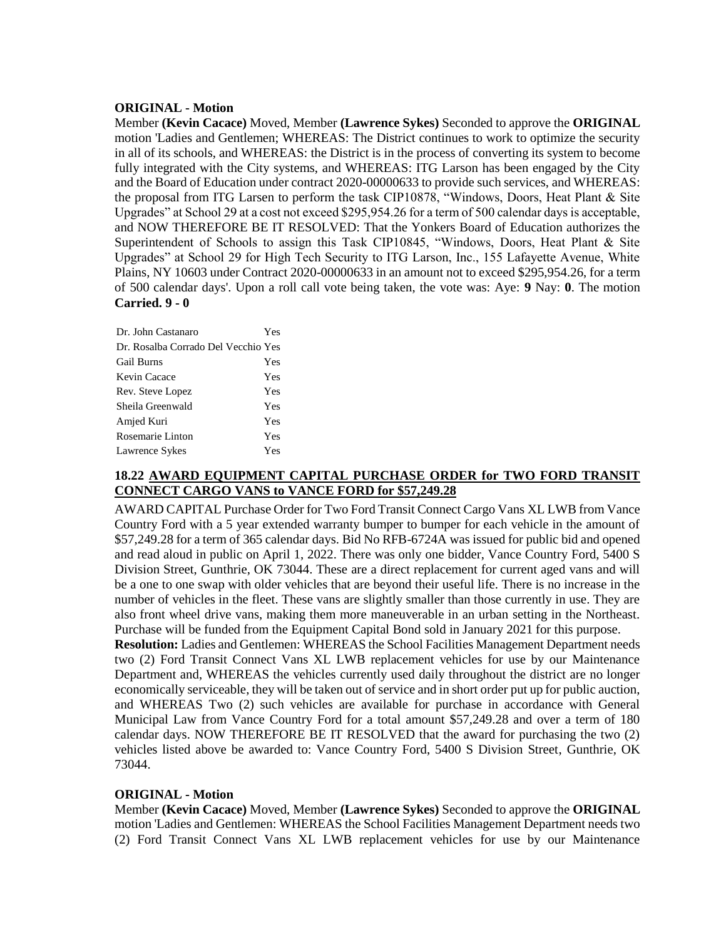## **ORIGINAL - Motion**

Member **(Kevin Cacace)** Moved, Member **(Lawrence Sykes)** Seconded to approve the **ORIGINAL**  motion 'Ladies and Gentlemen; WHEREAS: The District continues to work to optimize the security in all of its schools, and WHEREAS: the District is in the process of converting its system to become fully integrated with the City systems, and WHEREAS: ITG Larson has been engaged by the City and the Board of Education under contract 2020-00000633 to provide such services, and WHEREAS: the proposal from ITG Larsen to perform the task CIP10878, "Windows, Doors, Heat Plant & Site Upgrades" at School 29 at a cost not exceed \$295,954.26 for a term of 500 calendar days is acceptable, and NOW THEREFORE BE IT RESOLVED: That the Yonkers Board of Education authorizes the Superintendent of Schools to assign this Task CIP10845, "Windows, Doors, Heat Plant & Site Upgrades" at School 29 for High Tech Security to ITG Larson, Inc., 155 Lafayette Avenue, White Plains, NY 10603 under Contract 2020-00000633 in an amount not to exceed \$295,954.26, for a term of 500 calendar days'. Upon a roll call vote being taken, the vote was: Aye: **9** Nay: **0**. The motion **Carried. 9 - 0** 

| Dr. John Castanaro                  | Yes |
|-------------------------------------|-----|
| Dr. Rosalba Corrado Del Vecchio Yes |     |
| <b>Gail Burns</b>                   | Yes |
| Kevin Cacace                        | Yes |
| Rev. Steve Lopez                    | Yes |
| Sheila Greenwald                    | Yes |
| Amjed Kuri                          | Yes |
| Rosemarie Linton                    | Yes |
| Lawrence Sykes                      | Yes |

# **18.22 AWARD EQUIPMENT CAPITAL PURCHASE ORDER for TWO FORD TRANSIT CONNECT CARGO VANS to VANCE FORD for \$57,249.28**

AWARD CAPITAL Purchase Order for Two Ford Transit Connect Cargo Vans XL LWB from Vance Country Ford with a 5 year extended warranty bumper to bumper for each vehicle in the amount of \$57,249.28 for a term of 365 calendar days. Bid No RFB-6724A was issued for public bid and opened and read aloud in public on April 1, 2022. There was only one bidder, Vance Country Ford, 5400 S Division Street, Gunthrie, OK 73044. These are a direct replacement for current aged vans and will be a one to one swap with older vehicles that are beyond their useful life. There is no increase in the number of vehicles in the fleet. These vans are slightly smaller than those currently in use. They are also front wheel drive vans, making them more maneuverable in an urban setting in the Northeast. Purchase will be funded from the Equipment Capital Bond sold in January 2021 for this purpose.

**Resolution:** Ladies and Gentlemen: WHEREAS the School Facilities Management Department needs two (2) Ford Transit Connect Vans XL LWB replacement vehicles for use by our Maintenance Department and, WHEREAS the vehicles currently used daily throughout the district are no longer economically serviceable, they will be taken out of service and in short order put up for public auction, and WHEREAS Two (2) such vehicles are available for purchase in accordance with General Municipal Law from Vance Country Ford for a total amount \$57,249.28 and over a term of 180 calendar days. NOW THEREFORE BE IT RESOLVED that the award for purchasing the two (2) vehicles listed above be awarded to: Vance Country Ford, 5400 S Division Street, Gunthrie, OK 73044.

## **ORIGINAL - Motion**

Member **(Kevin Cacace)** Moved, Member **(Lawrence Sykes)** Seconded to approve the **ORIGINAL**  motion 'Ladies and Gentlemen: WHEREAS the School Facilities Management Department needs two (2) Ford Transit Connect Vans XL LWB replacement vehicles for use by our Maintenance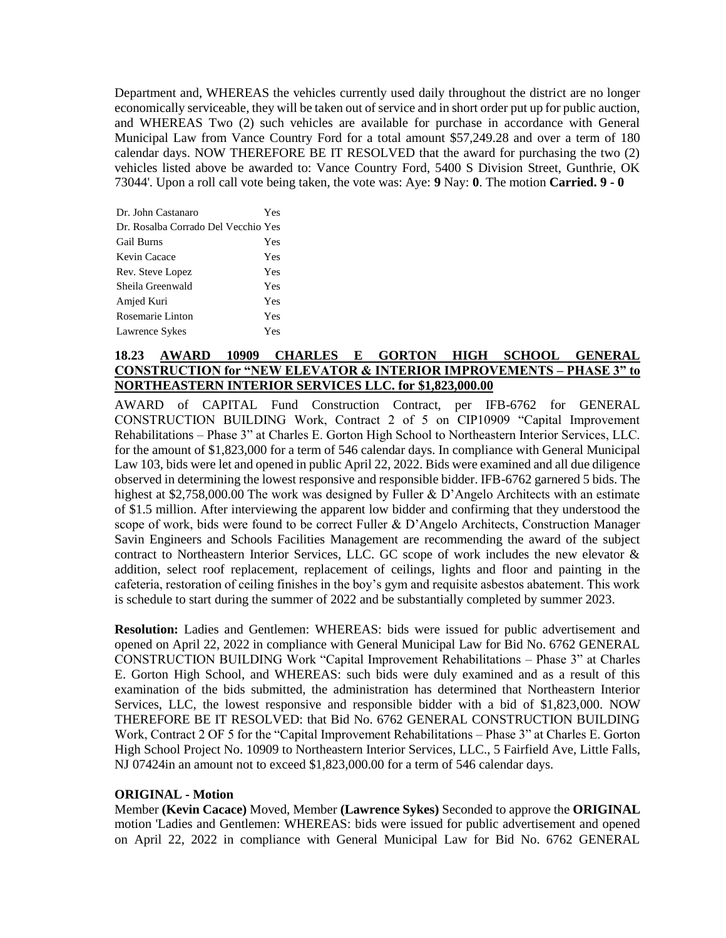Department and, WHEREAS the vehicles currently used daily throughout the district are no longer economically serviceable, they will be taken out of service and in short order put up for public auction, and WHEREAS Two (2) such vehicles are available for purchase in accordance with General Municipal Law from Vance Country Ford for a total amount \$57,249.28 and over a term of 180 calendar days. NOW THEREFORE BE IT RESOLVED that the award for purchasing the two (2) vehicles listed above be awarded to: Vance Country Ford, 5400 S Division Street, Gunthrie, OK 73044'. Upon a roll call vote being taken, the vote was: Aye: **9** Nay: **0**. The motion **Carried. 9 - 0** 

| Dr. John Castanaro                  | Yes |
|-------------------------------------|-----|
| Dr. Rosalba Corrado Del Vecchio Yes |     |
| <b>Gail Burns</b>                   | Yes |
| Kevin Cacace                        | Yes |
| Rev. Steve Lopez                    | Yes |
| Sheila Greenwald                    | Yes |
| Amjed Kuri                          | Yes |
| Rosemarie Linton                    | Yes |
| Lawrence Sykes                      | Yes |

# **18.23 AWARD 10909 CHARLES E GORTON HIGH SCHOOL GENERAL CONSTRUCTION for "NEW ELEVATOR & INTERIOR IMPROVEMENTS – PHASE 3" to NORTHEASTERN INTERIOR SERVICES LLC. for \$1,823,000.00**

AWARD of CAPITAL Fund Construction Contract, per IFB-6762 for GENERAL CONSTRUCTION BUILDING Work, Contract 2 of 5 on CIP10909 "Capital Improvement Rehabilitations – Phase 3" at Charles E. Gorton High School to Northeastern Interior Services, LLC. for the amount of \$1,823,000 for a term of 546 calendar days. In compliance with General Municipal Law 103, bids were let and opened in public April 22, 2022. Bids were examined and all due diligence observed in determining the lowest responsive and responsible bidder. IFB-6762 garnered 5 bids. The highest at \$2,758,000.00 The work was designed by Fuller & D'Angelo Architects with an estimate of \$1.5 million. After interviewing the apparent low bidder and confirming that they understood the scope of work, bids were found to be correct Fuller & D'Angelo Architects, Construction Manager Savin Engineers and Schools Facilities Management are recommending the award of the subject contract to Northeastern Interior Services, LLC. GC scope of work includes the new elevator & addition, select roof replacement, replacement of ceilings, lights and floor and painting in the cafeteria, restoration of ceiling finishes in the boy's gym and requisite asbestos abatement. This work is schedule to start during the summer of 2022 and be substantially completed by summer 2023.

**Resolution:** Ladies and Gentlemen: WHEREAS: bids were issued for public advertisement and opened on April 22, 2022 in compliance with General Municipal Law for Bid No. 6762 GENERAL CONSTRUCTION BUILDING Work "Capital Improvement Rehabilitations – Phase 3" at Charles E. Gorton High School, and WHEREAS: such bids were duly examined and as a result of this examination of the bids submitted, the administration has determined that Northeastern Interior Services, LLC, the lowest responsive and responsible bidder with a bid of \$1,823,000. NOW THEREFORE BE IT RESOLVED: that Bid No. 6762 GENERAL CONSTRUCTION BUILDING Work, Contract 2 OF 5 for the "Capital Improvement Rehabilitations – Phase 3" at Charles E. Gorton High School Project No. 10909 to Northeastern Interior Services, LLC., 5 Fairfield Ave, Little Falls, NJ 07424in an amount not to exceed \$1,823,000.00 for a term of 546 calendar days.

## **ORIGINAL - Motion**

Member **(Kevin Cacace)** Moved, Member **(Lawrence Sykes)** Seconded to approve the **ORIGINAL**  motion 'Ladies and Gentlemen: WHEREAS: bids were issued for public advertisement and opened on April 22, 2022 in compliance with General Municipal Law for Bid No. 6762 GENERAL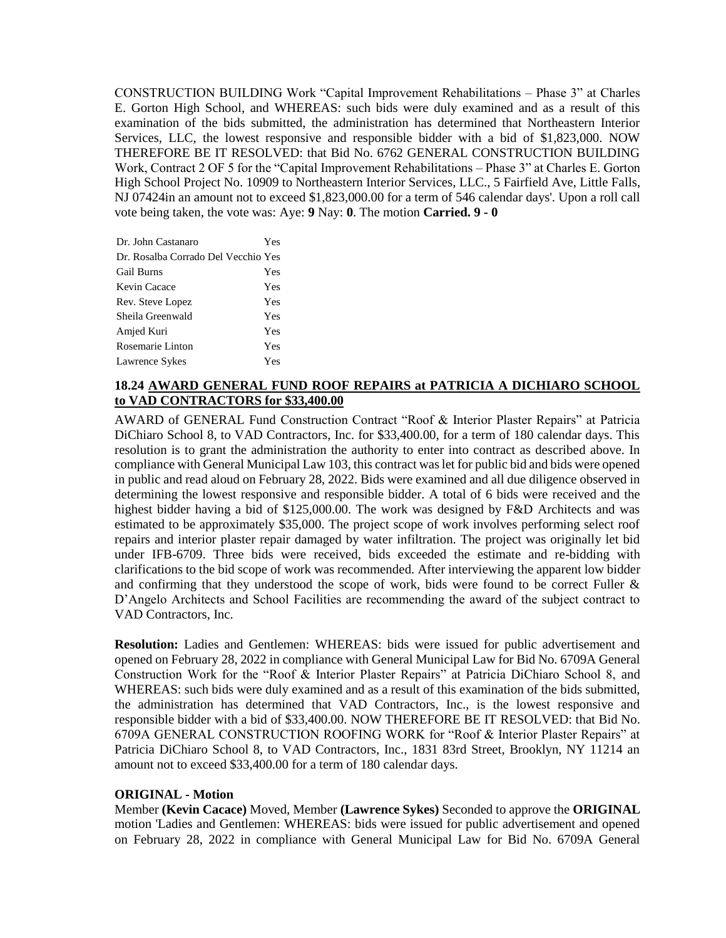CONSTRUCTION BUILDING Work "Capital Improvement Rehabilitations – Phase 3" at Charles E. Gorton High School, and WHEREAS: such bids were duly examined and as a result of this examination of the bids submitted, the administration has determined that Northeastern Interior Services, LLC, the lowest responsive and responsible bidder with a bid of \$1,823,000. NOW THEREFORE BE IT RESOLVED: that Bid No. 6762 GENERAL CONSTRUCTION BUILDING Work, Contract 2 OF 5 for the "Capital Improvement Rehabilitations – Phase 3" at Charles E. Gorton High School Project No. 10909 to Northeastern Interior Services, LLC., 5 Fairfield Ave, Little Falls, NJ 07424in an amount not to exceed \$1,823,000.00 for a term of 546 calendar days'. Upon a roll call vote being taken, the vote was: Aye: **9** Nay: **0**. The motion **Carried. 9 - 0** 

| Dr. John Castanaro                  | Yes |
|-------------------------------------|-----|
| Dr. Rosalba Corrado Del Vecchio Yes |     |
| <b>Gail Burns</b>                   | Yes |
| Kevin Cacace                        | Yes |
| Rev. Steve Lopez                    | Yes |
| Sheila Greenwald                    | Yes |
| Amjed Kuri                          | Yes |
| Rosemarie Linton                    | Yes |
| Lawrence Sykes                      | Yes |

## **18.24 AWARD GENERAL FUND ROOF REPAIRS at PATRICIA A DICHIARO SCHOOL to VAD CONTRACTORS for \$33,400.00**

AWARD of GENERAL Fund Construction Contract "Roof & Interior Plaster Repairs" at Patricia DiChiaro School 8, to VAD Contractors, Inc. for \$33,400.00, for a term of 180 calendar days. This resolution is to grant the administration the authority to enter into contract as described above. In compliance with General Municipal Law 103, this contract was let for public bid and bids were opened in public and read aloud on February 28, 2022. Bids were examined and all due diligence observed in determining the lowest responsive and responsible bidder. A total of 6 bids were received and the highest bidder having a bid of \$125,000.00. The work was designed by F&D Architects and was estimated to be approximately \$35,000. The project scope of work involves performing select roof repairs and interior plaster repair damaged by water infiltration. The project was originally let bid under IFB-6709. Three bids were received, bids exceeded the estimate and re-bidding with clarifications to the bid scope of work was recommended. After interviewing the apparent low bidder and confirming that they understood the scope of work, bids were found to be correct Fuller & D'Angelo Architects and School Facilities are recommending the award of the subject contract to VAD Contractors, Inc.

**Resolution:** Ladies and Gentlemen: WHEREAS: bids were issued for public advertisement and opened on February 28, 2022 in compliance with General Municipal Law for Bid No. 6709A General Construction Work for the "Roof & Interior Plaster Repairs" at Patricia DiChiaro School 8, and WHEREAS: such bids were duly examined and as a result of this examination of the bids submitted, the administration has determined that VAD Contractors, Inc., is the lowest responsive and responsible bidder with a bid of \$33,400.00. NOW THEREFORE BE IT RESOLVED: that Bid No. 6709A GENERAL CONSTRUCTION ROOFING WORK for "Roof & Interior Plaster Repairs" at Patricia DiChiaro School 8, to VAD Contractors, Inc., 1831 83rd Street, Brooklyn, NY 11214 an amount not to exceed \$33,400.00 for a term of 180 calendar days.

## **ORIGINAL - Motion**

Member **(Kevin Cacace)** Moved, Member **(Lawrence Sykes)** Seconded to approve the **ORIGINAL**  motion 'Ladies and Gentlemen: WHEREAS: bids were issued for public advertisement and opened on February 28, 2022 in compliance with General Municipal Law for Bid No. 6709A General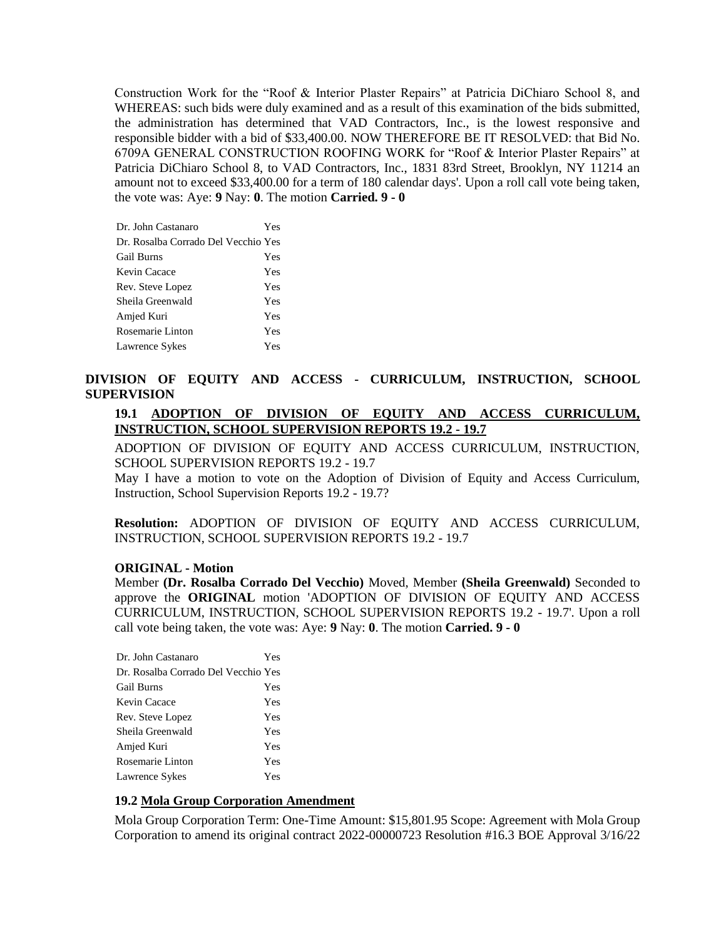Construction Work for the "Roof & Interior Plaster Repairs" at Patricia DiChiaro School 8, and WHEREAS: such bids were duly examined and as a result of this examination of the bids submitted, the administration has determined that VAD Contractors, Inc., is the lowest responsive and responsible bidder with a bid of \$33,400.00. NOW THEREFORE BE IT RESOLVED: that Bid No. 6709A GENERAL CONSTRUCTION ROOFING WORK for "Roof & Interior Plaster Repairs" at Patricia DiChiaro School 8, to VAD Contractors, Inc., 1831 83rd Street, Brooklyn, NY 11214 an amount not to exceed \$33,400.00 for a term of 180 calendar days'. Upon a roll call vote being taken, the vote was: Aye: **9** Nay: **0**. The motion **Carried. 9 - 0** 

| Dr. John Castanaro                  | Yes |
|-------------------------------------|-----|
| Dr. Rosalba Corrado Del Vecchio Yes |     |
| <b>Gail Burns</b>                   | Yes |
| Kevin Cacace                        | Yes |
| Rev. Steve Lopez                    | Yes |
| Sheila Greenwald                    | Yes |
| Amjed Kuri                          | Yes |
| Rosemarie Linton                    | Yes |
| Lawrence Sykes                      | Yes |
|                                     |     |

# **DIVISION OF EQUITY AND ACCESS - CURRICULUM, INSTRUCTION, SCHOOL SUPERVISION**

# **19.1 ADOPTION OF DIVISION OF EQUITY AND ACCESS CURRICULUM, INSTRUCTION, SCHOOL SUPERVISION REPORTS 19.2 - 19.7**

ADOPTION OF DIVISION OF EQUITY AND ACCESS CURRICULUM, INSTRUCTION, SCHOOL SUPERVISION REPORTS 19.2 - 19.7

May I have a motion to vote on the Adoption of Division of Equity and Access Curriculum, Instruction, School Supervision Reports 19.2 - 19.7?

**Resolution:** ADOPTION OF DIVISION OF EQUITY AND ACCESS CURRICULUM, INSTRUCTION, SCHOOL SUPERVISION REPORTS 19.2 - 19.7

### **ORIGINAL - Motion**

Member **(Dr. Rosalba Corrado Del Vecchio)** Moved, Member **(Sheila Greenwald)** Seconded to approve the **ORIGINAL** motion 'ADOPTION OF DIVISION OF EQUITY AND ACCESS CURRICULUM, INSTRUCTION, SCHOOL SUPERVISION REPORTS 19.2 - 19.7'. Upon a roll call vote being taken, the vote was: Aye: **9** Nay: **0**. The motion **Carried. 9 - 0** 

| Dr. John Castanaro                  | Yes |
|-------------------------------------|-----|
| Dr. Rosalba Corrado Del Vecchio Yes |     |
| <b>Gail Burns</b>                   | Yes |
| Kevin Cacace                        | Yes |
| Rev. Steve Lopez                    | Yes |
| Sheila Greenwald                    | Yes |
| Amjed Kuri                          | Yes |
| Rosemarie Linton                    | Yes |
| Lawrence Sykes                      | Yes |

# **19.2 Mola Group Corporation Amendment**

Mola Group Corporation Term: One-Time Amount: \$15,801.95 Scope: Agreement with Mola Group Corporation to amend its original contract 2022-00000723 Resolution #16.3 BOE Approval 3/16/22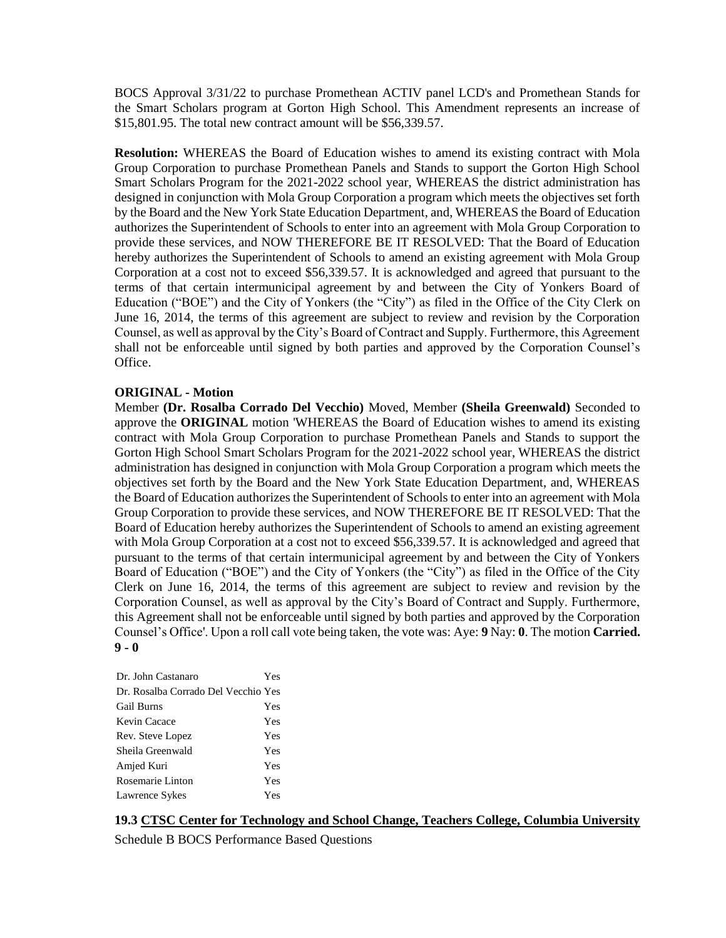BOCS Approval 3/31/22 to purchase Promethean ACTIV panel LCD's and Promethean Stands for the Smart Scholars program at Gorton High School. This Amendment represents an increase of \$15,801.95. The total new contract amount will be \$56,339.57.

**Resolution:** WHEREAS the Board of Education wishes to amend its existing contract with Mola Group Corporation to purchase Promethean Panels and Stands to support the Gorton High School Smart Scholars Program for the 2021-2022 school year, WHEREAS the district administration has designed in conjunction with Mola Group Corporation a program which meets the objectives set forth by the Board and the New York State Education Department, and, WHEREAS the Board of Education authorizes the Superintendent of Schools to enter into an agreement with Mola Group Corporation to provide these services, and NOW THEREFORE BE IT RESOLVED: That the Board of Education hereby authorizes the Superintendent of Schools to amend an existing agreement with Mola Group Corporation at a cost not to exceed \$56,339.57. It is acknowledged and agreed that pursuant to the terms of that certain intermunicipal agreement by and between the City of Yonkers Board of Education ("BOE") and the City of Yonkers (the "City") as filed in the Office of the City Clerk on June 16, 2014, the terms of this agreement are subject to review and revision by the Corporation Counsel, as well as approval by the City's Board of Contract and Supply. Furthermore, this Agreement shall not be enforceable until signed by both parties and approved by the Corporation Counsel's Office.

### **ORIGINAL - Motion**

Member **(Dr. Rosalba Corrado Del Vecchio)** Moved, Member **(Sheila Greenwald)** Seconded to approve the **ORIGINAL** motion 'WHEREAS the Board of Education wishes to amend its existing contract with Mola Group Corporation to purchase Promethean Panels and Stands to support the Gorton High School Smart Scholars Program for the 2021-2022 school year, WHEREAS the district administration has designed in conjunction with Mola Group Corporation a program which meets the objectives set forth by the Board and the New York State Education Department, and, WHEREAS the Board of Education authorizes the Superintendent of Schools to enter into an agreement with Mola Group Corporation to provide these services, and NOW THEREFORE BE IT RESOLVED: That the Board of Education hereby authorizes the Superintendent of Schools to amend an existing agreement with Mola Group Corporation at a cost not to exceed \$56,339.57. It is acknowledged and agreed that pursuant to the terms of that certain intermunicipal agreement by and between the City of Yonkers Board of Education ("BOE") and the City of Yonkers (the "City") as filed in the Office of the City Clerk on June 16, 2014, the terms of this agreement are subject to review and revision by the Corporation Counsel, as well as approval by the City's Board of Contract and Supply. Furthermore, this Agreement shall not be enforceable until signed by both parties and approved by the Corporation Counsel's Office'. Upon a roll call vote being taken, the vote was: Aye: **9** Nay: **0**. The motion **Carried. 9 - 0** 

| Dr. John Castanaro                  | Yes |
|-------------------------------------|-----|
| Dr. Rosalba Corrado Del Vecchio Yes |     |
| <b>Gail Burns</b>                   | Yes |
| Kevin Cacace                        | Yes |
| Rev. Steve Lopez                    | Yes |
| Sheila Greenwald                    | Yes |
| Amjed Kuri                          | Yes |
| Rosemarie Linton                    | Yes |
| Lawrence Sykes                      | Yes |

# **19.3 CTSC Center for Technology and School Change, Teachers College, Columbia University**

Schedule B BOCS Performance Based Questions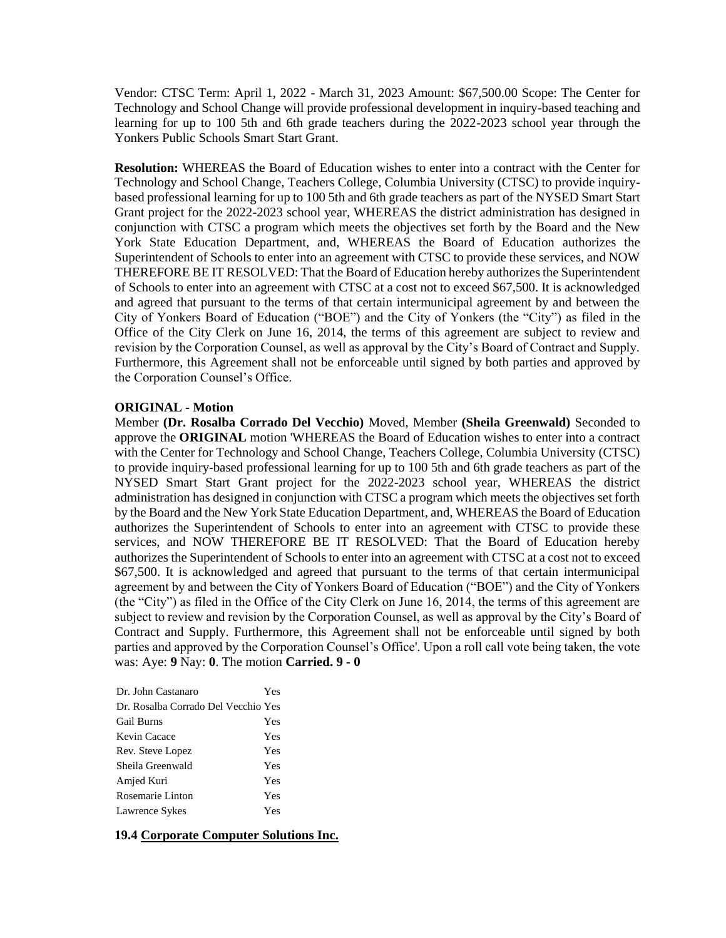Vendor: CTSC Term: April 1, 2022 - March 31, 2023 Amount: \$67,500.00 Scope: The Center for Technology and School Change will provide professional development in inquiry-based teaching and learning for up to 100 5th and 6th grade teachers during the 2022-2023 school year through the Yonkers Public Schools Smart Start Grant.

**Resolution:** WHEREAS the Board of Education wishes to enter into a contract with the Center for Technology and School Change, Teachers College, Columbia University (CTSC) to provide inquirybased professional learning for up to 100 5th and 6th grade teachers as part of the NYSED Smart Start Grant project for the 2022-2023 school year, WHEREAS the district administration has designed in conjunction with CTSC a program which meets the objectives set forth by the Board and the New York State Education Department, and, WHEREAS the Board of Education authorizes the Superintendent of Schools to enter into an agreement with CTSC to provide these services, and NOW THEREFORE BE IT RESOLVED: That the Board of Education hereby authorizes the Superintendent of Schools to enter into an agreement with CTSC at a cost not to exceed \$67,500. It is acknowledged and agreed that pursuant to the terms of that certain intermunicipal agreement by and between the City of Yonkers Board of Education ("BOE") and the City of Yonkers (the "City") as filed in the Office of the City Clerk on June 16, 2014, the terms of this agreement are subject to review and revision by the Corporation Counsel, as well as approval by the City's Board of Contract and Supply. Furthermore, this Agreement shall not be enforceable until signed by both parties and approved by the Corporation Counsel's Office.

#### **ORIGINAL - Motion**

Member **(Dr. Rosalba Corrado Del Vecchio)** Moved, Member **(Sheila Greenwald)** Seconded to approve the **ORIGINAL** motion 'WHEREAS the Board of Education wishes to enter into a contract with the Center for Technology and School Change, Teachers College, Columbia University (CTSC) to provide inquiry-based professional learning for up to 100 5th and 6th grade teachers as part of the NYSED Smart Start Grant project for the 2022-2023 school year, WHEREAS the district administration has designed in conjunction with CTSC a program which meets the objectives set forth by the Board and the New York State Education Department, and, WHEREAS the Board of Education authorizes the Superintendent of Schools to enter into an agreement with CTSC to provide these services, and NOW THEREFORE BE IT RESOLVED: That the Board of Education hereby authorizes the Superintendent of Schools to enter into an agreement with CTSC at a cost not to exceed \$67,500. It is acknowledged and agreed that pursuant to the terms of that certain intermunicipal agreement by and between the City of Yonkers Board of Education ("BOE") and the City of Yonkers (the "City") as filed in the Office of the City Clerk on June 16, 2014, the terms of this agreement are subject to review and revision by the Corporation Counsel, as well as approval by the City's Board of Contract and Supply. Furthermore, this Agreement shall not be enforceable until signed by both parties and approved by the Corporation Counsel's Office'. Upon a roll call vote being taken, the vote was: Aye: **9** Nay: **0**. The motion **Carried. 9 - 0** 

| Dr. John Castanaro                  | Yes |
|-------------------------------------|-----|
| Dr. Rosalba Corrado Del Vecchio Yes |     |
| <b>Gail Burns</b>                   | Yes |
| Kevin Cacace                        | Yes |
| Rev. Steve Lopez                    | Yes |
| Sheila Greenwald                    | Yes |
| Amjed Kuri                          | Yes |
| Rosemarie Linton                    | Yes |
| Lawrence Sykes                      | Yes |
|                                     |     |

#### **19.4 Corporate Computer Solutions Inc.**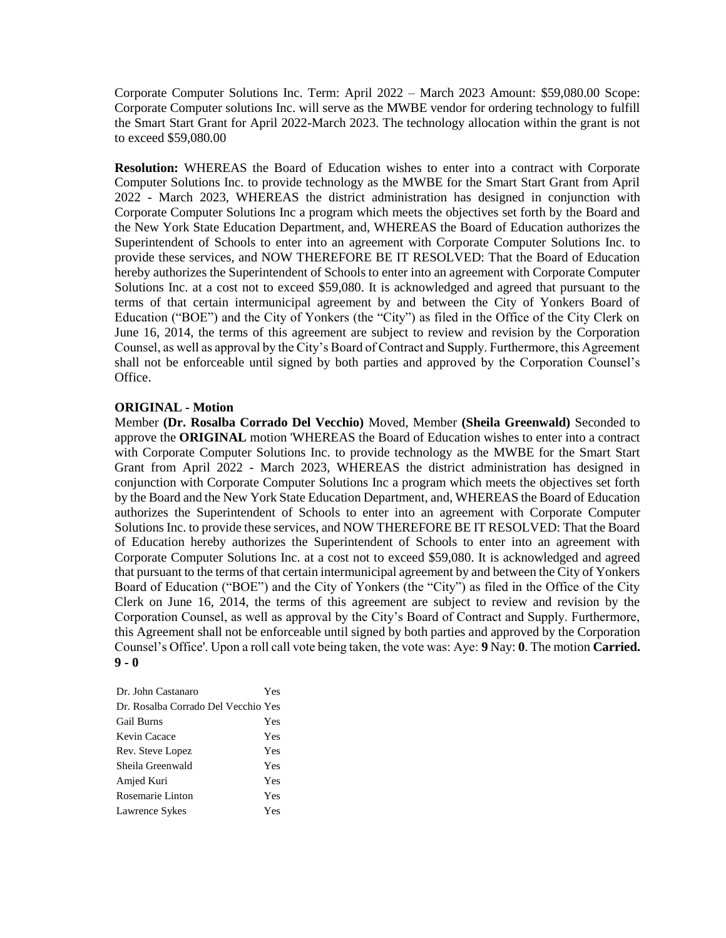Corporate Computer Solutions Inc. Term: April 2022 – March 2023 Amount: \$59,080.00 Scope: Corporate Computer solutions Inc. will serve as the MWBE vendor for ordering technology to fulfill the Smart Start Grant for April 2022-March 2023. The technology allocation within the grant is not to exceed \$59,080.00

**Resolution:** WHEREAS the Board of Education wishes to enter into a contract with Corporate Computer Solutions Inc. to provide technology as the MWBE for the Smart Start Grant from April 2022 - March 2023, WHEREAS the district administration has designed in conjunction with Corporate Computer Solutions Inc a program which meets the objectives set forth by the Board and the New York State Education Department, and, WHEREAS the Board of Education authorizes the Superintendent of Schools to enter into an agreement with Corporate Computer Solutions Inc. to provide these services, and NOW THEREFORE BE IT RESOLVED: That the Board of Education hereby authorizes the Superintendent of Schools to enter into an agreement with Corporate Computer Solutions Inc. at a cost not to exceed \$59,080. It is acknowledged and agreed that pursuant to the terms of that certain intermunicipal agreement by and between the City of Yonkers Board of Education ("BOE") and the City of Yonkers (the "City") as filed in the Office of the City Clerk on June 16, 2014, the terms of this agreement are subject to review and revision by the Corporation Counsel, as well as approval by the City's Board of Contract and Supply. Furthermore, this Agreement shall not be enforceable until signed by both parties and approved by the Corporation Counsel's Office.

#### **ORIGINAL - Motion**

Member **(Dr. Rosalba Corrado Del Vecchio)** Moved, Member **(Sheila Greenwald)** Seconded to approve the **ORIGINAL** motion 'WHEREAS the Board of Education wishes to enter into a contract with Corporate Computer Solutions Inc. to provide technology as the MWBE for the Smart Start Grant from April 2022 - March 2023, WHEREAS the district administration has designed in conjunction with Corporate Computer Solutions Inc a program which meets the objectives set forth by the Board and the New York State Education Department, and, WHEREAS the Board of Education authorizes the Superintendent of Schools to enter into an agreement with Corporate Computer Solutions Inc. to provide these services, and NOW THEREFORE BE IT RESOLVED: That the Board of Education hereby authorizes the Superintendent of Schools to enter into an agreement with Corporate Computer Solutions Inc. at a cost not to exceed \$59,080. It is acknowledged and agreed that pursuant to the terms of that certain intermunicipal agreement by and between the City of Yonkers Board of Education ("BOE") and the City of Yonkers (the "City") as filed in the Office of the City Clerk on June 16, 2014, the terms of this agreement are subject to review and revision by the Corporation Counsel, as well as approval by the City's Board of Contract and Supply. Furthermore, this Agreement shall not be enforceable until signed by both parties and approved by the Corporation Counsel's Office'. Upon a roll call vote being taken, the vote was: Aye: **9** Nay: **0**. The motion **Carried. 9 - 0** 

| Yes                                 |
|-------------------------------------|
| Dr. Rosalba Corrado Del Vecchio Yes |
| Yes                                 |
| Yes                                 |
| Yes                                 |
| Yes                                 |
| Yes                                 |
| Yes                                 |
| Yes                                 |
|                                     |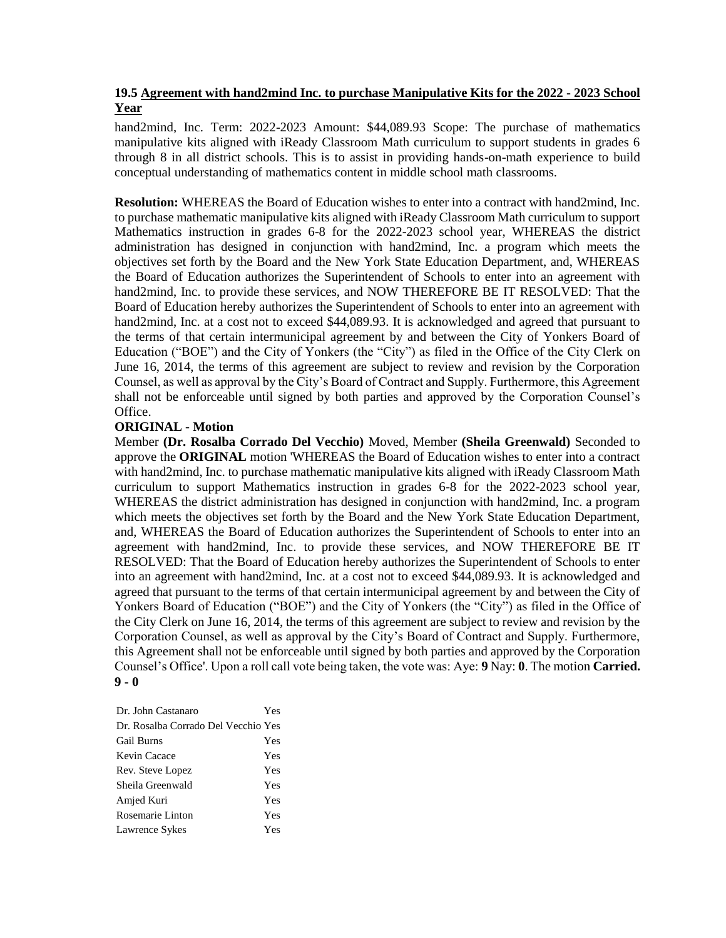# **19.5 Agreement with hand2mind Inc. to purchase Manipulative Kits for the 2022 - 2023 School Year**

hand2mind, Inc. Term: 2022-2023 Amount: \$44,089.93 Scope: The purchase of mathematics manipulative kits aligned with iReady Classroom Math curriculum to support students in grades 6 through 8 in all district schools. This is to assist in providing hands-on-math experience to build conceptual understanding of mathematics content in middle school math classrooms.

**Resolution:** WHEREAS the Board of Education wishes to enter into a contract with hand2mind, Inc. to purchase mathematic manipulative kits aligned with iReady Classroom Math curriculum to support Mathematics instruction in grades 6-8 for the 2022-2023 school year, WHEREAS the district administration has designed in conjunction with hand2mind, Inc. a program which meets the objectives set forth by the Board and the New York State Education Department, and, WHEREAS the Board of Education authorizes the Superintendent of Schools to enter into an agreement with hand2mind, Inc. to provide these services, and NOW THEREFORE BE IT RESOLVED: That the Board of Education hereby authorizes the Superintendent of Schools to enter into an agreement with hand2mind, Inc. at a cost not to exceed \$44,089.93. It is acknowledged and agreed that pursuant to the terms of that certain intermunicipal agreement by and between the City of Yonkers Board of Education ("BOE") and the City of Yonkers (the "City") as filed in the Office of the City Clerk on June 16, 2014, the terms of this agreement are subject to review and revision by the Corporation Counsel, as well as approval by the City's Board of Contract and Supply. Furthermore, this Agreement shall not be enforceable until signed by both parties and approved by the Corporation Counsel's Office.

## **ORIGINAL - Motion**

Member **(Dr. Rosalba Corrado Del Vecchio)** Moved, Member **(Sheila Greenwald)** Seconded to approve the **ORIGINAL** motion 'WHEREAS the Board of Education wishes to enter into a contract with hand2mind, Inc. to purchase mathematic manipulative kits aligned with iReady Classroom Math curriculum to support Mathematics instruction in grades 6-8 for the 2022-2023 school year, WHEREAS the district administration has designed in conjunction with hand2mind, Inc. a program which meets the objectives set forth by the Board and the New York State Education Department, and, WHEREAS the Board of Education authorizes the Superintendent of Schools to enter into an agreement with hand2mind, Inc. to provide these services, and NOW THEREFORE BE IT RESOLVED: That the Board of Education hereby authorizes the Superintendent of Schools to enter into an agreement with hand2mind, Inc. at a cost not to exceed \$44,089.93. It is acknowledged and agreed that pursuant to the terms of that certain intermunicipal agreement by and between the City of Yonkers Board of Education ("BOE") and the City of Yonkers (the "City") as filed in the Office of the City Clerk on June 16, 2014, the terms of this agreement are subject to review and revision by the Corporation Counsel, as well as approval by the City's Board of Contract and Supply. Furthermore, this Agreement shall not be enforceable until signed by both parties and approved by the Corporation Counsel's Office'. Upon a roll call vote being taken, the vote was: Aye: **9** Nay: **0**. The motion **Carried. 9 - 0** 

| Dr. John Castanaro                  | Yes |
|-------------------------------------|-----|
| Dr. Rosalba Corrado Del Vecchio Yes |     |
| <b>Gail Burns</b>                   | Yes |
| Kevin Cacace                        | Yes |
| Rev. Steve Lopez                    | Yes |
| Sheila Greenwald                    | Yes |
| Amjed Kuri                          | Yes |
| Rosemarie Linton                    | Yes |
| Lawrence Sykes                      | Yes |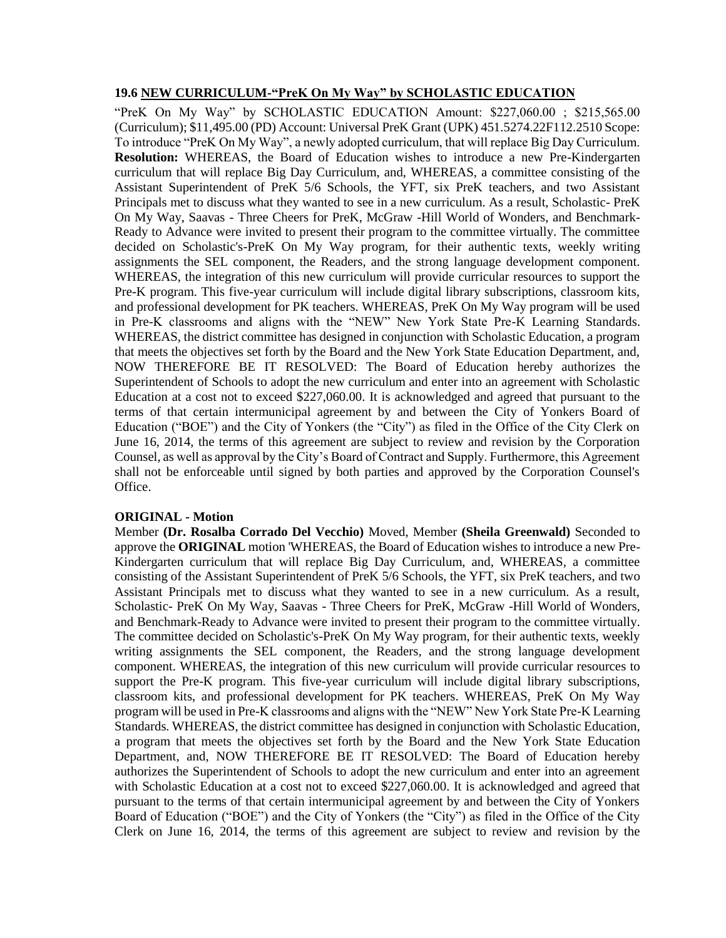#### **19.6 NEW CURRICULUM-"PreK On My Way" by SCHOLASTIC EDUCATION**

"PreK On My Way" by SCHOLASTIC EDUCATION Amount: \$227,060.00 ; \$215,565.00 (Curriculum); \$11,495.00 (PD) Account: Universal PreK Grant (UPK) 451.5274.22F112.2510 Scope: To introduce "PreK On My Way", a newly adopted curriculum, that will replace Big Day Curriculum. **Resolution:** WHEREAS, the Board of Education wishes to introduce a new Pre-Kindergarten curriculum that will replace Big Day Curriculum, and, WHEREAS, a committee consisting of the Assistant Superintendent of PreK 5/6 Schools, the YFT, six PreK teachers, and two Assistant Principals met to discuss what they wanted to see in a new curriculum. As a result, Scholastic- PreK On My Way, Saavas - Three Cheers for PreK, McGraw -Hill World of Wonders, and Benchmark-Ready to Advance were invited to present their program to the committee virtually. The committee decided on Scholastic's-PreK On My Way program, for their authentic texts, weekly writing assignments the SEL component, the Readers, and the strong language development component. WHEREAS, the integration of this new curriculum will provide curricular resources to support the Pre-K program. This five-year curriculum will include digital library subscriptions, classroom kits, and professional development for PK teachers. WHEREAS, PreK On My Way program will be used in Pre-K classrooms and aligns with the "NEW" New York State Pre-K Learning Standards. WHEREAS, the district committee has designed in conjunction with Scholastic Education, a program that meets the objectives set forth by the Board and the New York State Education Department, and, NOW THEREFORE BE IT RESOLVED: The Board of Education hereby authorizes the Superintendent of Schools to adopt the new curriculum and enter into an agreement with Scholastic Education at a cost not to exceed \$227,060.00. It is acknowledged and agreed that pursuant to the terms of that certain intermunicipal agreement by and between the City of Yonkers Board of Education ("BOE") and the City of Yonkers (the "City") as filed in the Office of the City Clerk on June 16, 2014, the terms of this agreement are subject to review and revision by the Corporation Counsel, as well as approval by the City's Board of Contract and Supply. Furthermore, this Agreement shall not be enforceable until signed by both parties and approved by the Corporation Counsel's Office.

### **ORIGINAL - Motion**

Member **(Dr. Rosalba Corrado Del Vecchio)** Moved, Member **(Sheila Greenwald)** Seconded to approve the **ORIGINAL** motion 'WHEREAS, the Board of Education wishes to introduce a new Pre-Kindergarten curriculum that will replace Big Day Curriculum, and, WHEREAS, a committee consisting of the Assistant Superintendent of PreK 5/6 Schools, the YFT, six PreK teachers, and two Assistant Principals met to discuss what they wanted to see in a new curriculum. As a result, Scholastic- PreK On My Way, Saavas - Three Cheers for PreK, McGraw -Hill World of Wonders, and Benchmark-Ready to Advance were invited to present their program to the committee virtually. The committee decided on Scholastic's-PreK On My Way program, for their authentic texts, weekly writing assignments the SEL component, the Readers, and the strong language development component. WHEREAS, the integration of this new curriculum will provide curricular resources to support the Pre-K program. This five-year curriculum will include digital library subscriptions, classroom kits, and professional development for PK teachers. WHEREAS, PreK On My Way program will be used in Pre-K classrooms and aligns with the "NEW" New York State Pre-K Learning Standards. WHEREAS, the district committee has designed in conjunction with Scholastic Education, a program that meets the objectives set forth by the Board and the New York State Education Department, and, NOW THEREFORE BE IT RESOLVED: The Board of Education hereby authorizes the Superintendent of Schools to adopt the new curriculum and enter into an agreement with Scholastic Education at a cost not to exceed \$227,060.00. It is acknowledged and agreed that pursuant to the terms of that certain intermunicipal agreement by and between the City of Yonkers Board of Education ("BOE") and the City of Yonkers (the "City") as filed in the Office of the City Clerk on June 16, 2014, the terms of this agreement are subject to review and revision by the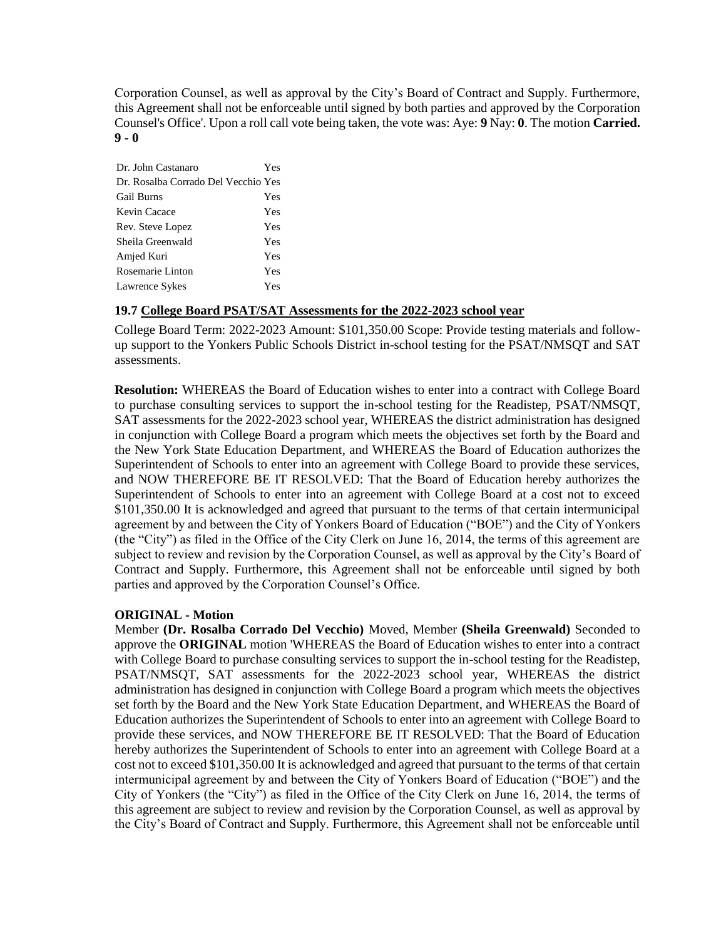Corporation Counsel, as well as approval by the City's Board of Contract and Supply. Furthermore, this Agreement shall not be enforceable until signed by both parties and approved by the Corporation Counsel's Office'. Upon a roll call vote being taken, the vote was: Aye: **9** Nay: **0**. The motion **Carried. 9 - 0** 

| Dr. John Castanaro                  | Yes |
|-------------------------------------|-----|
| Dr. Rosalba Corrado Del Vecchio Yes |     |
| <b>Gail Burns</b>                   | Yes |
| Kevin Cacace                        | Yes |
| Rev. Steve Lopez                    | Yes |
| Sheila Greenwald                    | Yes |
| Amjed Kuri                          | Yes |
| Rosemarie Linton                    | Yes |
| Lawrence Sykes                      | Yes |

## **19.7 College Board PSAT/SAT Assessments for the 2022-2023 school year**

College Board Term: 2022-2023 Amount: \$101,350.00 Scope: Provide testing materials and followup support to the Yonkers Public Schools District in-school testing for the PSAT/NMSQT and SAT assessments.

**Resolution:** WHEREAS the Board of Education wishes to enter into a contract with College Board to purchase consulting services to support the in-school testing for the Readistep, PSAT/NMSQT, SAT assessments for the 2022-2023 school year, WHEREAS the district administration has designed in conjunction with College Board a program which meets the objectives set forth by the Board and the New York State Education Department, and WHEREAS the Board of Education authorizes the Superintendent of Schools to enter into an agreement with College Board to provide these services, and NOW THEREFORE BE IT RESOLVED: That the Board of Education hereby authorizes the Superintendent of Schools to enter into an agreement with College Board at a cost not to exceed \$101,350.00 It is acknowledged and agreed that pursuant to the terms of that certain intermunicipal agreement by and between the City of Yonkers Board of Education ("BOE") and the City of Yonkers (the "City") as filed in the Office of the City Clerk on June 16, 2014, the terms of this agreement are subject to review and revision by the Corporation Counsel, as well as approval by the City's Board of Contract and Supply. Furthermore, this Agreement shall not be enforceable until signed by both parties and approved by the Corporation Counsel's Office.

## **ORIGINAL - Motion**

Member **(Dr. Rosalba Corrado Del Vecchio)** Moved, Member **(Sheila Greenwald)** Seconded to approve the **ORIGINAL** motion 'WHEREAS the Board of Education wishes to enter into a contract with College Board to purchase consulting services to support the in-school testing for the Readistep, PSAT/NMSQT, SAT assessments for the 2022-2023 school year, WHEREAS the district administration has designed in conjunction with College Board a program which meets the objectives set forth by the Board and the New York State Education Department, and WHEREAS the Board of Education authorizes the Superintendent of Schools to enter into an agreement with College Board to provide these services, and NOW THEREFORE BE IT RESOLVED: That the Board of Education hereby authorizes the Superintendent of Schools to enter into an agreement with College Board at a cost not to exceed \$101,350.00 It is acknowledged and agreed that pursuant to the terms of that certain intermunicipal agreement by and between the City of Yonkers Board of Education ("BOE") and the City of Yonkers (the "City") as filed in the Office of the City Clerk on June 16, 2014, the terms of this agreement are subject to review and revision by the Corporation Counsel, as well as approval by the City's Board of Contract and Supply. Furthermore, this Agreement shall not be enforceable until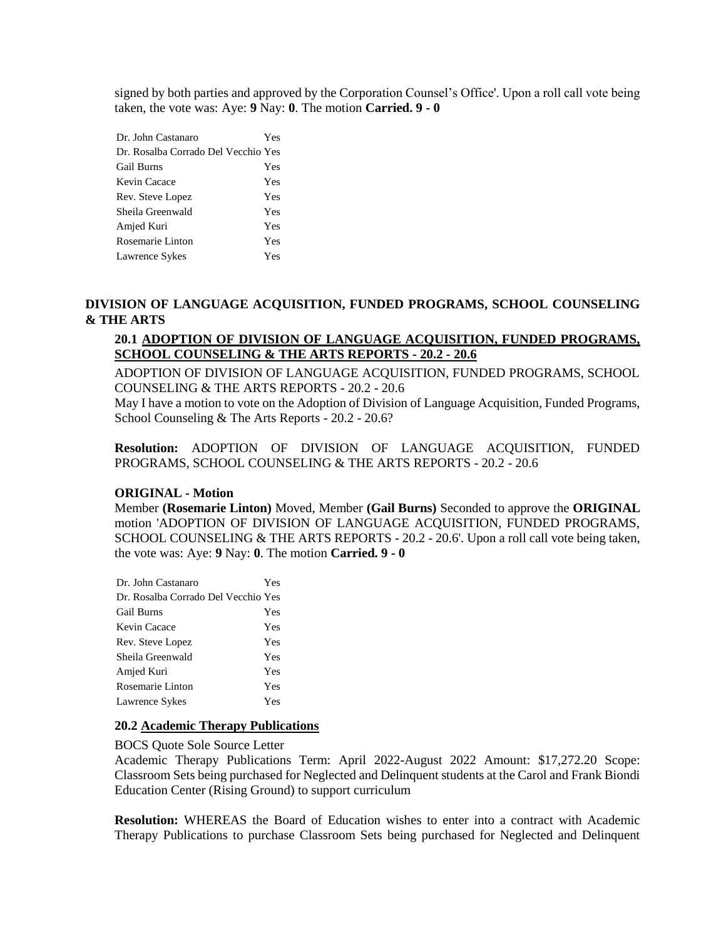signed by both parties and approved by the Corporation Counsel's Office'. Upon a roll call vote being taken, the vote was: Aye: **9** Nay: **0**. The motion **Carried. 9 - 0** 

| Dr. John Castanaro                  | Yes |
|-------------------------------------|-----|
| Dr. Rosalba Corrado Del Vecchio Yes |     |
| Gail Burns                          | Yes |
| Kevin Cacace                        | Yes |
| Rev. Steve Lopez                    | Yes |
| Sheila Greenwald                    | Yes |
| Amjed Kuri                          | Yes |
| Rosemarie Linton                    | Yes |
| Lawrence Sykes                      | Yes |

## **DIVISION OF LANGUAGE ACQUISITION, FUNDED PROGRAMS, SCHOOL COUNSELING & THE ARTS**

# **20.1 ADOPTION OF DIVISION OF LANGUAGE ACQUISITION, FUNDED PROGRAMS, SCHOOL COUNSELING & THE ARTS REPORTS - 20.2 - 20.6**

ADOPTION OF DIVISION OF LANGUAGE ACQUISITION, FUNDED PROGRAMS, SCHOOL COUNSELING & THE ARTS REPORTS - 20.2 - 20.6

May I have a motion to vote on the Adoption of Division of Language Acquisition, Funded Programs, School Counseling & The Arts Reports - 20.2 - 20.6?

**Resolution:** ADOPTION OF DIVISION OF LANGUAGE ACQUISITION, FUNDED PROGRAMS, SCHOOL COUNSELING & THE ARTS REPORTS - 20.2 - 20.6

### **ORIGINAL - Motion**

Member **(Rosemarie Linton)** Moved, Member **(Gail Burns)** Seconded to approve the **ORIGINAL**  motion 'ADOPTION OF DIVISION OF LANGUAGE ACQUISITION, FUNDED PROGRAMS, SCHOOL COUNSELING & THE ARTS REPORTS - 20.2 - 20.6'. Upon a roll call vote being taken, the vote was: Aye: **9** Nay: **0**. The motion **Carried. 9 - 0** 

| Dr. John Castanaro                  | Yes |
|-------------------------------------|-----|
| Dr. Rosalba Corrado Del Vecchio Yes |     |
| <b>Gail Burns</b>                   | Yes |
| Kevin Cacace                        | Yes |
| Rev. Steve Lopez                    | Yes |
| Sheila Greenwald                    | Yes |
| Amjed Kuri                          | Yes |
| Rosemarie Linton                    | Yes |
| Lawrence Sykes                      | Yes |
|                                     |     |

### **20.2 Academic Therapy Publications**

### BOCS Quote Sole Source Letter

Academic Therapy Publications Term: April 2022-August 2022 Amount: \$17,272.20 Scope: Classroom Sets being purchased for Neglected and Delinquent students at the Carol and Frank Biondi Education Center (Rising Ground) to support curriculum

**Resolution:** WHEREAS the Board of Education wishes to enter into a contract with Academic Therapy Publications to purchase Classroom Sets being purchased for Neglected and Delinquent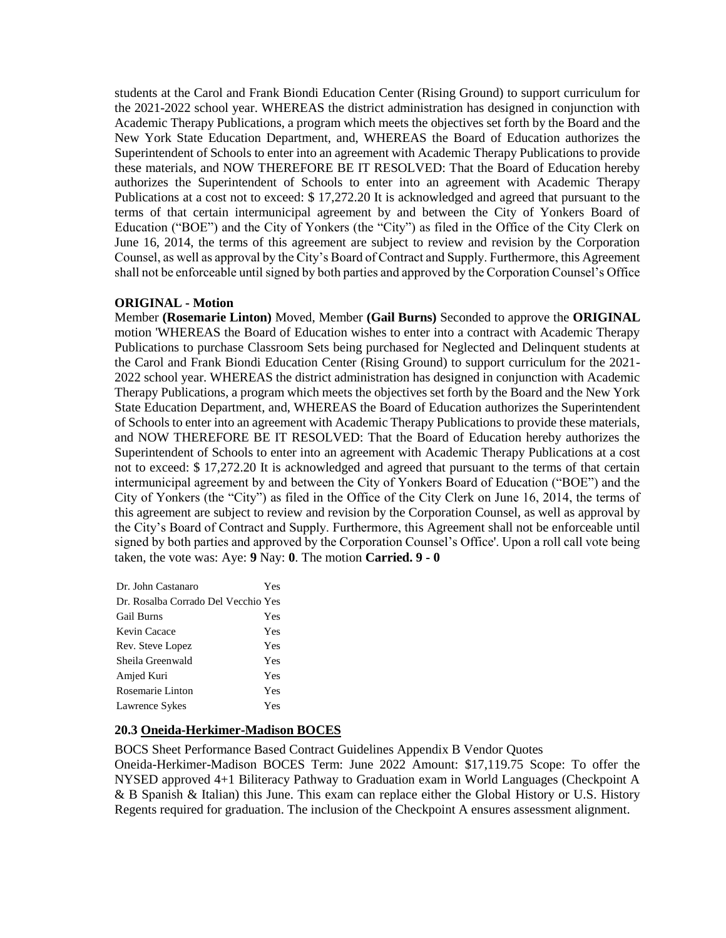students at the Carol and Frank Biondi Education Center (Rising Ground) to support curriculum for the 2021-2022 school year. WHEREAS the district administration has designed in conjunction with Academic Therapy Publications, a program which meets the objectives set forth by the Board and the New York State Education Department, and, WHEREAS the Board of Education authorizes the Superintendent of Schools to enter into an agreement with Academic Therapy Publications to provide these materials, and NOW THEREFORE BE IT RESOLVED: That the Board of Education hereby authorizes the Superintendent of Schools to enter into an agreement with Academic Therapy Publications at a cost not to exceed: \$ 17,272.20 It is acknowledged and agreed that pursuant to the terms of that certain intermunicipal agreement by and between the City of Yonkers Board of Education ("BOE") and the City of Yonkers (the "City") as filed in the Office of the City Clerk on June 16, 2014, the terms of this agreement are subject to review and revision by the Corporation Counsel, as well as approval by the City's Board of Contract and Supply. Furthermore, this Agreement shall not be enforceable until signed by both parties and approved by the Corporation Counsel's Office

## **ORIGINAL - Motion**

Member **(Rosemarie Linton)** Moved, Member **(Gail Burns)** Seconded to approve the **ORIGINAL**  motion 'WHEREAS the Board of Education wishes to enter into a contract with Academic Therapy Publications to purchase Classroom Sets being purchased for Neglected and Delinquent students at the Carol and Frank Biondi Education Center (Rising Ground) to support curriculum for the 2021- 2022 school year. WHEREAS the district administration has designed in conjunction with Academic Therapy Publications, a program which meets the objectives set forth by the Board and the New York State Education Department, and, WHEREAS the Board of Education authorizes the Superintendent of Schools to enter into an agreement with Academic Therapy Publications to provide these materials, and NOW THEREFORE BE IT RESOLVED: That the Board of Education hereby authorizes the Superintendent of Schools to enter into an agreement with Academic Therapy Publications at a cost not to exceed: \$ 17,272.20 It is acknowledged and agreed that pursuant to the terms of that certain intermunicipal agreement by and between the City of Yonkers Board of Education ("BOE") and the City of Yonkers (the "City") as filed in the Office of the City Clerk on June 16, 2014, the terms of this agreement are subject to review and revision by the Corporation Counsel, as well as approval by the City's Board of Contract and Supply. Furthermore, this Agreement shall not be enforceable until signed by both parties and approved by the Corporation Counsel's Office'. Upon a roll call vote being taken, the vote was: Aye: **9** Nay: **0**. The motion **Carried. 9 - 0** 

| Dr. John Castanaro                  | Yes |
|-------------------------------------|-----|
| Dr. Rosalba Corrado Del Vecchio Yes |     |
| <b>Gail Burns</b>                   | Yes |
| Kevin Cacace                        | Yes |
| Rev. Steve Lopez                    | Yes |
| Sheila Greenwald                    | Yes |
| Amjed Kuri                          | Yes |
| Rosemarie Linton                    | Yes |
| Lawrence Sykes                      | Yes |

## **20.3 Oneida-Herkimer-Madison BOCES**

BOCS Sheet Performance Based Contract Guidelines Appendix B Vendor Quotes

Oneida-Herkimer-Madison BOCES Term: June 2022 Amount: \$17,119.75 Scope: To offer the NYSED approved 4+1 Biliteracy Pathway to Graduation exam in World Languages (Checkpoint A & B Spanish & Italian) this June. This exam can replace either the Global History or U.S. History Regents required for graduation. The inclusion of the Checkpoint A ensures assessment alignment.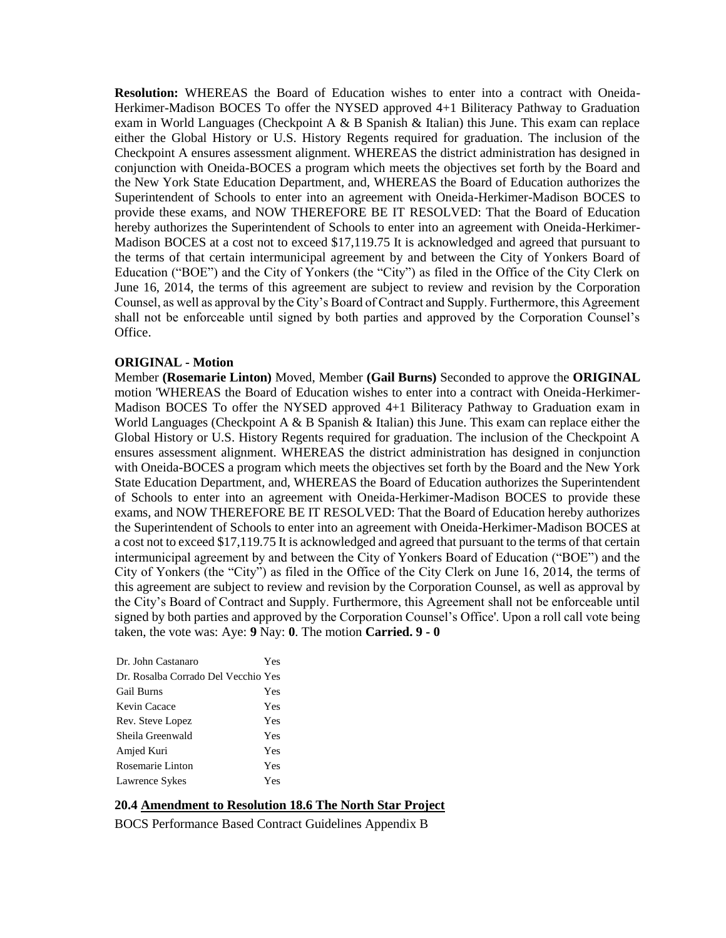**Resolution:** WHEREAS the Board of Education wishes to enter into a contract with Oneida-Herkimer-Madison BOCES To offer the NYSED approved 4+1 Biliteracy Pathway to Graduation exam in World Languages (Checkpoint A & B Spanish & Italian) this June. This exam can replace either the Global History or U.S. History Regents required for graduation. The inclusion of the Checkpoint A ensures assessment alignment. WHEREAS the district administration has designed in conjunction with Oneida-BOCES a program which meets the objectives set forth by the Board and the New York State Education Department, and, WHEREAS the Board of Education authorizes the Superintendent of Schools to enter into an agreement with Oneida-Herkimer-Madison BOCES to provide these exams, and NOW THEREFORE BE IT RESOLVED: That the Board of Education hereby authorizes the Superintendent of Schools to enter into an agreement with Oneida-Herkimer-Madison BOCES at a cost not to exceed \$17,119.75 It is acknowledged and agreed that pursuant to the terms of that certain intermunicipal agreement by and between the City of Yonkers Board of Education ("BOE") and the City of Yonkers (the "City") as filed in the Office of the City Clerk on June 16, 2014, the terms of this agreement are subject to review and revision by the Corporation Counsel, as well as approval by the City's Board of Contract and Supply. Furthermore, this Agreement shall not be enforceable until signed by both parties and approved by the Corporation Counsel's Office.

### **ORIGINAL - Motion**

Member **(Rosemarie Linton)** Moved, Member **(Gail Burns)** Seconded to approve the **ORIGINAL**  motion 'WHEREAS the Board of Education wishes to enter into a contract with Oneida-Herkimer-Madison BOCES To offer the NYSED approved 4+1 Biliteracy Pathway to Graduation exam in World Languages (Checkpoint A  $\&$  B Spanish  $\&$  Italian) this June. This exam can replace either the Global History or U.S. History Regents required for graduation. The inclusion of the Checkpoint A ensures assessment alignment. WHEREAS the district administration has designed in conjunction with Oneida-BOCES a program which meets the objectives set forth by the Board and the New York State Education Department, and, WHEREAS the Board of Education authorizes the Superintendent of Schools to enter into an agreement with Oneida-Herkimer-Madison BOCES to provide these exams, and NOW THEREFORE BE IT RESOLVED: That the Board of Education hereby authorizes the Superintendent of Schools to enter into an agreement with Oneida-Herkimer-Madison BOCES at a cost not to exceed \$17,119.75 It is acknowledged and agreed that pursuant to the terms of that certain intermunicipal agreement by and between the City of Yonkers Board of Education ("BOE") and the City of Yonkers (the "City") as filed in the Office of the City Clerk on June 16, 2014, the terms of this agreement are subject to review and revision by the Corporation Counsel, as well as approval by the City's Board of Contract and Supply. Furthermore, this Agreement shall not be enforceable until signed by both parties and approved by the Corporation Counsel's Office'. Upon a roll call vote being taken, the vote was: Aye: **9** Nay: **0**. The motion **Carried. 9 - 0** 

| Dr. John Castanaro                  | Yes |
|-------------------------------------|-----|
| Dr. Rosalba Corrado Del Vecchio Yes |     |
| <b>Gail Burns</b>                   | Yes |
| Kevin Cacace                        | Yes |
| Rev. Steve Lopez                    | Yes |
| Sheila Greenwald                    | Yes |
| Amjed Kuri                          | Yes |
| Rosemarie Linton                    | Yes |
| Lawrence Sykes                      | Yes |

# **20.4 Amendment to Resolution 18.6 The North Star Project**

BOCS Performance Based Contract Guidelines Appendix B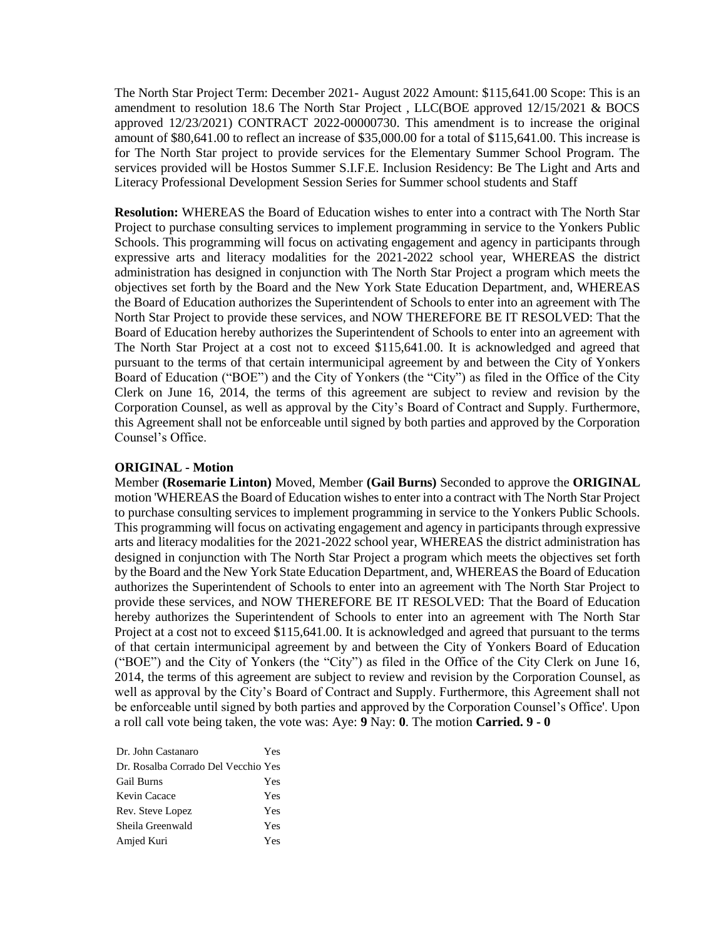The North Star Project Term: December 2021- August 2022 Amount: \$115,641.00 Scope: This is an amendment to resolution 18.6 The North Star Project , LLC(BOE approved 12/15/2021 & BOCS approved 12/23/2021) CONTRACT 2022-00000730. This amendment is to increase the original amount of \$80,641.00 to reflect an increase of \$35,000.00 for a total of \$115,641.00. This increase is for The North Star project to provide services for the Elementary Summer School Program. The services provided will be Hostos Summer S.I.F.E. Inclusion Residency: Be The Light and Arts and Literacy Professional Development Session Series for Summer school students and Staff

**Resolution:** WHEREAS the Board of Education wishes to enter into a contract with The North Star Project to purchase consulting services to implement programming in service to the Yonkers Public Schools. This programming will focus on activating engagement and agency in participants through expressive arts and literacy modalities for the 2021-2022 school year, WHEREAS the district administration has designed in conjunction with The North Star Project a program which meets the objectives set forth by the Board and the New York State Education Department, and, WHEREAS the Board of Education authorizes the Superintendent of Schools to enter into an agreement with The North Star Project to provide these services, and NOW THEREFORE BE IT RESOLVED: That the Board of Education hereby authorizes the Superintendent of Schools to enter into an agreement with The North Star Project at a cost not to exceed \$115,641.00. It is acknowledged and agreed that pursuant to the terms of that certain intermunicipal agreement by and between the City of Yonkers Board of Education ("BOE") and the City of Yonkers (the "City") as filed in the Office of the City Clerk on June 16, 2014, the terms of this agreement are subject to review and revision by the Corporation Counsel, as well as approval by the City's Board of Contract and Supply. Furthermore, this Agreement shall not be enforceable until signed by both parties and approved by the Corporation Counsel's Office.

### **ORIGINAL - Motion**

Member **(Rosemarie Linton)** Moved, Member **(Gail Burns)** Seconded to approve the **ORIGINAL**  motion 'WHEREAS the Board of Education wishes to enter into a contract with The North Star Project to purchase consulting services to implement programming in service to the Yonkers Public Schools. This programming will focus on activating engagement and agency in participants through expressive arts and literacy modalities for the 2021-2022 school year, WHEREAS the district administration has designed in conjunction with The North Star Project a program which meets the objectives set forth by the Board and the New York State Education Department, and, WHEREAS the Board of Education authorizes the Superintendent of Schools to enter into an agreement with The North Star Project to provide these services, and NOW THEREFORE BE IT RESOLVED: That the Board of Education hereby authorizes the Superintendent of Schools to enter into an agreement with The North Star Project at a cost not to exceed \$115,641.00. It is acknowledged and agreed that pursuant to the terms of that certain intermunicipal agreement by and between the City of Yonkers Board of Education ("BOE") and the City of Yonkers (the "City") as filed in the Office of the City Clerk on June 16, 2014, the terms of this agreement are subject to review and revision by the Corporation Counsel, as well as approval by the City's Board of Contract and Supply. Furthermore, this Agreement shall not be enforceable until signed by both parties and approved by the Corporation Counsel's Office'. Upon a roll call vote being taken, the vote was: Aye: **9** Nay: **0**. The motion **Carried. 9 - 0** 

| Dr. John Castanaro                  | Yes |
|-------------------------------------|-----|
| Dr. Rosalba Corrado Del Vecchio Yes |     |
| <b>Gail Burns</b>                   | Yes |
| Kevin Cacace                        | Yes |
| Rev. Steve Lopez                    | Yes |
| Sheila Greenwald                    | Yes |
| Amjed Kuri                          | Yes |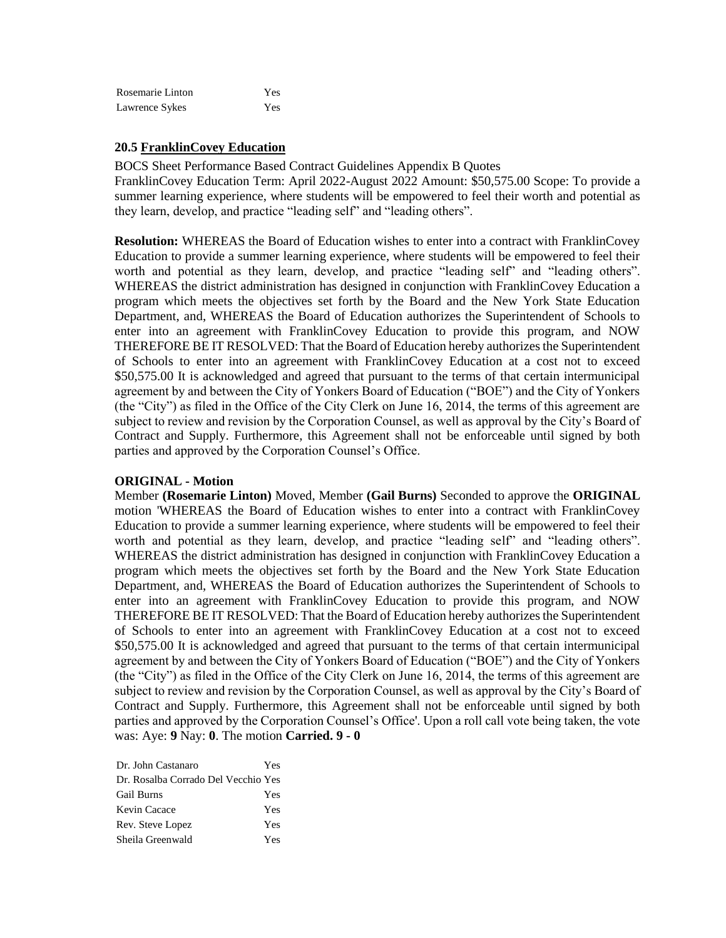| Rosemarie Linton | Yes |
|------------------|-----|
| Lawrence Sykes   | Yes |

### **20.5 FranklinCovey Education**

BOCS Sheet Performance Based Contract Guidelines Appendix B Quotes

FranklinCovey Education Term: April 2022-August 2022 Amount: \$50,575.00 Scope: To provide a summer learning experience, where students will be empowered to feel their worth and potential as they learn, develop, and practice "leading self" and "leading others".

**Resolution:** WHEREAS the Board of Education wishes to enter into a contract with FranklinCovey Education to provide a summer learning experience, where students will be empowered to feel their worth and potential as they learn, develop, and practice "leading self" and "leading others". WHEREAS the district administration has designed in conjunction with FranklinCovey Education a program which meets the objectives set forth by the Board and the New York State Education Department, and, WHEREAS the Board of Education authorizes the Superintendent of Schools to enter into an agreement with FranklinCovey Education to provide this program, and NOW THEREFORE BE IT RESOLVED: That the Board of Education hereby authorizes the Superintendent of Schools to enter into an agreement with FranklinCovey Education at a cost not to exceed \$50,575.00 It is acknowledged and agreed that pursuant to the terms of that certain intermunicipal agreement by and between the City of Yonkers Board of Education ("BOE") and the City of Yonkers (the "City") as filed in the Office of the City Clerk on June 16, 2014, the terms of this agreement are subject to review and revision by the Corporation Counsel, as well as approval by the City's Board of Contract and Supply. Furthermore, this Agreement shall not be enforceable until signed by both parties and approved by the Corporation Counsel's Office.

### **ORIGINAL - Motion**

Member **(Rosemarie Linton)** Moved, Member **(Gail Burns)** Seconded to approve the **ORIGINAL**  motion 'WHEREAS the Board of Education wishes to enter into a contract with FranklinCovey Education to provide a summer learning experience, where students will be empowered to feel their worth and potential as they learn, develop, and practice "leading self" and "leading others". WHEREAS the district administration has designed in conjunction with FranklinCovey Education a program which meets the objectives set forth by the Board and the New York State Education Department, and, WHEREAS the Board of Education authorizes the Superintendent of Schools to enter into an agreement with FranklinCovey Education to provide this program, and NOW THEREFORE BE IT RESOLVED: That the Board of Education hereby authorizes the Superintendent of Schools to enter into an agreement with FranklinCovey Education at a cost not to exceed \$50,575.00 It is acknowledged and agreed that pursuant to the terms of that certain intermunicipal agreement by and between the City of Yonkers Board of Education ("BOE") and the City of Yonkers (the "City") as filed in the Office of the City Clerk on June 16, 2014, the terms of this agreement are subject to review and revision by the Corporation Counsel, as well as approval by the City's Board of Contract and Supply. Furthermore, this Agreement shall not be enforceable until signed by both parties and approved by the Corporation Counsel's Office'. Upon a roll call vote being taken, the vote was: Aye: **9** Nay: **0**. The motion **Carried. 9 - 0** 

| Yes                                 |
|-------------------------------------|
| Dr. Rosalba Corrado Del Vecchio Yes |
| Yes                                 |
| Yes                                 |
| Yes                                 |
| Yes                                 |
|                                     |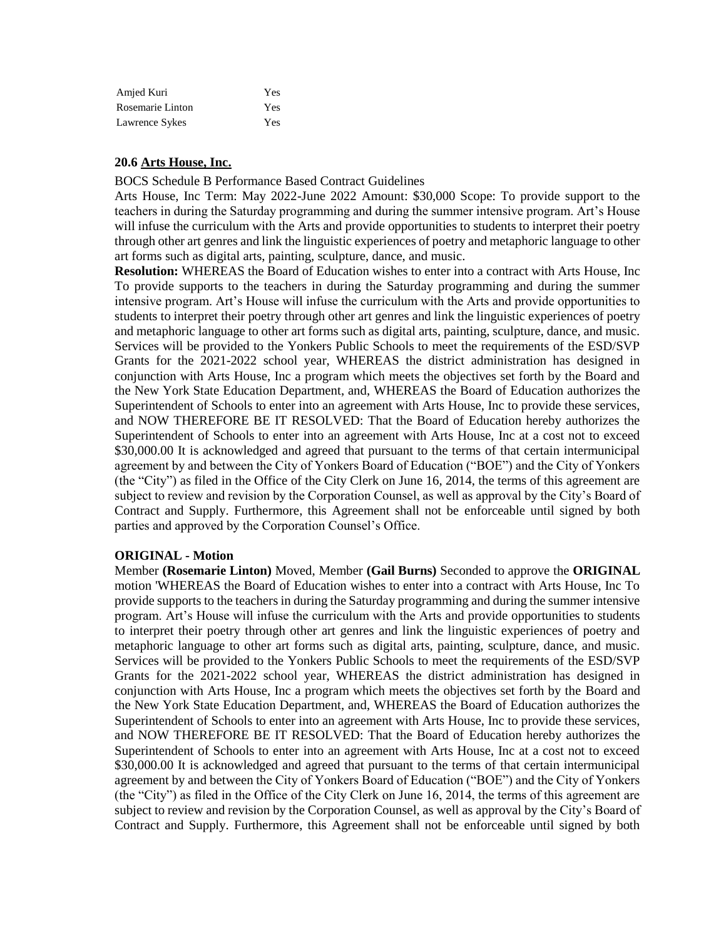| Amjed Kuri       | Yes        |
|------------------|------------|
| Rosemarie Linton | Yes        |
| Lawrence Sykes   | <b>Yes</b> |

# **20.6 Arts House, Inc.**

BOCS Schedule B Performance Based Contract Guidelines

Arts House, Inc Term: May 2022-June 2022 Amount: \$30,000 Scope: To provide support to the teachers in during the Saturday programming and during the summer intensive program. Art's House will infuse the curriculum with the Arts and provide opportunities to students to interpret their poetry through other art genres and link the linguistic experiences of poetry and metaphoric language to other art forms such as digital arts, painting, sculpture, dance, and music.

**Resolution:** WHEREAS the Board of Education wishes to enter into a contract with Arts House, Inc To provide supports to the teachers in during the Saturday programming and during the summer intensive program. Art's House will infuse the curriculum with the Arts and provide opportunities to students to interpret their poetry through other art genres and link the linguistic experiences of poetry and metaphoric language to other art forms such as digital arts, painting, sculpture, dance, and music. Services will be provided to the Yonkers Public Schools to meet the requirements of the ESD/SVP Grants for the 2021-2022 school year, WHEREAS the district administration has designed in conjunction with Arts House, Inc a program which meets the objectives set forth by the Board and the New York State Education Department, and, WHEREAS the Board of Education authorizes the Superintendent of Schools to enter into an agreement with Arts House, Inc to provide these services, and NOW THEREFORE BE IT RESOLVED: That the Board of Education hereby authorizes the Superintendent of Schools to enter into an agreement with Arts House, Inc at a cost not to exceed \$30,000.00 It is acknowledged and agreed that pursuant to the terms of that certain intermunicipal agreement by and between the City of Yonkers Board of Education ("BOE") and the City of Yonkers (the "City") as filed in the Office of the City Clerk on June 16, 2014, the terms of this agreement are subject to review and revision by the Corporation Counsel, as well as approval by the City's Board of Contract and Supply. Furthermore, this Agreement shall not be enforceable until signed by both parties and approved by the Corporation Counsel's Office.

## **ORIGINAL - Motion**

Member **(Rosemarie Linton)** Moved, Member **(Gail Burns)** Seconded to approve the **ORIGINAL**  motion 'WHEREAS the Board of Education wishes to enter into a contract with Arts House, Inc To provide supports to the teachers in during the Saturday programming and during the summer intensive program. Art's House will infuse the curriculum with the Arts and provide opportunities to students to interpret their poetry through other art genres and link the linguistic experiences of poetry and metaphoric language to other art forms such as digital arts, painting, sculpture, dance, and music. Services will be provided to the Yonkers Public Schools to meet the requirements of the ESD/SVP Grants for the 2021-2022 school year, WHEREAS the district administration has designed in conjunction with Arts House, Inc a program which meets the objectives set forth by the Board and the New York State Education Department, and, WHEREAS the Board of Education authorizes the Superintendent of Schools to enter into an agreement with Arts House, Inc to provide these services, and NOW THEREFORE BE IT RESOLVED: That the Board of Education hereby authorizes the Superintendent of Schools to enter into an agreement with Arts House, Inc at a cost not to exceed \$30,000.00 It is acknowledged and agreed that pursuant to the terms of that certain intermunicipal agreement by and between the City of Yonkers Board of Education ("BOE") and the City of Yonkers (the "City") as filed in the Office of the City Clerk on June 16, 2014, the terms of this agreement are subject to review and revision by the Corporation Counsel, as well as approval by the City's Board of Contract and Supply. Furthermore, this Agreement shall not be enforceable until signed by both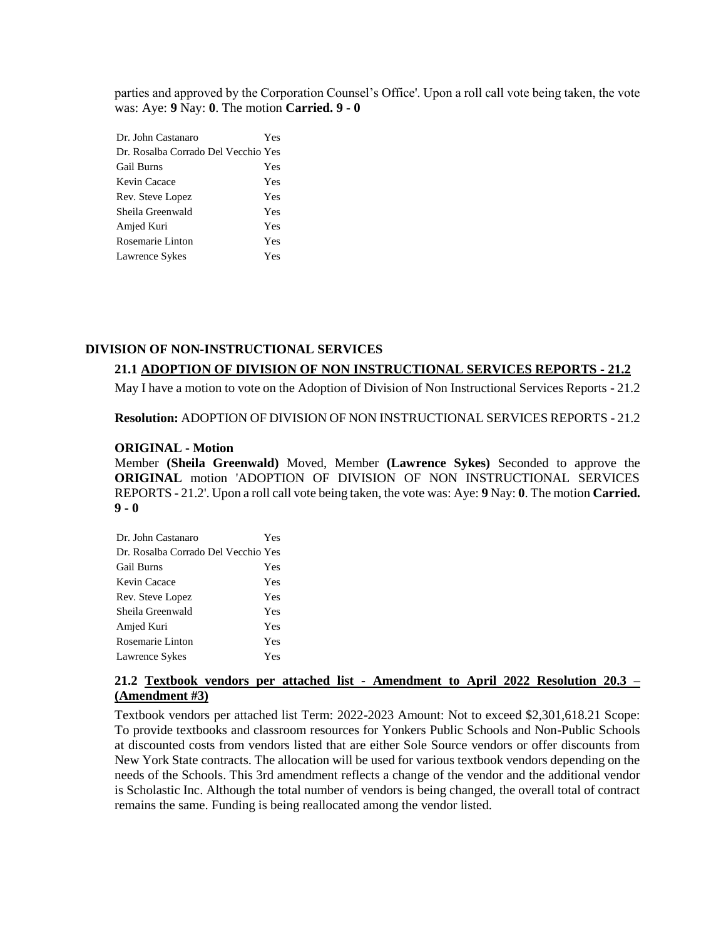parties and approved by the Corporation Counsel's Office'. Upon a roll call vote being taken, the vote was: Aye: **9** Nay: **0**. The motion **Carried. 9 - 0** 

| Dr. John Castanaro                  | Yes |
|-------------------------------------|-----|
| Dr. Rosalba Corrado Del Vecchio Yes |     |
| Gail Burns                          | Yes |
| Kevin Cacace                        | Yes |
| Rev. Steve Lopez                    | Yes |
| Sheila Greenwald                    | Yes |
| Amjed Kuri                          | Yes |
| Rosemarie Linton                    | Yes |
| Lawrence Sykes                      | Yes |

## **DIVISION OF NON-INSTRUCTIONAL SERVICES**

## **21.1 ADOPTION OF DIVISION OF NON INSTRUCTIONAL SERVICES REPORTS - 21.2**

May I have a motion to vote on the Adoption of Division of Non Instructional Services Reports - 21.2

**Resolution:** ADOPTION OF DIVISION OF NON INSTRUCTIONAL SERVICES REPORTS - 21.2

#### **ORIGINAL - Motion**

Member **(Sheila Greenwald)** Moved, Member **(Lawrence Sykes)** Seconded to approve the **ORIGINAL** motion 'ADOPTION OF DIVISION OF NON INSTRUCTIONAL SERVICES REPORTS - 21.2'. Upon a roll call vote being taken, the vote was: Aye: **9** Nay: **0**. The motion **Carried. 9 - 0** 

| Dr. John Castanaro                  | Yes |
|-------------------------------------|-----|
| Dr. Rosalba Corrado Del Vecchio Yes |     |
| <b>Gail Burns</b>                   | Yes |
| Kevin Cacace                        | Yes |
| Rev. Steve Lopez                    | Yes |
| Sheila Greenwald                    | Yes |
| Amjed Kuri                          | Yes |
| Rosemarie Linton                    | Yes |
| Lawrence Sykes                      | Yes |
|                                     |     |

# **21.2 Textbook vendors per attached list - Amendment to April 2022 Resolution 20.3 – (Amendment #3)**

Textbook vendors per attached list Term: 2022-2023 Amount: Not to exceed \$2,301,618.21 Scope: To provide textbooks and classroom resources for Yonkers Public Schools and Non-Public Schools at discounted costs from vendors listed that are either Sole Source vendors or offer discounts from New York State contracts. The allocation will be used for various textbook vendors depending on the needs of the Schools. This 3rd amendment reflects a change of the vendor and the additional vendor is Scholastic Inc. Although the total number of vendors is being changed, the overall total of contract remains the same. Funding is being reallocated among the vendor listed.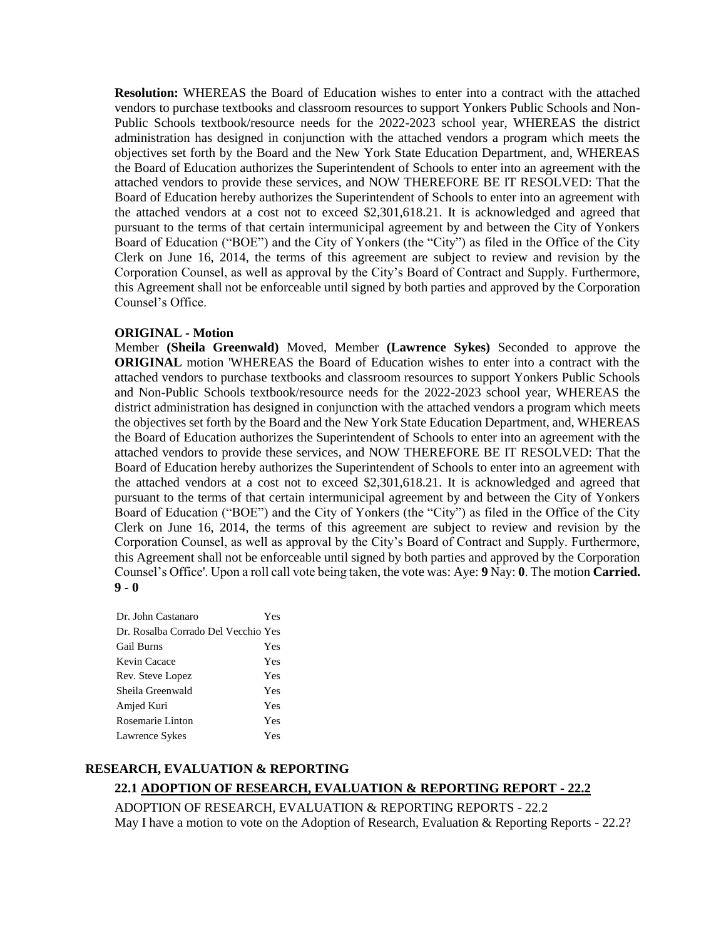**Resolution:** WHEREAS the Board of Education wishes to enter into a contract with the attached vendors to purchase textbooks and classroom resources to support Yonkers Public Schools and Non-Public Schools textbook/resource needs for the 2022-2023 school year, WHEREAS the district administration has designed in conjunction with the attached vendors a program which meets the objectives set forth by the Board and the New York State Education Department, and, WHEREAS the Board of Education authorizes the Superintendent of Schools to enter into an agreement with the attached vendors to provide these services, and NOW THEREFORE BE IT RESOLVED: That the Board of Education hereby authorizes the Superintendent of Schools to enter into an agreement with the attached vendors at a cost not to exceed \$2,301,618.21. It is acknowledged and agreed that pursuant to the terms of that certain intermunicipal agreement by and between the City of Yonkers Board of Education ("BOE") and the City of Yonkers (the "City") as filed in the Office of the City Clerk on June 16, 2014, the terms of this agreement are subject to review and revision by the Corporation Counsel, as well as approval by the City's Board of Contract and Supply. Furthermore, this Agreement shall not be enforceable until signed by both parties and approved by the Corporation Counsel's Office.

### **ORIGINAL - Motion**

Member **(Sheila Greenwald)** Moved, Member **(Lawrence Sykes)** Seconded to approve the **ORIGINAL** motion 'WHEREAS the Board of Education wishes to enter into a contract with the attached vendors to purchase textbooks and classroom resources to support Yonkers Public Schools and Non-Public Schools textbook/resource needs for the 2022-2023 school year, WHEREAS the district administration has designed in conjunction with the attached vendors a program which meets the objectives set forth by the Board and the New York State Education Department, and, WHEREAS the Board of Education authorizes the Superintendent of Schools to enter into an agreement with the attached vendors to provide these services, and NOW THEREFORE BE IT RESOLVED: That the Board of Education hereby authorizes the Superintendent of Schools to enter into an agreement with the attached vendors at a cost not to exceed \$2,301,618.21. It is acknowledged and agreed that pursuant to the terms of that certain intermunicipal agreement by and between the City of Yonkers Board of Education ("BOE") and the City of Yonkers (the "City") as filed in the Office of the City Clerk on June 16, 2014, the terms of this agreement are subject to review and revision by the Corporation Counsel, as well as approval by the City's Board of Contract and Supply. Furthermore, this Agreement shall not be enforceable until signed by both parties and approved by the Corporation Counsel's Office'. Upon a roll call vote being taken, the vote was: Aye: **9** Nay: **0**. The motion **Carried. 9 - 0** 

| Dr. John Castanaro                  | Yes |
|-------------------------------------|-----|
| Dr. Rosalba Corrado Del Vecchio Yes |     |
| Gail Burns                          | Yes |
| Kevin Cacace                        | Yes |
| Rev. Steve Lopez                    | Yes |
| Sheila Greenwald                    | Yes |
| Amjed Kuri                          | Yes |
| Rosemarie Linton                    | Yes |
| Lawrence Sykes                      | Yes |

## **RESEARCH, EVALUATION & REPORTING**

## **22.1 ADOPTION OF RESEARCH, EVALUATION & REPORTING REPORT - 22.2**

ADOPTION OF RESEARCH, EVALUATION & REPORTING REPORTS - 22.2 May I have a motion to vote on the Adoption of Research, Evaluation & Reporting Reports - 22.2?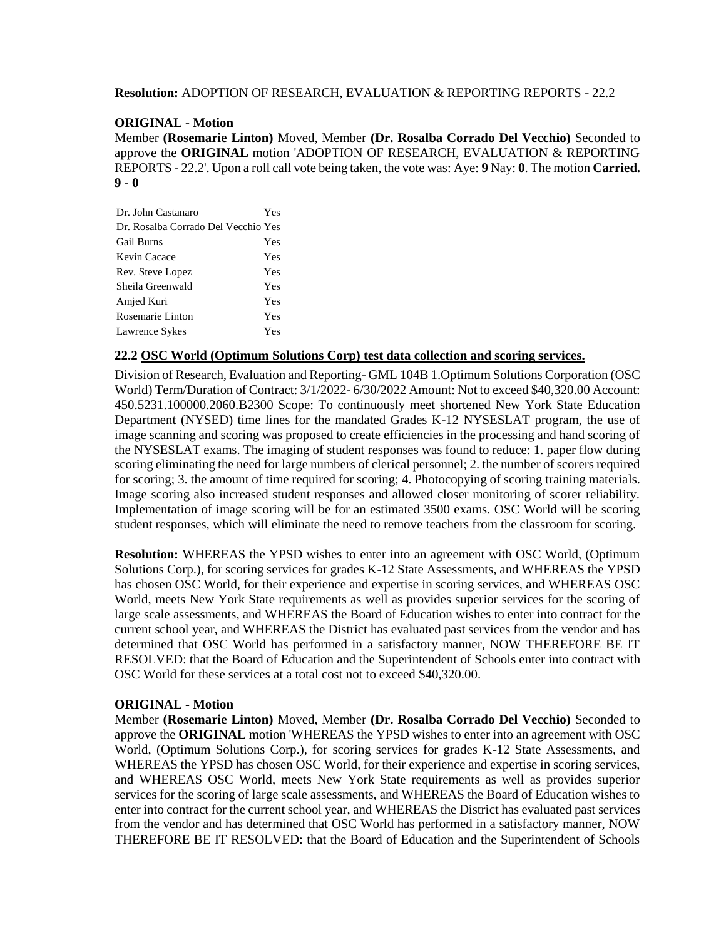## **Resolution:** ADOPTION OF RESEARCH, EVALUATION & REPORTING REPORTS - 22.2

## **ORIGINAL - Motion**

Member **(Rosemarie Linton)** Moved, Member **(Dr. Rosalba Corrado Del Vecchio)** Seconded to approve the **ORIGINAL** motion 'ADOPTION OF RESEARCH, EVALUATION & REPORTING REPORTS - 22.2'. Upon a roll call vote being taken, the vote was: Aye: **9** Nay: **0**. The motion **Carried. 9 - 0** 

| Yes                                 |
|-------------------------------------|
| Dr. Rosalba Corrado Del Vecchio Yes |
| Yes                                 |
| Yes                                 |
| Yes                                 |
| Yes                                 |
| Yes                                 |
| Yes                                 |
| Yes                                 |
|                                     |

## **22.2 OSC World (Optimum Solutions Corp) test data collection and scoring services.**

Division of Research, Evaluation and Reporting- GML 104B 1.Optimum Solutions Corporation (OSC World) Term/Duration of Contract: 3/1/2022- 6/30/2022 Amount: Not to exceed \$40,320.00 Account: 450.5231.100000.2060.B2300 Scope: To continuously meet shortened New York State Education Department (NYSED) time lines for the mandated Grades K-12 NYSESLAT program, the use of image scanning and scoring was proposed to create efficiencies in the processing and hand scoring of the NYSESLAT exams. The imaging of student responses was found to reduce: 1. paper flow during scoring eliminating the need for large numbers of clerical personnel; 2. the number of scorers required for scoring; 3. the amount of time required for scoring; 4. Photocopying of scoring training materials. Image scoring also increased student responses and allowed closer monitoring of scorer reliability. Implementation of image scoring will be for an estimated 3500 exams. OSC World will be scoring student responses, which will eliminate the need to remove teachers from the classroom for scoring.

**Resolution:** WHEREAS the YPSD wishes to enter into an agreement with OSC World, (Optimum Solutions Corp.), for scoring services for grades K-12 State Assessments, and WHEREAS the YPSD has chosen OSC World, for their experience and expertise in scoring services, and WHEREAS OSC World, meets New York State requirements as well as provides superior services for the scoring of large scale assessments, and WHEREAS the Board of Education wishes to enter into contract for the current school year, and WHEREAS the District has evaluated past services from the vendor and has determined that OSC World has performed in a satisfactory manner, NOW THEREFORE BE IT RESOLVED: that the Board of Education and the Superintendent of Schools enter into contract with OSC World for these services at a total cost not to exceed \$40,320.00.

### **ORIGINAL - Motion**

Member **(Rosemarie Linton)** Moved, Member **(Dr. Rosalba Corrado Del Vecchio)** Seconded to approve the **ORIGINAL** motion 'WHEREAS the YPSD wishes to enter into an agreement with OSC World, (Optimum Solutions Corp.), for scoring services for grades K-12 State Assessments, and WHEREAS the YPSD has chosen OSC World, for their experience and expertise in scoring services, and WHEREAS OSC World, meets New York State requirements as well as provides superior services for the scoring of large scale assessments, and WHEREAS the Board of Education wishes to enter into contract for the current school year, and WHEREAS the District has evaluated past services from the vendor and has determined that OSC World has performed in a satisfactory manner, NOW THEREFORE BE IT RESOLVED: that the Board of Education and the Superintendent of Schools